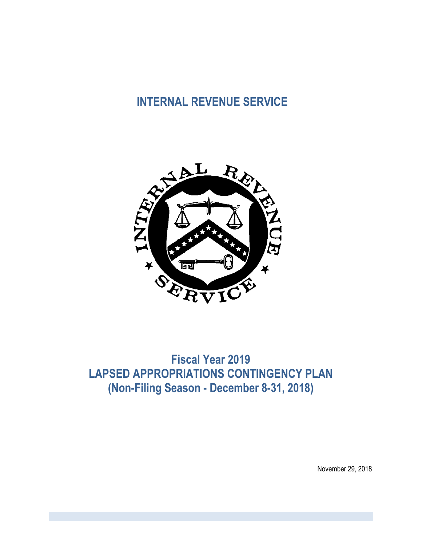### **INTERNAL REVENUE SERVICE**



### **Fiscal Year 2019 LAPSED APPROPRIATIONS CONTINGENCY PLAN (Non-Filing Season - December 8-31, 2018)**

November 29, 2018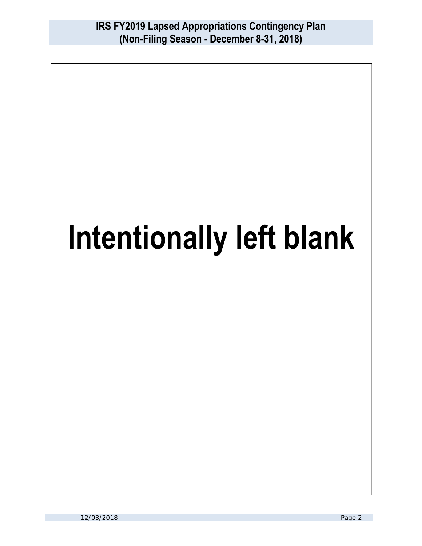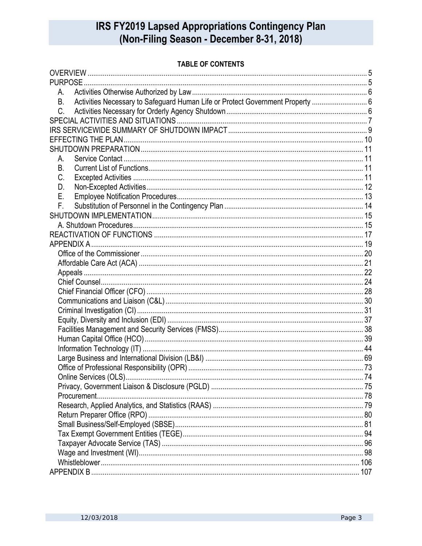#### **TABLE OF CONTENTS**

| А.                                                                                            |  |
|-----------------------------------------------------------------------------------------------|--|
| Activities Necessary to Safeguard Human Life or Protect Government Property<br>B <sub>1</sub> |  |
| C.                                                                                            |  |
|                                                                                               |  |
|                                                                                               |  |
|                                                                                               |  |
|                                                                                               |  |
| A.                                                                                            |  |
| В.                                                                                            |  |
| C.                                                                                            |  |
| D.                                                                                            |  |
| Е.                                                                                            |  |
| F.                                                                                            |  |
|                                                                                               |  |
|                                                                                               |  |
|                                                                                               |  |
|                                                                                               |  |
|                                                                                               |  |
|                                                                                               |  |
|                                                                                               |  |
|                                                                                               |  |
|                                                                                               |  |
|                                                                                               |  |
|                                                                                               |  |
|                                                                                               |  |
|                                                                                               |  |
|                                                                                               |  |
|                                                                                               |  |
|                                                                                               |  |
|                                                                                               |  |
| 74                                                                                            |  |
|                                                                                               |  |
|                                                                                               |  |
|                                                                                               |  |
|                                                                                               |  |
|                                                                                               |  |
|                                                                                               |  |
|                                                                                               |  |
|                                                                                               |  |
|                                                                                               |  |
|                                                                                               |  |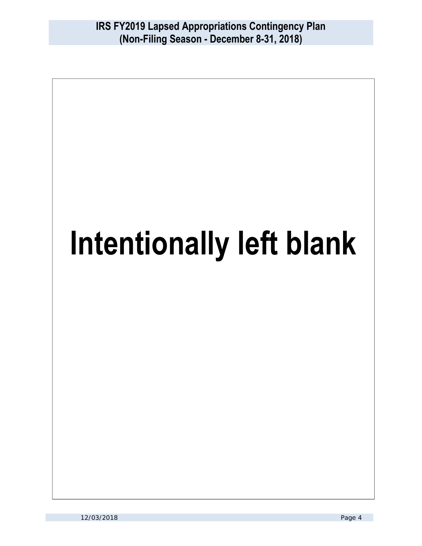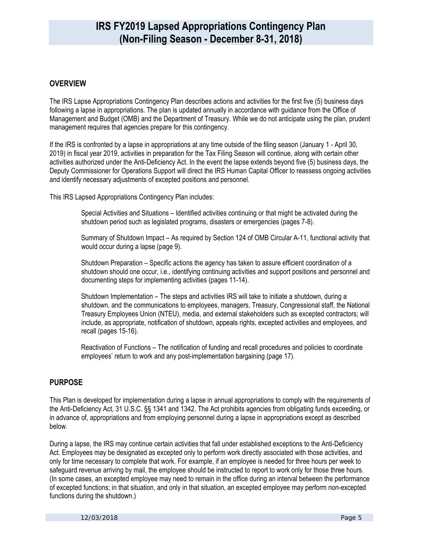#### **OVERVIEW**

The IRS Lapse Appropriations Contingency Plan describes actions and activities for the first five (5) business days following a lapse in appropriations. The plan is updated annually in accordance with guidance from the Office of Management and Budget (OMB) and the Department of Treasury. While we do not anticipate using the plan, prudent management requires that agencies prepare for this contingency.

If the IRS is confronted by a lapse in appropriations at any time outside of the filing season (January 1 - April 30, 2019) in fiscal year 2019, activities in preparation for the Tax Filing Season will continue, along with certain other activities authorized under the Anti-Deficiency Act. In the event the lapse extends beyond five (5) business days, the Deputy Commissioner for Operations Support will direct the IRS Human Capital Officer to reassess ongoing activities and identify necessary adjustments of excepted positions and personnel.

This IRS Lapsed Appropriations Contingency Plan includes:

 Special Activities and Situations – Identified activities continuing or that might be activated during the shutdown period such as legislated programs, disasters or emergencies (pages 7-8).

 Summary of Shutdown Impact – As required by Section 124 of OMB Circular A-11, functional activity that would occur during a lapse (page 9).

 Shutdown Preparation – Specific actions the agency has taken to assure efficient coordination of a shutdown should one occur, i.e., identifying continuing activities and support positions and personnel and documenting steps for implementing activities (pages 11-14).

 Shutdown Implementation – The steps and activities IRS will take to initiate a shutdown, during a shutdown, and the communications to employees, managers, Treasury, Congressional staff, the National Treasury Employees Union (NTEU), media, and external stakeholders such as excepted contractors; will include, as appropriate, notification of shutdown, appeals rights, excepted activities and employees, and recall (pages 15-16).

 Reactivation of Functions – The notification of funding and recall procedures and policies to coordinate employees' return to work and any post-implementation bargaining (page 17).

#### **PURPOSE**

This Plan is developed for implementation during a lapse in annual appropriations to comply with the requirements of the Anti-Deficiency Act, 31 U.S.C. §§ 1341 and 1342. The Act prohibits agencies from obligating funds exceeding, or in advance of, appropriations and from employing personnel during a lapse in appropriations except as described below.

During a lapse, the IRS may continue certain activities that fall under established exceptions to the Anti-Deficiency Act. Employees may be designated as excepted only to perform work directly associated with those activities, and only for time necessary to complete that work. For example, if an employee is needed for three hours per week to safeguard revenue arriving by mail, the employee should be instructed to report to work only for those three hours. (In some cases, an excepted employee may need to remain in the office during an interval between the performance of excepted functions; in that situation, and only in that situation, an excepted employee may perform non-excepted functions during the shutdown.)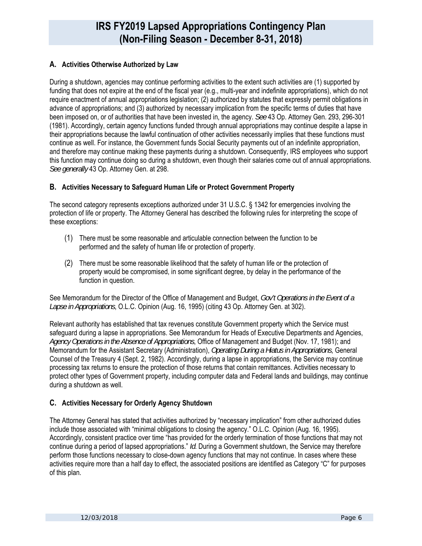#### **A. Activities Otherwise Authorized by Law**

During a shutdown, agencies may continue performing activities to the extent such activities are (1) supported by funding that does not expire at the end of the fiscal year (e.g., multi-year and indefinite appropriations), which do not require enactment of annual appropriations legislation; (2) authorized by statutes that expressly permit obligations in advance of appropriations; and (3) authorized by necessary implication from the specific terms of duties that have been imposed on, or of authorities that have been invested in, the agency. *See* 43 Op. Attorney Gen. 293, 296-301 (1981). Accordingly, certain agency functions funded through annual appropriations may continue despite a lapse in their appropriations because the lawful continuation of other activities necessarily implies that these functions must continue as well. For instance, the Government funds Social Security payments out of an indefinite appropriation, and therefore may continue making these payments during a shutdown. Consequently, IRS employees who support this function may continue doing so during a shutdown, even though their salaries come out of annual appropriations. *See generally* 43 Op. Attorney Gen. at 298.

#### **B. Activities Necessary to Safeguard Human Life or Protect Government Property**

The second category represents exceptions authorized under 31 U.S.C. § 1342 for emergencies involving the protection of life or property. The Attorney General has described the following rules for interpreting the scope of these exceptions:

- (1) There must be some reasonable and articulable connection between the function to be performed and the safety of human life or protection of property.
- (2) There must be some reasonable likelihood that the safety of human life or the protection of property would be compromised, in some significant degree, by delay in the performance of the function in question.

See Memorandum for the Director of the Office of Management and Budget, *Gov't Operations in the Event of a Lapse in Appropriations*, O.L.C. Opinion (Aug. 16, 1995) (citing 43 Op. Attorney Gen. at 302).

Relevant authority has established that tax revenues constitute Government property which the Service must safeguard during a lapse in appropriations. See Memorandum for Heads of Executive Departments and Agencies, *Agency Operations in the Absence of Appropriations*, Office of Management and Budget (Nov. 17, 1981); and Memorandum for the Assistant Secretary (Administration), *Operating During a Hiatus in Appropriations*, General Counsel of the Treasury 4 (Sept. 2, 1982). Accordingly, during a lapse in appropriations, the Service may continue processing tax returns to ensure the protection of those returns that contain remittances. Activities necessary to protect other types of Government property, including computer data and Federal lands and buildings, may continue during a shutdown as well.

#### **C. Activities Necessary for Orderly Agency Shutdown**

The Attorney General has stated that activities authorized by "necessary implication" from other authorized duties include those associated with "minimal obligations to closing the agency." O.L.C. Opinion (Aug. 16, 1995). Accordingly, consistent practice over time "has provided for the orderly termination of those functions that may not continue during a period of lapsed appropriations." *Id*. During a Government shutdown, the Service may therefore perform those functions necessary to close-down agency functions that may not continue. In cases where these activities require more than a half day to effect, the associated positions are identified as Category "C" for purposes of this plan.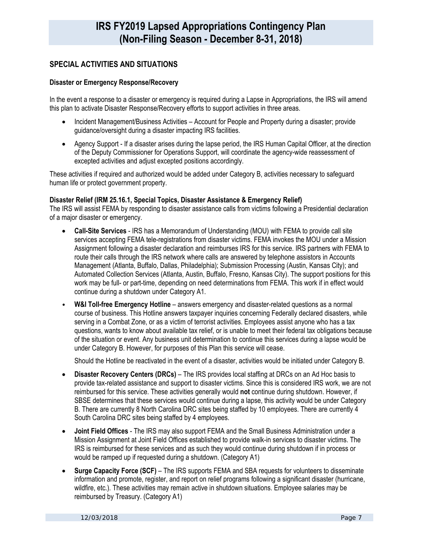#### **SPECIAL ACTIVITIES AND SITUATIONS**

#### **Disaster or Emergency Response/Recovery**

In the event a response to a disaster or emergency is required during a Lapse in Appropriations, the IRS will amend this plan to activate Disaster Response/Recovery efforts to support activities in three areas.

- Incident Management/Business Activities Account for People and Property during a disaster; provide guidance/oversight during a disaster impacting IRS facilities.
- Agency Support If a disaster arises during the lapse period, the IRS Human Capital Officer, at the direction of the Deputy Commissioner for Operations Support, will coordinate the agency-wide reassessment of excepted activities and adjust excepted positions accordingly.

These activities if required and authorized would be added under Category B, activities necessary to safeguard human life or protect government property.

#### **Disaster Relief (IRM 25.16.1, Special Topics, Disaster Assistance & Emergency Relief)**

The IRS will assist FEMA by responding to disaster assistance calls from victims following a Presidential declaration of a major disaster or emergency.

- **Call-Site Services** IRS has a Memorandum of Understanding (MOU) with FEMA to provide call site services accepting FEMA tele-registrations from disaster victims. FEMA invokes the MOU under a Mission Assignment following a disaster declaration and reimburses IRS for this service. IRS partners with FEMA to route their calls through the IRS network where calls are answered by telephone assistors in Accounts Management (Atlanta, Buffalo, Dallas, Philadelphia); Submission Processing (Austin, Kansas City); and Automated Collection Services (Atlanta, Austin, Buffalo, Fresno, Kansas City). The support positions for this work may be full- or part-time, depending on need determinations from FEMA. This work if in effect would continue during a shutdown under Category A1.
- **W&I Toll-free Emergency Hotline** answers emergency and disaster-related questions as a normal course of business. This Hotline answers taxpayer inquiries concerning Federally declared disasters, while serving in a Combat Zone, or as a victim of terrorist activities. Employees assist anyone who has a tax questions, wants to know about available tax relief, or is unable to meet their federal tax obligations because of the situation or event. Any business unit determination to continue this services during a lapse would be under Category B. However, for purposes of this Plan this service will cease.

Should the Hotline be reactivated in the event of a disaster, activities would be initiated under Category B.

- **Disaster Recovery Centers (DRCs)** The IRS provides local staffing at DRCs on an Ad Hoc basis to provide tax-related assistance and support to disaster victims. Since this is considered IRS work, we are not reimbursed for this service. These activities generally would **not** continue during shutdown. However, if SBSE determines that these services would continue during a lapse, this activity would be under Category B. There are currently 8 North Carolina DRC sites being staffed by 10 employees. There are currently 4 South Carolina DRC sites being staffed by 4 employees.
- **Joint Field Offices** The IRS may also support FEMA and the Small Business Administration under a Mission Assignment at Joint Field Offices established to provide walk-in services to disaster victims. The IRS is reimbursed for these services and as such they would continue during shutdown if in process or would be ramped up if requested during a shutdown. (Category A1)
- **Surge Capacity Force (SCF)** The IRS supports FEMA and SBA requests for volunteers to disseminate information and promote, register, and report on relief programs following a significant disaster (hurricane, wildfire, etc.). These activities may remain active in shutdown situations. Employee salaries may be reimbursed by Treasury. (Category A1)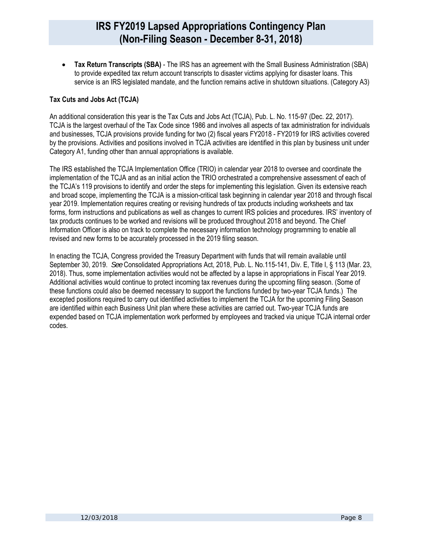**Tax Return Transcripts (SBA)** - The IRS has an agreement with the Small Business Administration (SBA) to provide expedited tax return account transcripts to disaster victims applying for disaster loans. This service is an IRS legislated mandate, and the function remains active in shutdown situations. (Category A3)

#### **Tax Cuts and Jobs Act (TCJA)**

An additional consideration this year is the Tax Cuts and Jobs Act (TCJA), Pub. L. No. 115-97 (Dec. 22, 2017). TCJA is the largest overhaul of the Tax Code since 1986 and involves all aspects of tax administration for individuals and businesses, TCJA provisions provide funding for two (2) fiscal years FY2018 - FY2019 for IRS activities covered by the provisions. Activities and positions involved in TCJA activities are identified in this plan by business unit under Category A1, funding other than annual appropriations is available.

The IRS established the TCJA Implementation Office (TRIO) in calendar year 2018 to oversee and coordinate the implementation of the TCJA and as an initial action the TRIO orchestrated a comprehensive assessment of each of the TCJA's 119 provisions to identify and order the steps for implementing this legislation. Given its extensive reach and broad scope, implementing the TCJA is a mission-critical task beginning in calendar year 2018 and through fiscal year 2019. Implementation requires creating or revising hundreds of tax products including worksheets and tax forms, form instructions and publications as well as changes to current IRS policies and procedures. IRS' inventory of tax products continues to be worked and revisions will be produced throughout 2018 and beyond. The Chief Information Officer is also on track to complete the necessary information technology programming to enable all revised and new forms to be accurately processed in the 2019 filing season.

In enacting the TCJA, Congress provided the Treasury Department with funds that will remain available until September 30, 2019. *See* Consolidated Appropriations Act, 2018, Pub. L. No.115-141, Div. E, Title I, § 113 (Mar. 23, 2018). Thus, some implementation activities would not be affected by a lapse in appropriations in Fiscal Year 2019. Additional activities would continue to protect incoming tax revenues during the upcoming filing season. (Some of these functions could also be deemed necessary to support the functions funded by two-year TCJA funds.) The excepted positions required to carry out identified activities to implement the TCJA for the upcoming Filing Season are identified within each Business Unit plan where these activities are carried out. Two-year TCJA funds are expended based on TCJA implementation work performed by employees and tracked via unique TCJA internal order codes.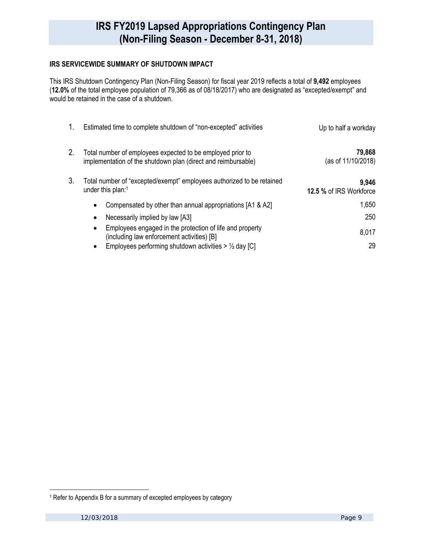#### **IRS SERVICEWIDE SUMMARY OF SHUTDOWN IMPACT**

This IRS Shutdown Contingency Plan (Non-Filing Season) for fiscal year 2019 reflects a total of **9,492** employees (**12.0%** of the total employee population of 79,366 as of 08/18/2017) who are designated as "excepted/exempt" and would be retained in the case of a shutdown.

| 1. | Estimated time to complete shutdown of "non-excepted" activities<br>Up to half a workday                                    |                                  |  |  |  |  |  |  |  |  |  |  |
|----|-----------------------------------------------------------------------------------------------------------------------------|----------------------------------|--|--|--|--|--|--|--|--|--|--|
| 2. | Total number of employees expected to be employed prior to<br>implementation of the shutdown plan (direct and reimbursable) | 79,868<br>(as of 11/10/2018)     |  |  |  |  |  |  |  |  |  |  |
| 3. | Total number of "excepted/exempt" employees authorized to be retained<br>under this plan:1                                  | 9,946<br>12.5 % of IRS Workforce |  |  |  |  |  |  |  |  |  |  |
|    | Compensated by other than annual appropriations [A1 & A2]<br>٠                                                              | 1,650                            |  |  |  |  |  |  |  |  |  |  |
|    | Necessarily implied by law [A3]<br>$\bullet$                                                                                | 250                              |  |  |  |  |  |  |  |  |  |  |
|    | Employees engaged in the protection of life and property<br>$\bullet$<br>(including law enforcement activities) [B]         | 8,017                            |  |  |  |  |  |  |  |  |  |  |
|    | Employees performing shutdown activities $>$ $\frac{1}{2}$ day [C]<br>٠                                                     | 29                               |  |  |  |  |  |  |  |  |  |  |

 $\overline{a}$ 

<sup>&</sup>lt;sup>1</sup> Refer to Appendix B for a summary of excepted employees by category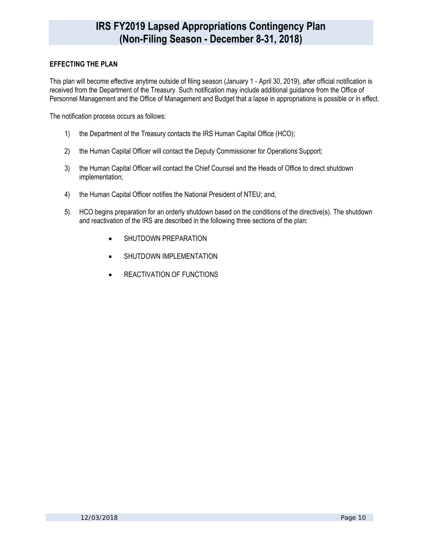#### **EFFECTING THE PLAN**

This plan will become effective anytime outside of filing season (January 1 - April 30, 2019), after official notification is received from the Department of the Treasury. Such notification may include additional guidance from the Office of Personnel Management and the Office of Management and Budget that a lapse in appropriations is possible or in effect.

The notification process occurs as follows:

- 1) the Department of the Treasury contacts the IRS Human Capital Office (HCO);
- 2) the Human Capital Officer will contact the Deputy Commissioner for Operations Support;
- 3) the Human Capital Officer will contact the Chief Counsel and the Heads of Office to direct shutdown implementation;
- 4) the Human Capital Officer notifies the National President of NTEU; and,
- 5) HCO begins preparation for an orderly shutdown based on the conditions of the directive(s). The shutdown and reactivation of the IRS are described in the following three sections of the plan:
	- **•** SHUTDOWN PREPARATION
	- SHUTDOWN IMPLEMENTATION
	- REACTIVATION OF FUNCTIONS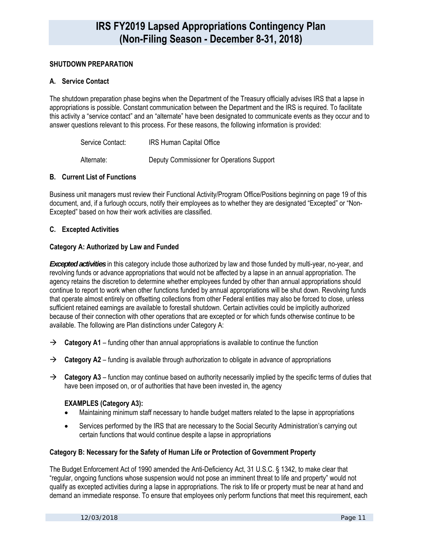#### **SHUTDOWN PREPARATION**

#### **A. Service Contact**

The shutdown preparation phase begins when the Department of the Treasury officially advises IRS that a lapse in appropriations is possible. Constant communication between the Department and the IRS is required. To facilitate this activity a "service contact" and an "alternate" have been designated to communicate events as they occur and to answer questions relevant to this process. For these reasons, the following information is provided:

| Service Contact: | <b>IRS Human Capital Office</b>            |
|------------------|--------------------------------------------|
| Alternate:       | Deputy Commissioner for Operations Support |

#### **B. Current List of Functions**

Business unit managers must review their Functional Activity/Program Office/Positions beginning on page 19 of this document, and, if a furlough occurs, notify their employees as to whether they are designated "Excepted" or "Non-Excepted" based on how their work activities are classified.

#### **C. Excepted Activities**

#### **Category A: Authorized by Law and Funded**

*Excepted activities* in this category include those authorized by law and those funded by multi-year, no-year, and revolving funds or advance appropriations that would not be affected by a lapse in an annual appropriation. The agency retains the discretion to determine whether employees funded by other than annual appropriations should continue to report to work when other functions funded by annual appropriations will be shut down. Revolving funds that operate almost entirely on offsetting collections from other Federal entities may also be forced to close, unless sufficient retained earnings are available to forestall shutdown. Certain activities could be implicitly authorized because of their connection with other operations that are excepted or for which funds otherwise continue to be available. The following are Plan distinctions under Category A:

- $\rightarrow$  **Category A1** funding other than annual appropriations is available to continue the function
- $\rightarrow$  **Category A2** funding is available through authorization to obligate in advance of appropriations
- $\rightarrow$  **Category A3** function may continue based on authority necessarily implied by the specific terms of duties that have been imposed on, or of authorities that have been invested in, the agency

#### **EXAMPLES (Category A3):**

- Maintaining minimum staff necessary to handle budget matters related to the lapse in appropriations
- Services performed by the IRS that are necessary to the Social Security Administration's carrying out certain functions that would continue despite a lapse in appropriations

#### **Category B: Necessary for the Safety of Human Life or Protection of Government Property**

The Budget Enforcement Act of 1990 amended the Anti-Deficiency Act, 31 U.S.C. § 1342, to make clear that "regular, ongoing functions whose suspension would not pose an imminent threat to life and property" would not qualify as excepted activities during a lapse in appropriations. The risk to life or property must be near at hand and demand an immediate response. To ensure that employees only perform functions that meet this requirement, each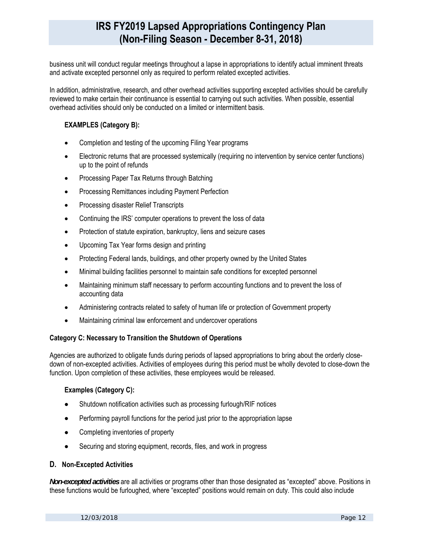business unit will conduct regular meetings throughout a lapse in appropriations to identify actual imminent threats and activate excepted personnel only as required to perform related excepted activities.

In addition, administrative, research, and other overhead activities supporting excepted activities should be carefully reviewed to make certain their continuance is essential to carrying out such activities. When possible, essential overhead activities should only be conducted on a limited or intermittent basis.

#### **EXAMPLES (Category B):**

- Completion and testing of the upcoming Filing Year programs
- Electronic returns that are processed systemically (requiring no intervention by service center functions) up to the point of refunds
- Processing Paper Tax Returns through Batching
- Processing Remittances including Payment Perfection
- Processing disaster Relief Transcripts
- Continuing the IRS' computer operations to prevent the loss of data
- Protection of statute expiration, bankruptcy, liens and seizure cases
- Upcoming Tax Year forms design and printing
- Protecting Federal lands, buildings, and other property owned by the United States
- Minimal building facilities personnel to maintain safe conditions for excepted personnel
- Maintaining minimum staff necessary to perform accounting functions and to prevent the loss of accounting data
- Administering contracts related to safety of human life or protection of Government property
- Maintaining criminal law enforcement and undercover operations

#### **Category C: Necessary to Transition the Shutdown of Operations**

Agencies are authorized to obligate funds during periods of lapsed appropriations to bring about the orderly closedown of non-excepted activities. Activities of employees during this period must be wholly devoted to close-down the function. Upon completion of these activities, these employees would be released.

#### **Examples (Category C):**

- Shutdown notification activities such as processing furlough/RIF notices
- Performing payroll functions for the period just prior to the appropriation lapse
- Completing inventories of property
- Securing and storing equipment, records, files, and work in progress

#### **D. Non-Excepted Activities**

*Non-excepted activities* are all activities or programs other than those designated as "excepted" above. Positions in these functions would be furloughed, where "excepted" positions would remain on duty. This could also include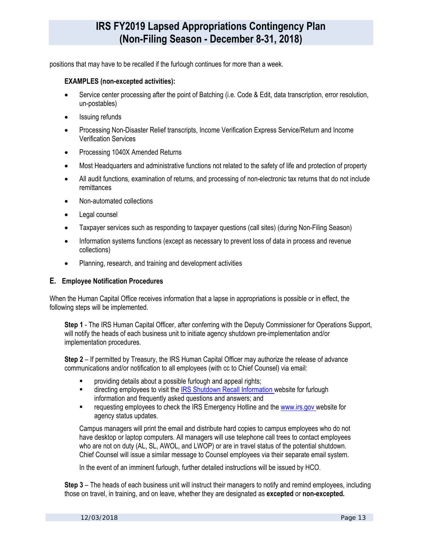positions that may have to be recalled if the furlough continues for more than a week.

#### **EXAMPLES (non-excepted activities):**

- Service center processing after the point of Batching (i.e. Code & Edit, data transcription, error resolution, un-postables)
- Issuing refunds
- Processing Non-Disaster Relief transcripts, Income Verification Express Service/Return and Income Verification Services
- Processing 1040X Amended Returns
- Most Headquarters and administrative functions not related to the safety of life and protection of property
- All audit functions, examination of returns, and processing of non-electronic tax returns that do not include remittances
- Non-automated collections
- Legal counsel
- Taxpayer services such as responding to taxpayer questions (call sites) (during Non-Filing Season)
- Information systems functions (except as necessary to prevent loss of data in process and revenue collections)
- Planning, research, and training and development activities

#### **E. Employee Notification Procedures**

When the Human Capital Office receives information that a lapse in appropriations is possible or in effect, the following steps will be implemented.

**Step 1** - The IRS Human Capital Officer, after conferring with the Deputy Commissioner for Operations Support, will notify the heads of each business unit to initiate agency shutdown pre-implementation and/or implementation procedures.

**Step 2** – If permitted by Treasury, the IRS Human Capital Officer may authorize the release of advance communications and/or notification to all employees (with cc to Chief Counsel) via email:

- **F** providing details about a possible furlough and appeal rights;
- **EXECT** directing employees to visit the **IRS Shutdown Recall Information** website for furlough information and frequently asked questions and answers; and
- **Fig. 2.5 Fig. 2.5 Fig. 2.5 Fig. 2.5 Fig. 2.5 Fig. 2.5 Fig. 2.5 Fig. 2.5 Fig. 2.5 Fig. 2.5 Fig. 2.5 Fig. 2.5 Fig. 2.5 Fig. 2.5 Fig. 2.5 Fig. 2.5 Fig. 2.5 Fig. 2.5 Fig. 2.5 Fig. 2.5 Fig. 2.5 Fig. 2.5 Fig. 2.5 Fig. 2.5 Fig.** agency status updates.

Campus managers will print the email and distribute hard copies to campus employees who do not have desktop or laptop computers. All managers will use telephone call trees to contact employees who are not on duty (AL, SL, AWOL, and LWOP) or are in travel status of the potential shutdown. Chief Counsel will issue a similar message to Counsel employees via their separate email system.

In the event of an imminent furlough, further detailed instructions will be issued by HCO.

**Step 3** – The heads of each business unit will instruct their managers to notify and remind employees, including those on travel, in training, and on leave, whether they are designated as **excepted** or **non-excepted.**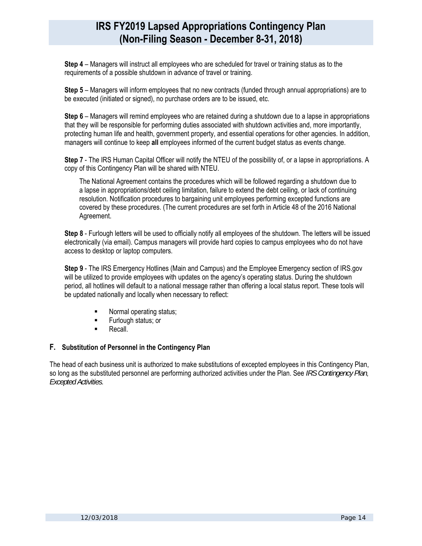**Step 4** – Managers will instruct all employees who are scheduled for travel or training status as to the requirements of a possible shutdown in advance of travel or training.

**Step 5** – Managers will inform employees that no new contracts (funded through annual appropriations) are to be executed (initiated or signed), no purchase orders are to be issued, etc.

**Step 6** – Managers will remind employees who are retained during a shutdown due to a lapse in appropriations that they will be responsible for performing duties associated with shutdown activities and, more importantly, protecting human life and health, government property, and essential operations for other agencies. In addition, managers will continue to keep **all** employees informed of the current budget status as events change.

**Step 7** - The IRS Human Capital Officer will notify the NTEU of the possibility of, or a lapse in appropriations. A copy of this Contingency Plan will be shared with NTEU.

The National Agreement contains the procedures which will be followed regarding a shutdown due to a lapse in appropriations/debt ceiling limitation, failure to extend the debt ceiling, or lack of continuing resolution. Notification procedures to bargaining unit employees performing excepted functions are covered by these procedures. (The current procedures are set forth in Article 48 of the 2016 National Agreement.

**Step 8** - Furlough letters will be used to officially notify all employees of the shutdown. The letters will be issued electronically (via email). Campus managers will provide hard copies to campus employees who do not have access to desktop or laptop computers.

**Step 9** - The IRS Emergency Hotlines (Main and Campus) and the Employee Emergency section of IRS.gov will be utilized to provide employees with updates on the agency's operating status. During the shutdown period, all hotlines will default to a national message rather than offering a local status report. These tools will be updated nationally and locally when necessary to reflect:

- Normal operating status;
- Furlough status; or
- Recall.

#### **F. Substitution of Personnel in the Contingency Plan**

The head of each business unit is authorized to make substitutions of excepted employees in this Contingency Plan, so long as the substituted personnel are performing authorized activities under the Plan. See *IRS Contingency Plan*, *Excepted Activities*.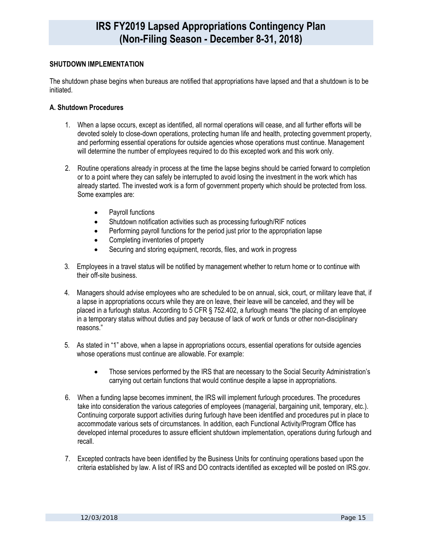#### **SHUTDOWN IMPLEMENTATION**

The shutdown phase begins when bureaus are notified that appropriations have lapsed and that a shutdown is to be initiated.

#### **A. Shutdown Procedures**

- 1. When a lapse occurs, except as identified, all normal operations will cease, and all further efforts will be devoted solely to close-down operations, protecting human life and health, protecting government property, and performing essential operations for outside agencies whose operations must continue. Management will determine the number of employees required to do this excepted work and this work only.
- 2. Routine operations already in process at the time the lapse begins should be carried forward to completion or to a point where they can safely be interrupted to avoid losing the investment in the work which has already started. The invested work is a form of government property which should be protected from loss. Some examples are:
	- Payroll functions
	- Shutdown notification activities such as processing furlough/RIF notices
	- Performing payroll functions for the period just prior to the appropriation lapse
	- Completing inventories of property
	- Securing and storing equipment, records, files, and work in progress
- 3. Employees in a travel status will be notified by management whether to return home or to continue with their off-site business.
- 4. Managers should advise employees who are scheduled to be on annual, sick, court, or military leave that, if a lapse in appropriations occurs while they are on leave, their leave will be canceled, and they will be placed in a furlough status. According to 5 CFR § 752.402, a furlough means "the placing of an employee in a temporary status without duties and pay because of lack of work or funds or other non-disciplinary reasons."
- 5. As stated in "1" above, when a lapse in appropriations occurs, essential operations for outside agencies whose operations must continue are allowable. For example:
	- Those services performed by the IRS that are necessary to the Social Security Administration's carrying out certain functions that would continue despite a lapse in appropriations.
- 6. When a funding lapse becomes imminent, the IRS will implement furlough procedures. The procedures take into consideration the various categories of employees (managerial, bargaining unit, temporary, etc.). Continuing corporate support activities during furlough have been identified and procedures put in place to accommodate various sets of circumstances. In addition, each Functional Activity/Program Office has developed internal procedures to assure efficient shutdown implementation, operations during furlough and recall.
- 7. Excepted contracts have been identified by the Business Units for continuing operations based upon the criteria established by law. A list of IRS and DO contracts identified as excepted will be posted on IRS.gov.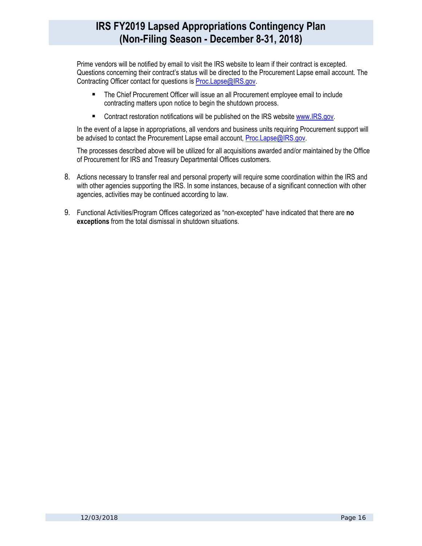Prime vendors will be notified by email to visit the IRS website to learn if their contract is excepted. Questions concerning their contract's status will be directed to the Procurement Lapse email account. The Contracting Officer contact for questions is Proc.Lapse@IRS.gov.

- The Chief Procurement Officer will issue an all Procurement employee email to include contracting matters upon notice to begin the shutdown process.
- Contract restoration notifications will be published on the IRS website www.IRS.gov.

In the event of a lapse in appropriations, all vendors and business units requiring Procurement support will be advised to contact the Procurement Lapse email account, Proc.Lapse@IRS.gov.

The processes described above will be utilized for all acquisitions awarded and/or maintained by the Office of Procurement for IRS and Treasury Departmental Offices customers.

- 8. Actions necessary to transfer real and personal property will require some coordination within the IRS and with other agencies supporting the IRS. In some instances, because of a significant connection with other agencies, activities may be continued according to law.
- 9. Functional Activities/Program Offices categorized as "non-excepted" have indicated that there are **no exceptions** from the total dismissal in shutdown situations.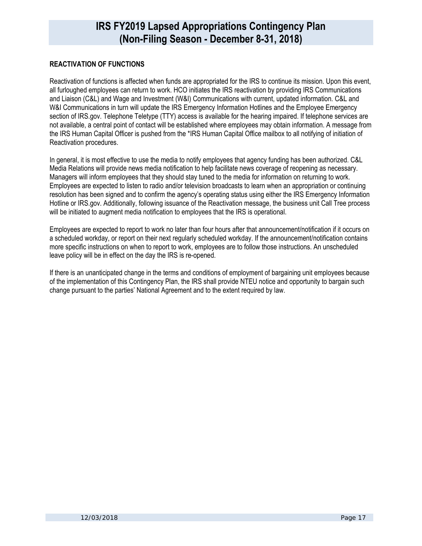#### **REACTIVATION OF FUNCTIONS**

Reactivation of functions is affected when funds are appropriated for the IRS to continue its mission. Upon this event, all furloughed employees can return to work. HCO initiates the IRS reactivation by providing IRS Communications and Liaison (C&L) and Wage and Investment (W&I) Communications with current, updated information. C&L and W&I Communications in turn will update the IRS Emergency Information Hotlines and the Employee Emergency section of IRS.gov. Telephone Teletype (TTY) access is available for the hearing impaired. If telephone services are not available, a central point of contact will be established where employees may obtain information. A message from the IRS Human Capital Officer is pushed from the \*IRS Human Capital Office mailbox to all notifying of initiation of Reactivation procedures.

In general, it is most effective to use the media to notify employees that agency funding has been authorized. C&L Media Relations will provide news media notification to help facilitate news coverage of reopening as necessary. Managers will inform employees that they should stay tuned to the media for information on returning to work. Employees are expected to listen to radio and/or television broadcasts to learn when an appropriation or continuing resolution has been signed and to confirm the agency's operating status using either the IRS Emergency Information Hotline or IRS.gov. Additionally, following issuance of the Reactivation message, the business unit Call Tree process will be initiated to augment media notification to employees that the IRS is operational.

Employees are expected to report to work no later than four hours after that announcement/notification if it occurs on a scheduled workday, or report on their next regularly scheduled workday. If the announcement/notification contains more specific instructions on when to report to work, employees are to follow those instructions. An unscheduled leave policy will be in effect on the day the IRS is re-opened.

If there is an unanticipated change in the terms and conditions of employment of bargaining unit employees because of the implementation of this Contingency Plan, the IRS shall provide NTEU notice and opportunity to bargain such change pursuant to the parties' National Agreement and to the extent required by law.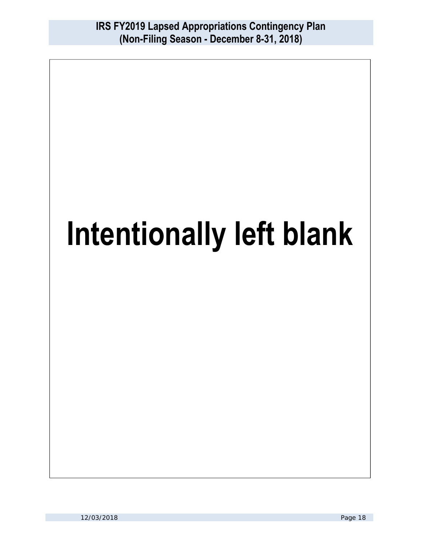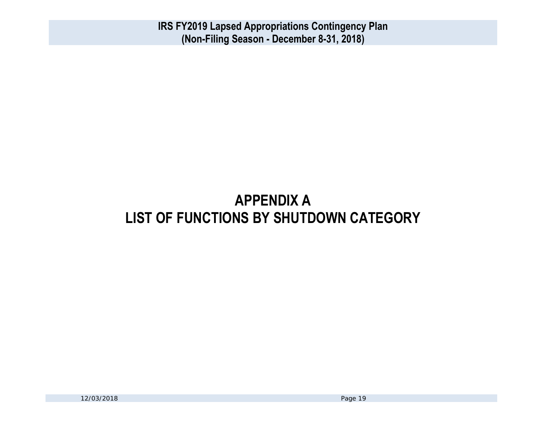## **APPENDIX A LIST OF FUNCTIONS BY SHUTDOWN CATEGORY**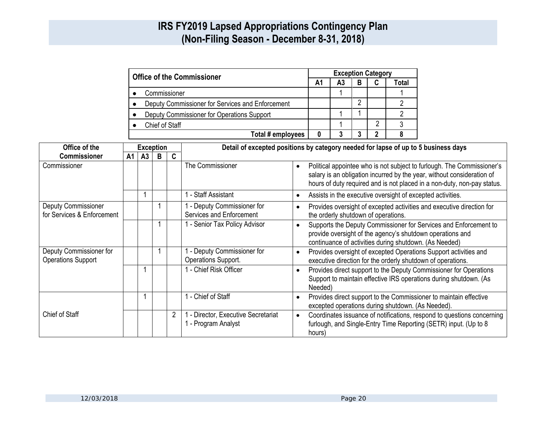|                                                      |                               |                                                                                                                                                                                                      |                       |                                                                                                                                                                                          | <b>Office of the Commissioner</b>                                                  |                                                                                                                                                                                                                                          |                |                |                | <b>Exception Category</b> |                |                                                                                                                                            |
|------------------------------------------------------|-------------------------------|------------------------------------------------------------------------------------------------------------------------------------------------------------------------------------------------------|-----------------------|------------------------------------------------------------------------------------------------------------------------------------------------------------------------------------------|------------------------------------------------------------------------------------|------------------------------------------------------------------------------------------------------------------------------------------------------------------------------------------------------------------------------------------|----------------|----------------|----------------|---------------------------|----------------|--------------------------------------------------------------------------------------------------------------------------------------------|
|                                                      |                               |                                                                                                                                                                                                      |                       |                                                                                                                                                                                          |                                                                                    |                                                                                                                                                                                                                                          | A <sub>1</sub> | A <sub>3</sub> | B              | C                         | <b>Total</b>   |                                                                                                                                            |
|                                                      |                               |                                                                                                                                                                                                      | Commissioner          |                                                                                                                                                                                          |                                                                                    |                                                                                                                                                                                                                                          |                |                |                |                           |                |                                                                                                                                            |
|                                                      |                               |                                                                                                                                                                                                      |                       |                                                                                                                                                                                          | Deputy Commissioner for Services and Enforcement                                   |                                                                                                                                                                                                                                          |                |                | $\overline{2}$ |                           | $\overline{2}$ |                                                                                                                                            |
|                                                      |                               |                                                                                                                                                                                                      |                       |                                                                                                                                                                                          | Deputy Commissioner for Operations Support                                         |                                                                                                                                                                                                                                          |                |                |                |                           | $\overline{2}$ |                                                                                                                                            |
|                                                      |                               |                                                                                                                                                                                                      | <b>Chief of Staff</b> |                                                                                                                                                                                          |                                                                                    |                                                                                                                                                                                                                                          |                |                |                | $\overline{2}$            | 3              |                                                                                                                                            |
|                                                      |                               |                                                                                                                                                                                                      |                       |                                                                                                                                                                                          | Total # employees                                                                  |                                                                                                                                                                                                                                          | $\mathbf{0}$   | 3              | 3              | $\mathbf 2$               | 8              |                                                                                                                                            |
| Office of the                                        |                               |                                                                                                                                                                                                      | <b>Exception</b>      |                                                                                                                                                                                          | Detail of excepted positions by category needed for lapse of up to 5 business days |                                                                                                                                                                                                                                          |                |                |                |                           |                |                                                                                                                                            |
| <b>Commissioner</b>                                  | A1                            | A <sub>3</sub>                                                                                                                                                                                       | B                     | $\mathbf{C}$                                                                                                                                                                             |                                                                                    |                                                                                                                                                                                                                                          |                |                |                |                           |                |                                                                                                                                            |
| Commissioner                                         |                               |                                                                                                                                                                                                      |                       |                                                                                                                                                                                          | The Commissioner                                                                   | Political appointee who is not subject to furlough. The Commissioner's<br>$\bullet$<br>salary is an obligation incurred by the year, without consideration of<br>hours of duty required and is not placed in a non-duty, non-pay status. |                |                |                |                           |                |                                                                                                                                            |
|                                                      |                               |                                                                                                                                                                                                      |                       |                                                                                                                                                                                          | - Staff Assistant                                                                  | $\bullet$                                                                                                                                                                                                                                |                |                |                |                           |                | Assists in the executive oversight of excepted activities.                                                                                 |
| Deputy Commissioner<br>for Services & Enforcement    |                               |                                                                                                                                                                                                      |                       | - Deputy Commissioner for<br>Provides oversight of excepted activities and executive direction for<br>$\bullet$<br>Services and Enforcement<br>the orderly shutdown of operations.       |                                                                                    |                                                                                                                                                                                                                                          |                |                |                |                           |                |                                                                                                                                            |
|                                                      | 1 - Senior Tax Policy Advisor | Supports the Deputy Commissioner for Services and Enforcement to<br>$\bullet$<br>provide oversight of the agency's shutdown operations and<br>continuance of activities during shutdown. (As Needed) |                       |                                                                                                                                                                                          |                                                                                    |                                                                                                                                                                                                                                          |                |                |                |                           |                |                                                                                                                                            |
| Deputy Commissioner for<br><b>Operations Support</b> |                               |                                                                                                                                                                                                      |                       |                                                                                                                                                                                          | - Deputy Commissioner for<br>Operations Support.                                   | $\bullet$                                                                                                                                                                                                                                |                |                |                |                           |                | Provides oversight of excepted Operations Support activities and<br>executive direction for the orderly shutdown of operations.            |
|                                                      |                               |                                                                                                                                                                                                      |                       | 1 - Chief Risk Officer<br>Provides direct support to the Deputy Commissioner for Operations<br>$\bullet$<br>Support to maintain effective IRS operations during shutdown. (As<br>Needed) |                                                                                    |                                                                                                                                                                                                                                          |                |                |                |                           |                |                                                                                                                                            |
|                                                      |                               |                                                                                                                                                                                                      |                       |                                                                                                                                                                                          | 1 - Chief of Staff                                                                 | $\bullet$                                                                                                                                                                                                                                |                |                |                |                           |                | Provides direct support to the Commissioner to maintain effective<br>excepted operations during shutdown. (As Needed).                     |
| <b>Chief of Staff</b>                                |                               |                                                                                                                                                                                                      |                       | $\overline{2}$                                                                                                                                                                           | - Director, Executive Secretariat<br>1 - Program Analyst                           | $\bullet$                                                                                                                                                                                                                                | hours)         |                |                |                           |                | Coordinates issuance of notifications, respond to questions concerning<br>furlough, and Single-Entry Time Reporting (SETR) input. (Up to 8 |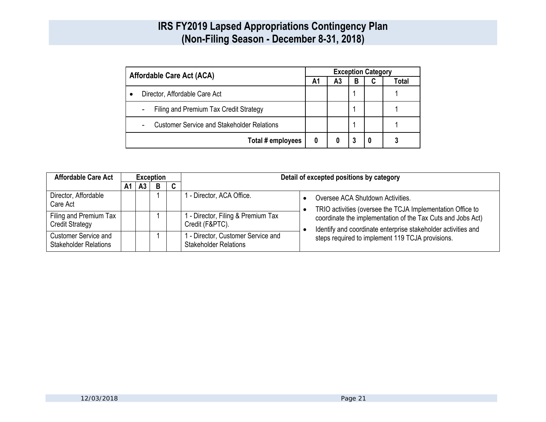|                               | <b>Affordable Care Act (ACA)</b>                                   | <b>Exception Category</b> |    |   |   |       |  |  |  |  |  |
|-------------------------------|--------------------------------------------------------------------|---------------------------|----|---|---|-------|--|--|--|--|--|
|                               |                                                                    | A1                        | A3 | В | u | Гоtal |  |  |  |  |  |
| Director, Affordable Care Act |                                                                    |                           |    |   |   |       |  |  |  |  |  |
|                               | Filing and Premium Tax Credit Strategy<br>$\overline{\phantom{a}}$ |                           |    |   |   |       |  |  |  |  |  |
|                               | <b>Customer Service and Stakeholder Relations</b>                  |                           |    |   |   |       |  |  |  |  |  |
|                               | Total # employees                                                  | 0                         |    |   |   |       |  |  |  |  |  |

| <b>Affordable Care Act</b>                                  |    | <b>Exception</b> | Detail of excepted positions by category |                                                                  |                                                                                                                              |  |  |  |  |  |  |
|-------------------------------------------------------------|----|------------------|------------------------------------------|------------------------------------------------------------------|------------------------------------------------------------------------------------------------------------------------------|--|--|--|--|--|--|
|                                                             | A3 | B                | C                                        |                                                                  |                                                                                                                              |  |  |  |  |  |  |
| Director, Affordable<br>Care Act                            |    |                  |                                          | l - Director, ACA Office.                                        | Oversee ACA Shutdown Activities.<br>TRIO activities (oversee the TCJA Implementation Office to                               |  |  |  |  |  |  |
| Filing and Premium Tax<br><b>Credit Strategy</b>            |    |                  |                                          | 1 - Director, Filing & Premium Tax<br>Credit (F&PTC).            | coordinate the implementation of the Tax Cuts and Jobs Act)<br>Identify and coordinate enterprise stakeholder activities and |  |  |  |  |  |  |
| <b>Customer Service and</b><br><b>Stakeholder Relations</b> |    |                  |                                          | - Director, Customer Service and<br><b>Stakeholder Relations</b> | steps required to implement 119 TCJA provisions.                                                                             |  |  |  |  |  |  |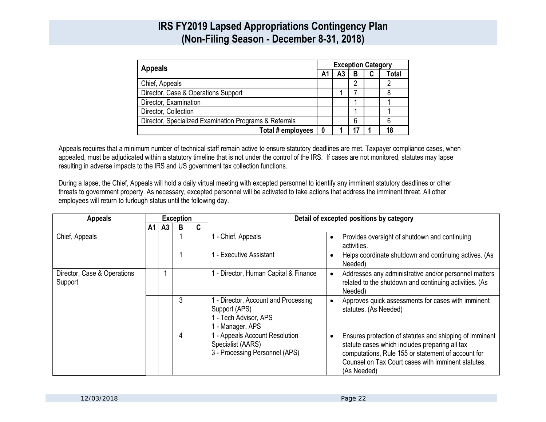| <b>Appeals</b>                                         | <b>Exception Category</b> |    |   |   |       |  |  |  |  |
|--------------------------------------------------------|---------------------------|----|---|---|-------|--|--|--|--|
|                                                        | Α1                        | A3 | В | C | Total |  |  |  |  |
| Chief, Appeals                                         |                           |    | n |   |       |  |  |  |  |
| Director, Case & Operations Support                    |                           |    |   |   |       |  |  |  |  |
| Director, Examination                                  |                           |    |   |   |       |  |  |  |  |
| Director, Collection                                   |                           |    |   |   |       |  |  |  |  |
| Director, Specialized Examination Programs & Referrals |                           |    | 6 |   |       |  |  |  |  |
| Total # employees                                      |                           |    |   |   |       |  |  |  |  |

Appeals requires that a minimum number of technical staff remain active to ensure statutory deadlines are met. Taxpayer compliance cases, when appealed, must be adjudicated within a statutory timeline that is not under the control of the IRS. If cases are not monitored, statutes may lapse resulting in adverse impacts to the IRS and US government tax collection functions.

During a lapse, the Chief, Appeals will hold a daily virtual meeting with excepted personnel to identify any imminent statutory deadlines or other threats to government property. As necessary, excepted personnel will be activated to take actions that address the imminent threat. All other employees will return to furlough status until the following day.

| <b>Appeals</b>                         |           | <b>Exception</b> |   | Detail of excepted positions by category                                                           |                                                                                                                                                                                                                                      |  |  |
|----------------------------------------|-----------|------------------|---|----------------------------------------------------------------------------------------------------|--------------------------------------------------------------------------------------------------------------------------------------------------------------------------------------------------------------------------------------|--|--|
|                                        | $A1$ $A3$ | B                | C |                                                                                                    |                                                                                                                                                                                                                                      |  |  |
| Chief, Appeals                         |           |                  |   | 1 - Chief, Appeals                                                                                 | Provides oversight of shutdown and continuing<br>$\bullet$<br>activities.                                                                                                                                                            |  |  |
|                                        |           |                  |   | 1 - Executive Assistant                                                                            | Helps coordinate shutdown and continuing actives. (As<br>Needed)                                                                                                                                                                     |  |  |
| Director, Case & Operations<br>Support |           |                  |   | 1 - Director, Human Capital & Finance                                                              | Addresses any administrative and/or personnel matters<br>$\bullet$<br>related to the shutdown and continuing activities. (As<br>Needed)                                                                                              |  |  |
|                                        |           | 3                |   | 1 - Director, Account and Processing<br>Support (APS)<br>1 - Tech Advisor, APS<br>1 - Manager, APS | Approves quick assessments for cases with imminent<br>statutes. (As Needed)                                                                                                                                                          |  |  |
|                                        |           | 4                |   | - Appeals Account Resolution<br>Specialist (AARS)<br>3 - Processing Personnel (APS)                | Ensures protection of statutes and shipping of imminent<br>statute cases which includes preparing all tax<br>computations, Rule 155 or statement of account for<br>Counsel on Tax Court cases with imminent statutes.<br>(As Needed) |  |  |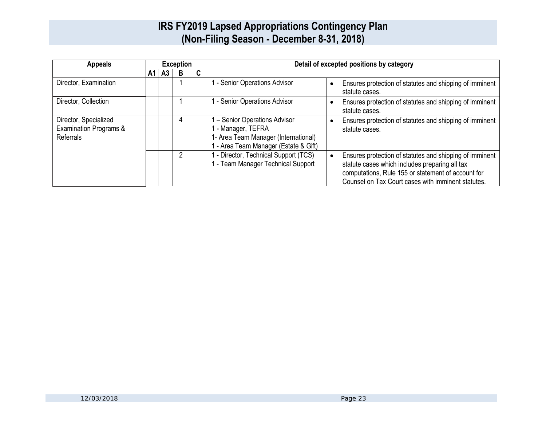| <b>Appeals</b>                                                          |    |                | <b>Exception</b> |   | Detail of excepted positions by category                                                                                       |                                                                                                                                                                                                                       |  |  |  |
|-------------------------------------------------------------------------|----|----------------|------------------|---|--------------------------------------------------------------------------------------------------------------------------------|-----------------------------------------------------------------------------------------------------------------------------------------------------------------------------------------------------------------------|--|--|--|
|                                                                         | A1 | A <sub>3</sub> | B                | C |                                                                                                                                |                                                                                                                                                                                                                       |  |  |  |
| Director, Examination                                                   |    |                |                  |   | - Senior Operations Advisor                                                                                                    | Ensures protection of statutes and shipping of imminent<br>statute cases.                                                                                                                                             |  |  |  |
| Director, Collection                                                    |    |                |                  |   | - Senior Operations Advisor                                                                                                    | Ensures protection of statutes and shipping of imminent<br>statute cases.                                                                                                                                             |  |  |  |
| Director, Specialized<br><b>Examination Programs &amp;</b><br>Referrals |    |                | 4                |   | - Senior Operations Advisor<br>- Manager, TEFRA<br>1- Area Team Manager (International)<br>- Area Team Manager (Estate & Gift) | Ensures protection of statutes and shipping of imminent<br>statute cases.                                                                                                                                             |  |  |  |
|                                                                         |    |                | 2                |   | I - Director, Technical Support (TCS)<br>- Team Manager Technical Support                                                      | Ensures protection of statutes and shipping of imminent<br>statute cases which includes preparing all tax<br>computations, Rule 155 or statement of account for<br>Counsel on Tax Court cases with imminent statutes. |  |  |  |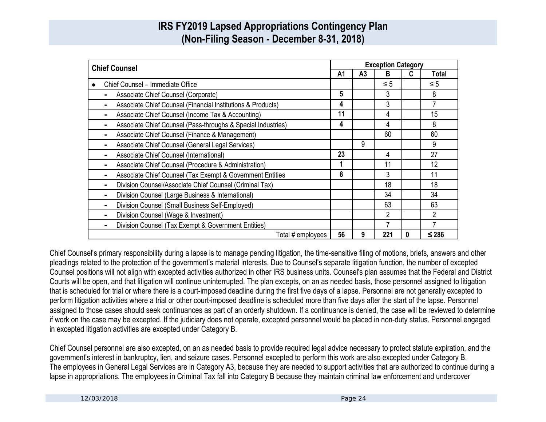| <b>Chief Counsel</b>                                         | <b>Exception Category</b> |                |          |   |            |  |  |  |  |  |
|--------------------------------------------------------------|---------------------------|----------------|----------|---|------------|--|--|--|--|--|
|                                                              | A1                        | A <sub>3</sub> | B        | C | Total      |  |  |  |  |  |
| Chief Counsel - Immediate Office                             |                           |                | $\leq 5$ |   | $\leq 5$   |  |  |  |  |  |
| Associate Chief Counsel (Corporate)                          | 5                         |                | 3        |   | 8          |  |  |  |  |  |
| Associate Chief Counsel (Financial Institutions & Products)  | 4                         |                | 3        |   | 7          |  |  |  |  |  |
| Associate Chief Counsel (Income Tax & Accounting)            | 11                        |                | 4        |   | 15         |  |  |  |  |  |
| Associate Chief Counsel (Pass-throughs & Special Industries) | 4                         |                | 4        |   | 8          |  |  |  |  |  |
| Associate Chief Counsel (Finance & Management)               |                           |                | 60       |   | 60         |  |  |  |  |  |
| Associate Chief Counsel (General Legal Services)             |                           | 9              |          |   | 9          |  |  |  |  |  |
| Associate Chief Counsel (International)                      | 23                        |                | 4        |   | 27         |  |  |  |  |  |
| Associate Chief Counsel (Procedure & Administration)         |                           |                | 11       |   | 12         |  |  |  |  |  |
| Associate Chief Counsel (Tax Exempt & Government Entities    | 8                         |                | 3        |   | 11         |  |  |  |  |  |
| Division Counsel/Associate Chief Counsel (Criminal Tax)      |                           |                | 18       |   | 18         |  |  |  |  |  |
| Division Counsel (Large Business & International)            |                           |                | 34       |   | 34         |  |  |  |  |  |
| Division Counsel (Small Business Self-Employed)              |                           |                | 63       |   | 63         |  |  |  |  |  |
| Division Counsel (Wage & Investment)                         |                           |                | 2        |   | 2          |  |  |  |  |  |
| Division Counsel (Tax Exempt & Government Entities)          |                           |                | 7        |   |            |  |  |  |  |  |
| Total # employees                                            | 56                        | 9              | 221      | 0 | $\leq$ 286 |  |  |  |  |  |

Chief Counsel's primary responsibility during a lapse is to manage pending litigation, the time-sensitive filing of motions, briefs, answers and other pleadings related to the protection of the government's material interests. Due to Counsel's separate litigation function, the number of excepted Counsel positions will not align with excepted activities authorized in other IRS business units. Counsel's plan assumes that the Federal and District Courts will be open, and that litigation will continue uninterrupted. The plan excepts, on an as needed basis, those personnel assigned to litigation that is scheduled for trial or where there is a court-imposed deadline during the first five days of a lapse. Personnel are not generally excepted to perform litigation activities where a trial or other court-imposed deadline is scheduled more than five days after the start of the lapse. Personnel assigned to those cases should seek continuances as part of an orderly shutdown. If a continuance is denied, the case will be reviewed to determine if work on the case may be excepted. If the judiciary does not operate, excepted personnel would be placed in non-duty status. Personnel engaged in excepted litigation activities are excepted under Category B.

Chief Counsel personnel are also excepted, on an as needed basis to provide required legal advice necessary to protect statute expiration, and the government's interest in bankruptcy, lien, and seizure cases. Personnel excepted to perform this work are also excepted under Category B. The employees in General Legal Services are in Category A3, because they are needed to support activities that are authorized to continue during a lapse in appropriations. The employees in Criminal Tax fall into Category B because they maintain criminal law enforcement and undercover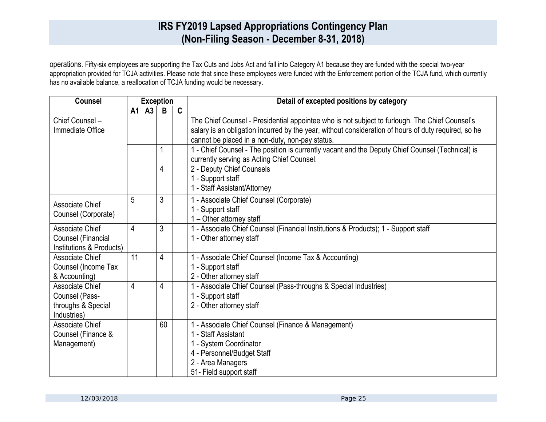operations. Fifty-six employees are supporting the Tax Cuts and Jobs Act and fall into Category A1 because they are funded with the special two-year appropriation provided for TCJA activities. Please note that since these employees were funded with the Enforcement portion of the TCJA fund, which currently has no available balance, a reallocation of TCJA funding would be necessary.

| <b>Counsel</b>                                                         | <b>Exception</b> |                |    |              | Detail of excepted positions by category                                                                                                                                                                                                                  |
|------------------------------------------------------------------------|------------------|----------------|----|--------------|-----------------------------------------------------------------------------------------------------------------------------------------------------------------------------------------------------------------------------------------------------------|
|                                                                        | A1               | A <sub>3</sub> | B  | $\mathbf{C}$ |                                                                                                                                                                                                                                                           |
| Chief Counsel -<br>Immediate Office                                    |                  |                |    |              | The Chief Counsel - Presidential appointee who is not subject to furlough. The Chief Counsel's<br>salary is an obligation incurred by the year, without consideration of hours of duty required, so he<br>cannot be placed in a non-duty, non-pay status. |
|                                                                        |                  |                | 1  |              | 1 - Chief Counsel - The position is currently vacant and the Deputy Chief Counsel (Technical) is<br>currently serving as Acting Chief Counsel.                                                                                                            |
|                                                                        |                  |                | 4  |              | 2 - Deputy Chief Counsels<br>- Support staff<br>1 - Staff Assistant/Attorney                                                                                                                                                                              |
| Associate Chief<br>Counsel (Corporate)                                 | 5                |                | 3  |              | - Associate Chief Counsel (Corporate)<br>- Support staff<br>- Other attorney staff                                                                                                                                                                        |
| Associate Chief<br>Counsel (Financial<br>Institutions & Products)      | 4                |                | 3  |              | 1 - Associate Chief Counsel (Financial Institutions & Products); 1 - Support staff<br>1 - Other attorney staff                                                                                                                                            |
| Associate Chief<br>Counsel (Income Tax<br>& Accounting)                | 11               |                | 4  |              | - Associate Chief Counsel (Income Tax & Accounting)<br>1 - Support staff<br>2 - Other attorney staff                                                                                                                                                      |
| Associate Chief<br>Counsel (Pass-<br>throughs & Special<br>Industries) | 4                |                | 4  |              | - Associate Chief Counsel (Pass-throughs & Special Industries)<br>1 - Support staff<br>2 - Other attorney staff                                                                                                                                           |
| Associate Chief<br>Counsel (Finance &<br>Management)                   |                  |                | 60 |              | - Associate Chief Counsel (Finance & Management)<br>1 - Staff Assistant<br>1 - System Coordinator<br>4 - Personnel/Budget Staff<br>2 - Area Managers<br>51- Field support staff                                                                           |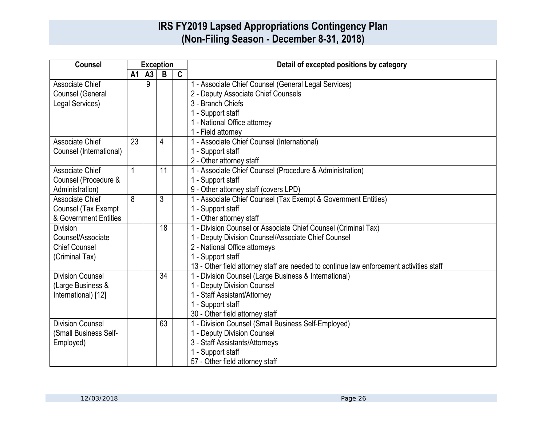| <b>Counsel</b>          | <b>Exception</b> |    |    | Detail of excepted positions by category |                                                                                         |
|-------------------------|------------------|----|----|------------------------------------------|-----------------------------------------------------------------------------------------|
|                         | A <sub>1</sub>   | A3 | B  | $\mathbf{C}$                             |                                                                                         |
| Associate Chief         |                  | 9  |    |                                          | 1 - Associate Chief Counsel (General Legal Services)                                    |
| Counsel (General        |                  |    |    |                                          | 2 - Deputy Associate Chief Counsels                                                     |
| Legal Services)         |                  |    |    |                                          | 3 - Branch Chiefs                                                                       |
|                         |                  |    |    |                                          | 1 - Support staff                                                                       |
|                         |                  |    |    |                                          | 1 - National Office attorney                                                            |
|                         |                  |    |    |                                          | 1 - Field attorney                                                                      |
| Associate Chief         | 23               |    | 4  |                                          | 1 - Associate Chief Counsel (International)                                             |
| Counsel (International) |                  |    |    |                                          | 1 - Support staff                                                                       |
|                         |                  |    |    |                                          | 2 - Other attorney staff                                                                |
| Associate Chief         |                  |    | 11 |                                          | 1 - Associate Chief Counsel (Procedure & Administration)                                |
| Counsel (Procedure &    |                  |    |    |                                          | 1 - Support staff                                                                       |
| Administration)         |                  |    |    |                                          | 9 - Other attorney staff (covers LPD)                                                   |
| Associate Chief         | 8                |    | 3  |                                          | 1 - Associate Chief Counsel (Tax Exempt & Government Entities)                          |
| Counsel (Tax Exempt     |                  |    |    |                                          | 1 - Support staff                                                                       |
| & Government Entities   |                  |    |    |                                          | 1 - Other attorney staff                                                                |
| <b>Division</b>         |                  |    | 18 |                                          | 1 - Division Counsel or Associate Chief Counsel (Criminal Tax)                          |
| Counsel/Associate       |                  |    |    |                                          | 1 - Deputy Division Counsel/Associate Chief Counsel                                     |
| <b>Chief Counsel</b>    |                  |    |    |                                          | 2 - National Office attorneys                                                           |
| (Criminal Tax)          |                  |    |    |                                          | 1 - Support staff                                                                       |
|                         |                  |    |    |                                          | 13 - Other field attorney staff are needed to continue law enforcement activities staff |
| <b>Division Counsel</b> |                  |    | 34 |                                          | 1 - Division Counsel (Large Business & International)                                   |
| (Large Business &       |                  |    |    |                                          | 1 - Deputy Division Counsel                                                             |
| International) [12]     |                  |    |    |                                          | 1 - Staff Assistant/Attorney                                                            |
|                         |                  |    |    |                                          | 1 - Support staff                                                                       |
|                         |                  |    |    |                                          | 30 - Other field attorney staff                                                         |
| <b>Division Counsel</b> |                  |    | 63 |                                          | 1 - Division Counsel (Small Business Self-Employed)                                     |
| (Small Business Self-   |                  |    |    |                                          | 1 - Deputy Division Counsel                                                             |
| Employed)               |                  |    |    |                                          | 3 - Staff Assistants/Attorneys                                                          |
|                         |                  |    |    |                                          | 1 - Support staff                                                                       |
|                         |                  |    |    |                                          | 57 - Other field attorney staff                                                         |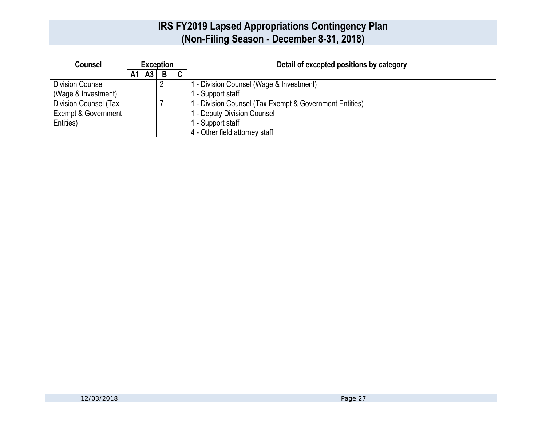| <b>Counsel</b>          |           | <b>Exception</b> |   | Detail of excepted positions by category              |  |  |  |
|-------------------------|-----------|------------------|---|-------------------------------------------------------|--|--|--|
|                         | $A1$ $A3$ | B                | C |                                                       |  |  |  |
| <b>Division Counsel</b> |           |                  |   | - Division Counsel (Wage & Investment)                |  |  |  |
| (Wage & Investment)     |           |                  |   | - Support staff                                       |  |  |  |
| Division Counsel (Tax   |           |                  |   | - Division Counsel (Tax Exempt & Government Entities) |  |  |  |
| Exempt & Government     |           |                  |   | - Deputy Division Counsel                             |  |  |  |
| Entities)               |           |                  |   | - Support staff                                       |  |  |  |
|                         |           |                  |   | 4 - Other field attorney staff                        |  |  |  |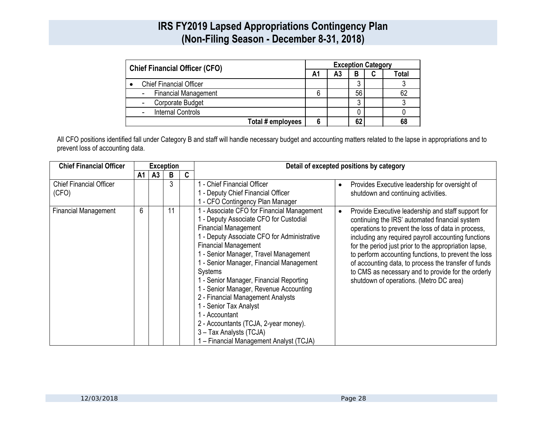| <b>Chief Financial Officer (CFO)</b> | <b>Exception Category</b> |    |    |  |       |  |  |  |
|--------------------------------------|---------------------------|----|----|--|-------|--|--|--|
|                                      | Α1                        | A3 | B  |  | Total |  |  |  |
| <b>Chief Financial Officer</b>       |                           |    |    |  |       |  |  |  |
| <b>Financial Management</b>          |                           |    | 56 |  | 62    |  |  |  |
| Corporate Budget                     |                           |    | ◠  |  |       |  |  |  |
| <b>Internal Controls</b>             |                           |    |    |  |       |  |  |  |
| Total # employees                    |                           |    | 62 |  | 68    |  |  |  |

All CFO positions identified fall under Category B and staff will handle necessary budget and accounting matters related to the lapse in appropriations and to prevent loss of accounting data.

| <b>Chief Financial Officer</b>          |    |                | <b>Exception</b> | Detail of excepted positions by category |                                                                                                                                                                                                                                                                                                                                                                                                                                                                                                                                                                           |                                                                                                                                                                                                                                                                                                                                                                                                                                                                                                  |  |  |  |
|-----------------------------------------|----|----------------|------------------|------------------------------------------|---------------------------------------------------------------------------------------------------------------------------------------------------------------------------------------------------------------------------------------------------------------------------------------------------------------------------------------------------------------------------------------------------------------------------------------------------------------------------------------------------------------------------------------------------------------------------|--------------------------------------------------------------------------------------------------------------------------------------------------------------------------------------------------------------------------------------------------------------------------------------------------------------------------------------------------------------------------------------------------------------------------------------------------------------------------------------------------|--|--|--|
|                                         | A1 | A <sub>3</sub> | B                | C                                        |                                                                                                                                                                                                                                                                                                                                                                                                                                                                                                                                                                           |                                                                                                                                                                                                                                                                                                                                                                                                                                                                                                  |  |  |  |
| <b>Chief Financial Officer</b><br>(CFO) |    |                | 3                |                                          | - Chief Financial Officer<br>- Deputy Chief Financial Officer<br>- CFO Contingency Plan Manager                                                                                                                                                                                                                                                                                                                                                                                                                                                                           | Provides Executive leadership for oversight of<br>$\bullet$<br>shutdown and continuing activities.                                                                                                                                                                                                                                                                                                                                                                                               |  |  |  |
| <b>Financial Management</b>             | 6  |                | 11               |                                          | - Associate CFO for Financial Management<br>- Deputy Associate CFO for Custodial<br><b>Financial Management</b><br>- Deputy Associate CFO for Administrative<br><b>Financial Management</b><br>- Senior Manager, Travel Management<br>- Senior Manager, Financial Management<br><b>Systems</b><br>- Senior Manager, Financial Reporting<br>- Senior Manager, Revenue Accounting<br>2 - Financial Management Analysts<br>- Senior Tax Analyst<br>- Accountant<br>2 - Accountants (TCJA, 2-year money).<br>3 - Tax Analysts (TCJA)<br>- Financial Management Analyst (TCJA) | Provide Executive leadership and staff support for<br>٠<br>continuing the IRS' automated financial system<br>operations to prevent the loss of data in process,<br>including any required payroll accounting functions<br>for the period just prior to the appropriation lapse,<br>to perform accounting functions, to prevent the loss<br>of accounting data, to process the transfer of funds<br>to CMS as necessary and to provide for the orderly<br>shutdown of operations. (Metro DC area) |  |  |  |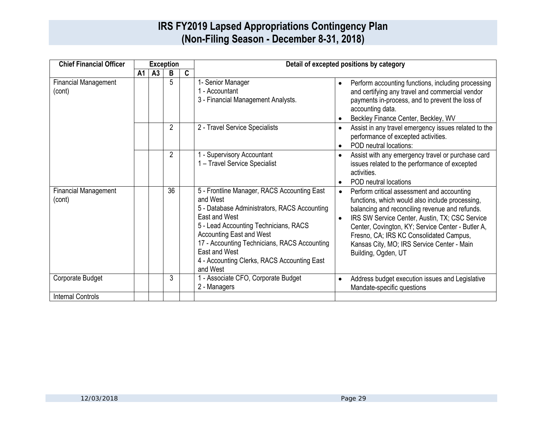| <b>Chief Financial Officer</b>        |                |                | Detail of excepted positions by category<br><b>Exception</b> |    |                                                                                                                                                                                                                                                                                                                                  |                                                                                                                                                                                                                                                                                                                                                                                                  |  |  |
|---------------------------------------|----------------|----------------|--------------------------------------------------------------|----|----------------------------------------------------------------------------------------------------------------------------------------------------------------------------------------------------------------------------------------------------------------------------------------------------------------------------------|--------------------------------------------------------------------------------------------------------------------------------------------------------------------------------------------------------------------------------------------------------------------------------------------------------------------------------------------------------------------------------------------------|--|--|
|                                       | A <sub>1</sub> | A <sub>3</sub> | B                                                            | C. |                                                                                                                                                                                                                                                                                                                                  |                                                                                                                                                                                                                                                                                                                                                                                                  |  |  |
| <b>Financial Management</b><br>(cont) |                |                | 5                                                            |    | 1- Senior Manager<br>1 - Accountant<br>3 - Financial Management Analysts.                                                                                                                                                                                                                                                        | Perform accounting functions, including processing<br>$\bullet$<br>and certifying any travel and commercial vendor<br>payments in-process, and to prevent the loss of<br>accounting data.<br>Beckley Finance Center, Beckley, WV<br>$\bullet$                                                                                                                                                    |  |  |
|                                       |                |                | $\overline{2}$                                               |    | 2 - Travel Service Specialists                                                                                                                                                                                                                                                                                                   | Assist in any travel emergency issues related to the<br>$\bullet$<br>performance of excepted activities.<br>POD neutral locations:<br>$\bullet$                                                                                                                                                                                                                                                  |  |  |
|                                       |                |                | 2                                                            |    | 1 - Supervisory Accountant<br>1 - Travel Service Specialist                                                                                                                                                                                                                                                                      | Assist with any emergency travel or purchase card<br>٠<br>issues related to the performance of excepted<br>activities.<br>POD neutral locations<br>$\bullet$                                                                                                                                                                                                                                     |  |  |
| <b>Financial Management</b><br>(cont) |                |                | 36                                                           |    | 5 - Frontline Manager, RACS Accounting East<br>and West<br>5 - Database Administrators, RACS Accounting<br>East and West<br>5 - Lead Accounting Technicians, RACS<br><b>Accounting East and West</b><br>17 - Accounting Technicians, RACS Accounting<br>East and West<br>4 - Accounting Clerks, RACS Accounting East<br>and West | Perform critical assessment and accounting<br>$\bullet$<br>functions, which would also include processing,<br>balancing and reconciling revenue and refunds.<br>IRS SW Service Center, Austin, TX; CSC Service<br>$\bullet$<br>Center, Covington, KY; Service Center - Butler A,<br>Fresno, CA; IRS KC Consolidated Campus,<br>Kansas City, MO; IRS Service Center - Main<br>Building, Ogden, UT |  |  |
| Corporate Budget                      |                |                | 3                                                            |    | 1 - Associate CFO, Corporate Budget<br>2 - Managers                                                                                                                                                                                                                                                                              | Address budget execution issues and Legislative<br>$\bullet$<br>Mandate-specific questions                                                                                                                                                                                                                                                                                                       |  |  |
| <b>Internal Controls</b>              |                |                |                                                              |    |                                                                                                                                                                                                                                                                                                                                  |                                                                                                                                                                                                                                                                                                                                                                                                  |  |  |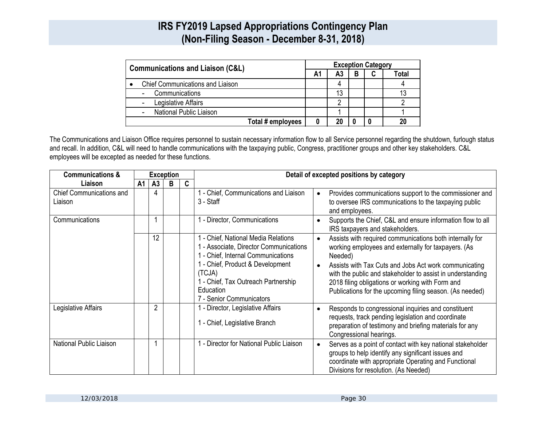| <b>Communications and Liaison (C&amp;L)</b> | <b>Exception Category</b> |    |   |  |       |  |  |  |
|---------------------------------------------|---------------------------|----|---|--|-------|--|--|--|
|                                             | A1                        | А3 | B |  | Total |  |  |  |
| Chief Communications and Liaison            |                           | 4  |   |  |       |  |  |  |
| Communications                              |                           | 13 |   |  | 13    |  |  |  |
| Legislative Affairs                         |                           | າ  |   |  |       |  |  |  |
| <b>National Public Liaison</b>              |                           |    |   |  |       |  |  |  |
| Total # employees                           |                           | 20 |   |  | 20    |  |  |  |

The Communications and Liaison Office requires personnel to sustain necessary information flow to all Service personnel regarding the shutdown, furlough status and recall. In addition, C&L will need to handle communications with the taxpaying public, Congress, practitioner groups and other key stakeholders. C&L employees will be excepted as needed for these functions.

| <b>Communications &amp;</b>         |           |                | <b>Exception</b> |   | Detail of excepted positions by category                                                                                                                                                                                                           |                                                                                                                                                                                                                                                                                                                                                                                |  |  |  |
|-------------------------------------|-----------|----------------|------------------|---|----------------------------------------------------------------------------------------------------------------------------------------------------------------------------------------------------------------------------------------------------|--------------------------------------------------------------------------------------------------------------------------------------------------------------------------------------------------------------------------------------------------------------------------------------------------------------------------------------------------------------------------------|--|--|--|
| Liaison                             | <b>A1</b> | A <sub>3</sub> | B                | C |                                                                                                                                                                                                                                                    |                                                                                                                                                                                                                                                                                                                                                                                |  |  |  |
| Chief Communications and<br>Liaison |           | 4              |                  |   | - Chief, Communications and Liaison<br>3 - Staff                                                                                                                                                                                                   | Provides communications support to the commissioner and<br>$\bullet$<br>to oversee IRS communications to the taxpaying public<br>and employees.                                                                                                                                                                                                                                |  |  |  |
| Communications                      |           |                |                  |   | 1 - Director, Communications                                                                                                                                                                                                                       | Supports the Chief, C&L and ensure information flow to all<br>IRS taxpayers and stakeholders.                                                                                                                                                                                                                                                                                  |  |  |  |
|                                     |           | 12             |                  |   | - Chief, National Media Relations<br>- Associate, Director Communications<br>- Chief, Internal Communications<br>1 - Chief, Product & Development<br>(TCJA)<br>1 - Chief, Tax Outreach Partnership<br><b>Education</b><br>7 - Senior Communicators | Assists with required communications both internally for<br>$\bullet$<br>working employees and externally for taxpayers. (As<br>Needed)<br>Assists with Tax Cuts and Jobs Act work communicating<br>with the public and stakeholder to assist in understanding<br>2018 filing obligations or working with Form and<br>Publications for the upcoming filing season. (As needed) |  |  |  |
| Legislative Affairs                 |           | 2              |                  |   | 1 - Director, Legislative Affairs<br>1 - Chief, Legislative Branch                                                                                                                                                                                 | Responds to congressional inquiries and constituent<br>requests, track pending legislation and coordinate<br>preparation of testimony and briefing materials for any<br>Congressional hearings.                                                                                                                                                                                |  |  |  |
| National Public Liaison             |           |                |                  |   | 1 - Director for National Public Liaison                                                                                                                                                                                                           | Serves as a point of contact with key national stakeholder<br>groups to help identify any significant issues and<br>coordinate with appropriate Operating and Functional<br>Divisions for resolution. (As Needed)                                                                                                                                                              |  |  |  |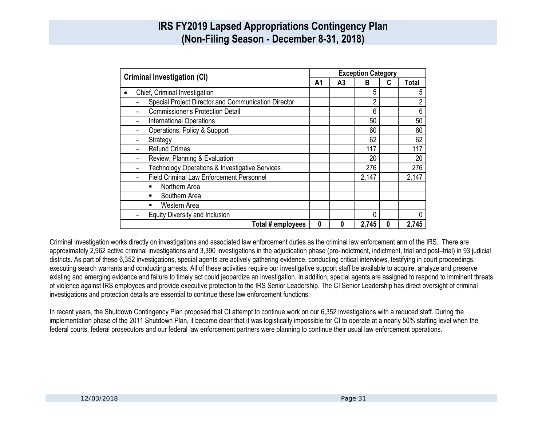| <b>Criminal Investigation (CI)</b>                                         | <b>Exception Category</b> |    |       |   |              |  |  |  |
|----------------------------------------------------------------------------|---------------------------|----|-------|---|--------------|--|--|--|
|                                                                            | A1                        | A3 | B     | C | <b>Total</b> |  |  |  |
| Chief, Criminal Investigation                                              |                           |    | 5     |   | 5            |  |  |  |
| Special Project Director and Communication Director                        |                           |    | 2     |   | 2            |  |  |  |
| <b>Commissioner's Protection Detail</b>                                    |                           |    | 6     |   | 6            |  |  |  |
| <b>International Operations</b><br>$\blacksquare$                          |                           |    | 50    |   | 50           |  |  |  |
| Operations, Policy & Support                                               |                           |    | 60    |   | 60           |  |  |  |
| Strategy                                                                   |                           |    | 62    |   | 62           |  |  |  |
| <b>Refund Crimes</b>                                                       | 117<br>117                |    |       |   |              |  |  |  |
| Review, Planning & Evaluation                                              | 20<br>20                  |    |       |   |              |  |  |  |
| Technology Operations & Investigative Services<br>$\overline{\phantom{a}}$ |                           |    | 276   |   | 276          |  |  |  |
| <b>Field Criminal Law Enforcement Personnel</b>                            |                           |    | 2,147 |   | 2,147        |  |  |  |
| Northern Area<br>$\blacksquare$                                            |                           |    |       |   |              |  |  |  |
| Southern Area<br>٠                                                         |                           |    |       |   |              |  |  |  |
| Western Area<br>٠                                                          |                           |    |       |   |              |  |  |  |
| <b>Equity Diversity and Inclusion</b>                                      |                           |    | 0     |   | 0            |  |  |  |
| Total # employees                                                          | 0                         | 0  | 2,745 | 0 | 2,745        |  |  |  |

Criminal Investigation works directly on investigations and associated law enforcement duties as the criminal law enforcement arm of the IRS. There are approximately 2,962 active criminal investigations and 3,390 investigations in the adjudication phase (pre-indictment, indictment, trial and post–trial) in 93 judicial districts. As part of these 6,352 investigations, special agents are actively gathering evidence, conducting critical interviews, testifying in court proceedings, executing search warrants and conducting arrests. All of these activities require our investigative support staff be available to acquire, analyze and preserve existing and emerging evidence and failure to timely act could jeopardize an investigation. In addition, special agents are assigned to respond to imminent threats of violence against IRS employees and provide executive protection to the IRS Senior Leadership. The CI Senior Leadership has direct oversight of criminal investigations and protection details are essential to continue these law enforcement functions.

In recent years, the Shutdown Contingency Plan proposed that CI attempt to continue work on our 6,352 investigations with a reduced staff. During the implementation phase of the 2011 Shutdown Plan, it became clear that it was logistically impossible for CI to operate at a nearly 50% staffing level when the federal courts, federal prosecutors and our federal law enforcement partners were planning to continue their usual law enforcement operations.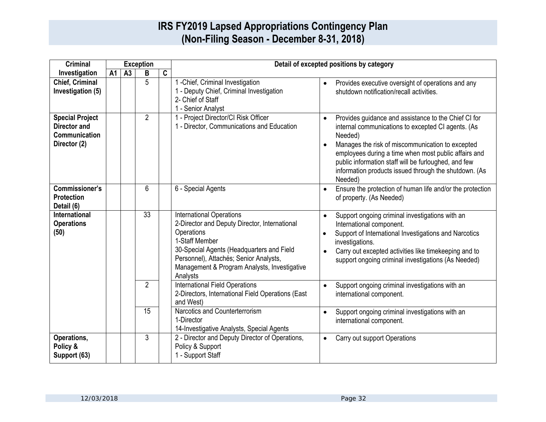| <b>Criminal</b>                                                                       |    |    | <b>Exception</b> |   | Detail of excepted positions by category                                                                                                                                                                                                                            |                                                                                                                                                                                                                                                                                                                                                                            |  |  |  |
|---------------------------------------------------------------------------------------|----|----|------------------|---|---------------------------------------------------------------------------------------------------------------------------------------------------------------------------------------------------------------------------------------------------------------------|----------------------------------------------------------------------------------------------------------------------------------------------------------------------------------------------------------------------------------------------------------------------------------------------------------------------------------------------------------------------------|--|--|--|
| Investigation                                                                         | A1 | A3 | B                | C |                                                                                                                                                                                                                                                                     |                                                                                                                                                                                                                                                                                                                                                                            |  |  |  |
| <b>Chief, Criminal</b><br>Investigation (5)                                           |    |    | 5                |   | 1 - Chief, Criminal Investigation<br>1 - Deputy Chief, Criminal Investigation<br>2- Chief of Staff<br>1 - Senior Analyst                                                                                                                                            | Provides executive oversight of operations and any<br>$\bullet$<br>shutdown notification/recall activities.                                                                                                                                                                                                                                                                |  |  |  |
| <b>Special Project</b><br><b>Director and</b><br><b>Communication</b><br>Director (2) |    |    | $\overline{2}$   |   | 1 - Project Director/CI Risk Officer<br>1 - Director, Communications and Education                                                                                                                                                                                  | Provides guidance and assistance to the Chief CI for<br>$\bullet$<br>internal communications to excepted CI agents. (As<br>Needed)<br>Manages the risk of miscommunication to excepted<br>employees during a time when most public affairs and<br>public information staff will be furloughed, and few<br>information products issued through the shutdown. (As<br>Needed) |  |  |  |
| <b>Commissioner's</b><br><b>Protection</b><br>Detail (6)                              |    |    | 6                |   | 6 - Special Agents                                                                                                                                                                                                                                                  | Ensure the protection of human life and/or the protection<br>$\bullet$<br>of property. (As Needed)                                                                                                                                                                                                                                                                         |  |  |  |
| International<br><b>Operations</b><br>(50)                                            |    |    | 33               |   | <b>International Operations</b><br>2-Director and Deputy Director, International<br>Operations<br>1-Staff Member<br>30-Special Agents (Headquarters and Field<br>Personnel), Attachés; Senior Analysts,<br>Management & Program Analysts, Investigative<br>Analysts | Support ongoing criminal investigations with an<br>$\bullet$<br>International component.<br>Support of International Investigations and Narcotics<br>investigations.<br>Carry out excepted activities like timekeeping and to<br>$\bullet$<br>support ongoing criminal investigations (As Needed)                                                                          |  |  |  |
|                                                                                       |    |    | $\overline{2}$   |   | <b>International Field Operations</b><br>2-Directors, International Field Operations (East<br>and West)                                                                                                                                                             | Support ongoing criminal investigations with an<br>$\bullet$<br>international component.                                                                                                                                                                                                                                                                                   |  |  |  |
|                                                                                       |    |    | 15               |   | Narcotics and Counterterrorism<br>1-Director<br>14-Investigative Analysts, Special Agents                                                                                                                                                                           | Support ongoing criminal investigations with an<br>$\bullet$<br>international component.                                                                                                                                                                                                                                                                                   |  |  |  |
| Operations,<br>Policy &<br>Support (63)                                               |    |    | 3                |   | 2 - Director and Deputy Director of Operations,<br>Policy & Support<br>1 - Support Staff                                                                                                                                                                            | Carry out support Operations<br>$\bullet$                                                                                                                                                                                                                                                                                                                                  |  |  |  |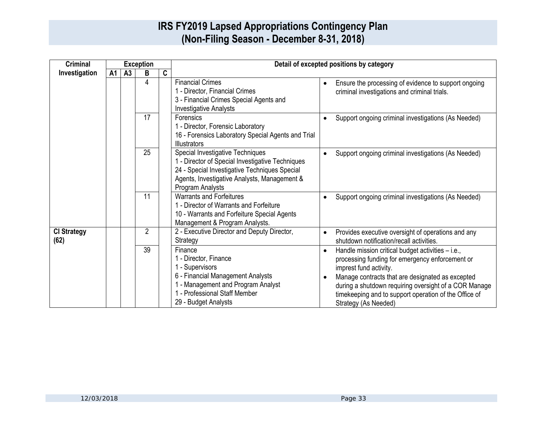| <b>Criminal</b>            |                |    | <b>Exception</b> |   |                                                                                                                                                                                                           | Detail of excepted positions by category |                                                                                                                                                                                                                                                                                                                              |
|----------------------------|----------------|----|------------------|---|-----------------------------------------------------------------------------------------------------------------------------------------------------------------------------------------------------------|------------------------------------------|------------------------------------------------------------------------------------------------------------------------------------------------------------------------------------------------------------------------------------------------------------------------------------------------------------------------------|
| Investigation              | A <sub>1</sub> | A3 | B                | C |                                                                                                                                                                                                           |                                          |                                                                                                                                                                                                                                                                                                                              |
|                            |                |    | 4                |   | <b>Financial Crimes</b><br>1 - Director, Financial Crimes<br>3 - Financial Crimes Special Agents and<br><b>Investigative Analysts</b>                                                                     |                                          | Ensure the processing of evidence to support ongoing<br>criminal investigations and criminal trials.                                                                                                                                                                                                                         |
|                            |                |    | 17               |   | Forensics<br>1 - Director, Forensic Laboratory<br>16 - Forensics Laboratory Special Agents and Trial<br><b>Illustrators</b>                                                                               |                                          | Support ongoing criminal investigations (As Needed)                                                                                                                                                                                                                                                                          |
|                            |                |    | 25               |   | Special Investigative Techniques<br>1 - Director of Special Investigative Techniques<br>24 - Special Investigative Techniques Special<br>Agents, Investigative Analysts, Management &<br>Program Analysts |                                          | Support ongoing criminal investigations (As Needed)                                                                                                                                                                                                                                                                          |
|                            |                |    | 11               |   | <b>Warrants and Forfeitures</b><br>1 - Director of Warrants and Forfeiture<br>10 - Warrants and Forfeiture Special Agents<br>Management & Program Analysts.                                               |                                          | Support ongoing criminal investigations (As Needed)                                                                                                                                                                                                                                                                          |
| <b>CI Strategy</b><br>(62) |                |    | $\overline{2}$   |   | 2 - Executive Director and Deputy Director,<br>Strategy                                                                                                                                                   | $\bullet$                                | Provides executive oversight of operations and any<br>shutdown notification/recall activities.                                                                                                                                                                                                                               |
|                            |                |    | 39               |   | Finance<br>1 - Director, Finance<br>1 - Supervisors<br>6 - Financial Management Analysts<br>- Management and Program Analyst<br>1 - Professional Staff Member<br>29 - Budget Analysts                     | $\bullet$                                | Handle mission critical budget activities – i.e.,<br>processing funding for emergency enforcement or<br>imprest fund activity.<br>Manage contracts that are designated as excepted<br>during a shutdown requiring oversight of a COR Manage<br>timekeeping and to support operation of the Office of<br>Strategy (As Needed) |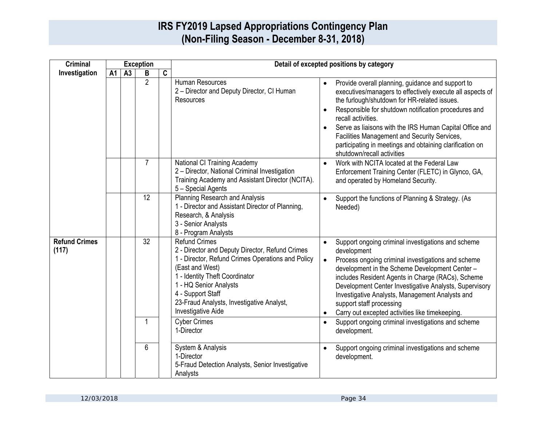| Criminal                      |    |    | <b>Exception</b>   |   | Detail of excepted positions by category                                                                                                                                                                                                                                                                                                 |                                                                                                                                                                                                                                                                                                                                                                                                                                                                                                                                         |  |  |  |
|-------------------------------|----|----|--------------------|---|------------------------------------------------------------------------------------------------------------------------------------------------------------------------------------------------------------------------------------------------------------------------------------------------------------------------------------------|-----------------------------------------------------------------------------------------------------------------------------------------------------------------------------------------------------------------------------------------------------------------------------------------------------------------------------------------------------------------------------------------------------------------------------------------------------------------------------------------------------------------------------------------|--|--|--|
| Investigation                 | A1 | A3 | B                  | C |                                                                                                                                                                                                                                                                                                                                          |                                                                                                                                                                                                                                                                                                                                                                                                                                                                                                                                         |  |  |  |
|                               |    |    | $\overline{2}$     |   | Human Resources<br>2 - Director and Deputy Director, CI Human<br>Resources                                                                                                                                                                                                                                                               | Provide overall planning, guidance and support to<br>executives/managers to effectively execute all aspects of<br>the furlough/shutdown for HR-related issues.<br>Responsible for shutdown notification procedures and<br>recall activities.<br>Serve as liaisons with the IRS Human Capital Office and<br>Facilities Management and Security Services,<br>participating in meetings and obtaining clarification on<br>shutdown/recall activities                                                                                       |  |  |  |
|                               |    |    | $\overline{7}$     |   | National CI Training Academy<br>2 - Director, National Criminal Investigation<br>Training Academy and Assistant Director (NCITA).<br>5 - Special Agents                                                                                                                                                                                  | Work with NCITA located at the Federal Law<br>$\bullet$<br>Enforcement Training Center (FLETC) in Glynco, GA,<br>and operated by Homeland Security.                                                                                                                                                                                                                                                                                                                                                                                     |  |  |  |
|                               |    |    | 12                 |   | Planning Research and Analysis<br>1 - Director and Assistant Director of Planning,<br>Research, & Analysis<br>3 - Senior Analysts<br>8 - Program Analysts                                                                                                                                                                                | Support the functions of Planning & Strategy. (As<br>$\bullet$<br>Needed)                                                                                                                                                                                                                                                                                                                                                                                                                                                               |  |  |  |
| <b>Refund Crimes</b><br>(117) |    |    | 32<br>$\mathbf{1}$ |   | <b>Refund Crimes</b><br>2 - Director and Deputy Director, Refund Crimes<br>1 - Director, Refund Crimes Operations and Policy<br>(East and West)<br>1 - Identity Theft Coordinator<br>1 - HQ Senior Analysts<br>4 - Support Staff<br>23-Fraud Analysts, Investigative Analyst,<br>Investigative Aide<br><b>Cyber Crimes</b><br>1-Director | Support ongoing criminal investigations and scheme<br>development<br>Process ongoing criminal investigations and scheme<br>$\bullet$<br>development in the Scheme Development Center -<br>includes Resident Agents in Charge (RACs), Scheme<br>Development Center Investigative Analysts, Supervisory<br>Investigative Analysts, Management Analysts and<br>support staff processing<br>Carry out excepted activities like timekeeping.<br>$\bullet$<br>Support ongoing criminal investigations and scheme<br>$\bullet$<br>development. |  |  |  |
|                               |    |    | 6                  |   | System & Analysis<br>1-Director<br>5-Fraud Detection Analysts, Senior Investigative<br>Analysts                                                                                                                                                                                                                                          | Support ongoing criminal investigations and scheme<br>$\bullet$<br>development.                                                                                                                                                                                                                                                                                                                                                                                                                                                         |  |  |  |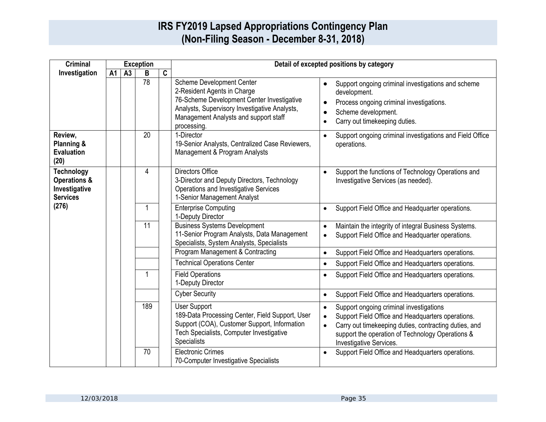| <b>Criminal</b>                                                                  |    |    | <b>Exception</b> |   |                                                                                                                                                                                                                 | Detail of excepted positions by category                                                                                                                                                                                                                                    |
|----------------------------------------------------------------------------------|----|----|------------------|---|-----------------------------------------------------------------------------------------------------------------------------------------------------------------------------------------------------------------|-----------------------------------------------------------------------------------------------------------------------------------------------------------------------------------------------------------------------------------------------------------------------------|
| Investigation                                                                    | A1 | A3 | B                | C |                                                                                                                                                                                                                 |                                                                                                                                                                                                                                                                             |
|                                                                                  |    |    | $\overline{78}$  |   | Scheme Development Center<br>2-Resident Agents in Charge<br>76-Scheme Development Center Investigative<br>Analysts, Supervisory Investigative Analysts,<br>Management Analysts and support staff<br>processing. | Support ongoing criminal investigations and scheme<br>$\bullet$<br>development.<br>Process ongoing criminal investigations.<br>$\bullet$<br>Scheme development.<br>Carry out timekeeping duties.                                                                            |
| Review,<br>Planning &<br><b>Evaluation</b><br>(20)                               |    |    | 20               |   | 1-Director<br>19-Senior Analysts, Centralized Case Reviewers,<br>Management & Program Analysts                                                                                                                  | Support ongoing criminal investigations and Field Office<br>$\bullet$<br>operations.                                                                                                                                                                                        |
| <b>Technology</b><br><b>Operations &amp;</b><br>Investigative<br><b>Services</b> |    |    | 4                |   | <b>Directors Office</b><br>3-Director and Deputy Directors, Technology<br>Operations and Investigative Services<br>1-Senior Management Analyst                                                                  | Support the functions of Technology Operations and<br>$\bullet$<br>Investigative Services (as needed).                                                                                                                                                                      |
| (276)                                                                            |    |    | 1                |   | <b>Enterprise Computing</b><br>1-Deputy Director                                                                                                                                                                | Support Field Office and Headquarter operations.<br>$\bullet$                                                                                                                                                                                                               |
|                                                                                  |    |    | 11               |   | <b>Business Systems Development</b><br>11-Senior Program Analysts, Data Management<br>Specialists, System Analysts, Specialists                                                                                 | Maintain the integrity of integral Business Systems.<br>$\bullet$<br>Support Field Office and Headquarter operations.                                                                                                                                                       |
|                                                                                  |    |    |                  |   | Program Management & Contracting                                                                                                                                                                                | Support Field Office and Headquarters operations.<br>$\bullet$                                                                                                                                                                                                              |
|                                                                                  |    |    |                  |   | <b>Technical Operations Center</b>                                                                                                                                                                              | Support Field Office and Headquarters operations.<br>$\bullet$                                                                                                                                                                                                              |
|                                                                                  |    |    | 1                |   | <b>Field Operations</b><br>1-Deputy Director                                                                                                                                                                    | Support Field Office and Headquarters operations.<br>$\bullet$                                                                                                                                                                                                              |
|                                                                                  |    |    |                  |   | <b>Cyber Security</b>                                                                                                                                                                                           | Support Field Office and Headquarters operations.<br>$\bullet$                                                                                                                                                                                                              |
|                                                                                  |    |    | 189              |   | <b>User Support</b><br>189-Data Processing Center, Field Support, User<br>Support (COA), Customer Support, Information<br>Tech Specialists, Computer Investigative<br>Specialists                               | Support ongoing criminal investigations<br>$\bullet$<br>Support Field Office and Headquarters operations.<br>$\bullet$<br>Carry out timekeeping duties, contracting duties, and<br>$\bullet$<br>support the operation of Technology Operations &<br>Investigative Services. |
|                                                                                  |    |    | 70               |   | <b>Electronic Crimes</b><br>70-Computer Investigative Specialists                                                                                                                                               | Support Field Office and Headquarters operations.<br>$\bullet$                                                                                                                                                                                                              |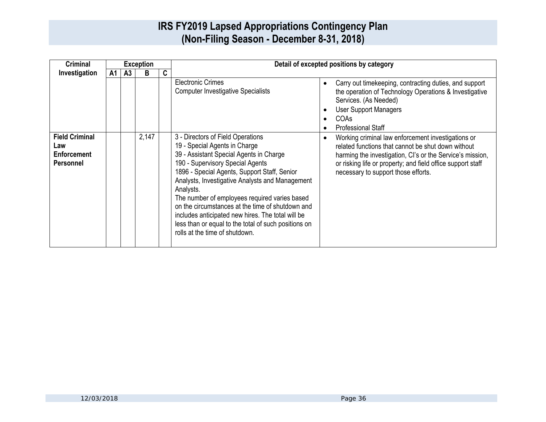| <b>Criminal</b>                                                        |    |                | <b>Exception</b> |   |                                                                                                                                                                                                                                                                                                                                                                                                                                                                                                                       | Detail of excepted positions by category                                                                                                                                                                                                                                    |  |  |
|------------------------------------------------------------------------|----|----------------|------------------|---|-----------------------------------------------------------------------------------------------------------------------------------------------------------------------------------------------------------------------------------------------------------------------------------------------------------------------------------------------------------------------------------------------------------------------------------------------------------------------------------------------------------------------|-----------------------------------------------------------------------------------------------------------------------------------------------------------------------------------------------------------------------------------------------------------------------------|--|--|
| Investigation                                                          | A1 | A <sub>3</sub> | B                | C |                                                                                                                                                                                                                                                                                                                                                                                                                                                                                                                       |                                                                                                                                                                                                                                                                             |  |  |
|                                                                        |    |                |                  |   | <b>Electronic Crimes</b><br><b>Computer Investigative Specialists</b>                                                                                                                                                                                                                                                                                                                                                                                                                                                 | Carry out time keeping, contracting duties, and support<br>$\bullet$<br>the operation of Technology Operations & Investigative<br>Services. (As Needed)<br><b>User Support Managers</b><br>COAs<br><b>Professional Staff</b>                                                |  |  |
| <b>Field Criminal</b><br>Law<br><b>Enforcement</b><br><b>Personnel</b> |    |                | 2,147            |   | 3 - Directors of Field Operations<br>19 - Special Agents in Charge<br>39 - Assistant Special Agents in Charge<br>190 - Supervisory Special Agents<br>1896 - Special Agents, Support Staff, Senior<br>Analysts, Investigative Analysts and Management<br>Analysts.<br>The number of employees required varies based<br>on the circumstances at the time of shutdown and<br>includes anticipated new hires. The total will be<br>less than or equal to the total of such positions on<br>rolls at the time of shutdown. | Working criminal law enforcement investigations or<br>related functions that cannot be shut down without<br>harming the investigation, CI's or the Service's mission,<br>or risking life or property; and field office support staff<br>necessary to support those efforts. |  |  |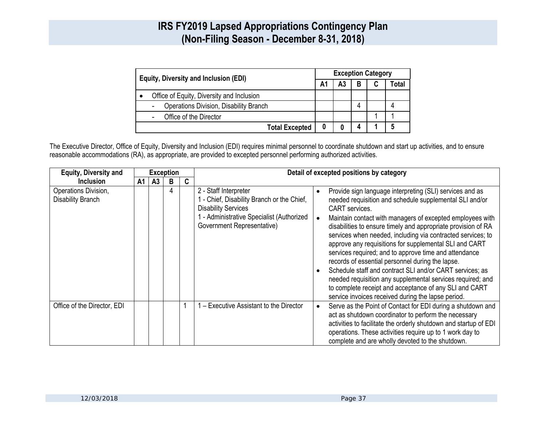| Equity, Diversity and Inclusion (EDI)         | <b>Exception Category</b> |    |   |  |       |  |  |
|-----------------------------------------------|---------------------------|----|---|--|-------|--|--|
|                                               | Α1                        | A3 | B |  | ⊺otal |  |  |
| Office of Equity, Diversity and Inclusion     |                           |    |   |  |       |  |  |
| <b>Operations Division, Disability Branch</b> |                           |    | 4 |  |       |  |  |
| Office of the Director                        |                           |    |   |  |       |  |  |
| <b>Total Excepted</b>                         |                           |    | 4 |  |       |  |  |

The Executive Director, Office of Equity, Diversity and Inclusion (EDI) requires minimal personnel to coordinate shutdown and start up activities, and to ensure reasonable accommodations (RA), as appropriate, are provided to excepted personnel performing authorized activities.

| <b>Equity, Diversity and</b>                     |    |                | <b>Exception</b> |   | Detail of excepted positions by category                                                                                                                                 |           |                                                                                                                                                                                                                                                                                                                                                                                                                                                                                                                                                                                                                                                                                                                                                     |  |  |  |
|--------------------------------------------------|----|----------------|------------------|---|--------------------------------------------------------------------------------------------------------------------------------------------------------------------------|-----------|-----------------------------------------------------------------------------------------------------------------------------------------------------------------------------------------------------------------------------------------------------------------------------------------------------------------------------------------------------------------------------------------------------------------------------------------------------------------------------------------------------------------------------------------------------------------------------------------------------------------------------------------------------------------------------------------------------------------------------------------------------|--|--|--|
| <b>Inclusion</b>                                 | A1 | A <sub>3</sub> | B                | C |                                                                                                                                                                          |           |                                                                                                                                                                                                                                                                                                                                                                                                                                                                                                                                                                                                                                                                                                                                                     |  |  |  |
| Operations Division,<br><b>Disability Branch</b> |    |                | 4                |   | 2 - Staff Interpreter<br>- Chief, Disability Branch or the Chief,<br><b>Disability Services</b><br>- Administrative Specialist (Authorized<br>Government Representative) | $\bullet$ | Provide sign language interpreting (SLI) services and as<br>needed requisition and schedule supplemental SLI and/or<br>CART services.<br>Maintain contact with managers of excepted employees with<br>disabilities to ensure timely and appropriate provision of RA<br>services when needed, including via contracted services; to<br>approve any requisitions for supplemental SLI and CART<br>services required; and to approve time and attendance<br>records of essential personnel during the lapse.<br>Schedule staff and contract SLI and/or CART services; as<br>needed requisition any supplemental services required; and<br>to complete receipt and acceptance of any SLI and CART<br>service invoices received during the lapse period. |  |  |  |
| Office of the Director, EDI                      |    |                |                  |   | - Executive Assistant to the Director                                                                                                                                    |           | Serve as the Point of Contact for EDI during a shutdown and<br>act as shutdown coordinator to perform the necessary<br>activities to facilitate the orderly shutdown and startup of EDI<br>operations. These activities require up to 1 work day to<br>complete and are wholly devoted to the shutdown.                                                                                                                                                                                                                                                                                                                                                                                                                                             |  |  |  |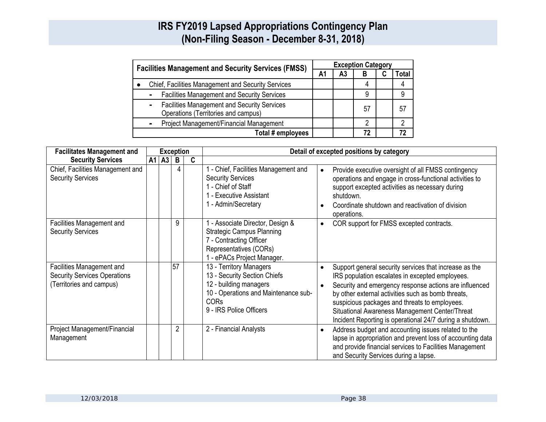| <b>Facilities Management and Security Services (FMSS)</b>                                 | <b>Exception Category</b> |    |    |  |              |  |  |
|-------------------------------------------------------------------------------------------|---------------------------|----|----|--|--------------|--|--|
|                                                                                           | A1                        | A3 | В  |  | <b>Total</b> |  |  |
| <b>Chief, Facilities Management and Security Services</b>                                 |                           |    |    |  |              |  |  |
| <b>Facilities Management and Security Services</b>                                        |                           |    | 9  |  |              |  |  |
| <b>Facilities Management and Security Services</b><br>Operations (Territories and campus) |                           |    | 57 |  | 57           |  |  |
| Project Management/Financial Management                                                   |                           |    | ŋ  |  |              |  |  |
| Total # employees                                                                         |                           |    | 72 |  |              |  |  |

| <b>Facilitates Management and</b>                                                            |                |    | <b>Exception</b> |   |                                                                                                                                                                     | Detail of excepted positions by category                                                                                                                                                                                                                                                                                                                                                  |
|----------------------------------------------------------------------------------------------|----------------|----|------------------|---|---------------------------------------------------------------------------------------------------------------------------------------------------------------------|-------------------------------------------------------------------------------------------------------------------------------------------------------------------------------------------------------------------------------------------------------------------------------------------------------------------------------------------------------------------------------------------|
| <b>Security Services</b>                                                                     | A <sub>1</sub> | A3 | B                | C |                                                                                                                                                                     |                                                                                                                                                                                                                                                                                                                                                                                           |
| Chief, Facilities Management and<br><b>Security Services</b>                                 |                |    | 4                |   | 1 - Chief, Facilities Management and<br><b>Security Services</b><br>I - Chief of Staff<br>- Executive Assistant<br>1 - Admin/Secretary                              | Provide executive oversight of all FMSS contingency<br>$\bullet$<br>operations and engage in cross-functional activities to<br>support excepted activities as necessary during<br>shutdown.<br>Coordinate shutdown and reactivation of division<br>operations.                                                                                                                            |
| Facilities Management and<br><b>Security Services</b>                                        |                |    | 9                |   | - Associate Director, Design &<br><b>Strategic Campus Planning</b><br>7 - Contracting Officer<br>Representatives (CORs)<br>- ePACs Project Manager.                 | COR support for FMSS excepted contracts.<br>$\bullet$                                                                                                                                                                                                                                                                                                                                     |
| Facilities Management and<br><b>Security Services Operations</b><br>(Territories and campus) |                |    | 57               |   | 13 - Territory Managers<br>13 - Security Section Chiefs<br>12 - building managers<br>10 - Operations and Maintenance sub-<br><b>CORs</b><br>9 - IRS Police Officers | Support general security services that increase as the<br>IRS population escalates in excepted employees.<br>Security and emergency response actions are influenced<br>by other external activities such as bomb threats,<br>suspicious packages and threats to employees.<br>Situational Awareness Management Center/Threat<br>Incident Reporting is operational 24/7 during a shutdown. |
| Project Management/Financial<br>Management                                                   |                |    | $\overline{2}$   |   | 2 - Financial Analysts                                                                                                                                              | Address budget and accounting issues related to the<br>$\bullet$<br>lapse in appropriation and prevent loss of accounting data<br>and provide financial services to Facilities Management<br>and Security Services during a lapse.                                                                                                                                                        |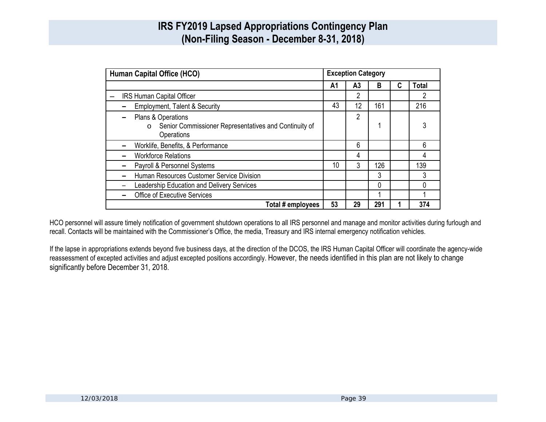| <b>Human Capital Office (HCO)</b>                                                                    | <b>Exception Category</b> |    |     |   |       |
|------------------------------------------------------------------------------------------------------|---------------------------|----|-----|---|-------|
|                                                                                                      | A1                        | A3 | В   | C | Total |
| IRS Human Capital Officer                                                                            |                           | 2  |     |   | 2     |
| <b>Employment, Talent &amp; Security</b>                                                             | 43                        | 12 | 161 |   | 216   |
| Plans & Operations<br>Senior Commissioner Representatives and Continuity of<br>$\circ$<br>Operations |                           | 2  | ◢   |   | 3     |
| Worklife, Benefits, & Performance                                                                    |                           | 6  |     |   | 6     |
| <b>Workforce Relations</b>                                                                           |                           | 4  |     |   | 4     |
| Payroll & Personnel Systems                                                                          | 10                        | 3  | 126 |   | 139   |
| Human Resources Customer Service Division                                                            |                           |    | 3   |   | 3     |
| Leadership Education and Delivery Services                                                           |                           |    | 0   |   |       |
| <b>Office of Executive Services</b>                                                                  |                           |    | 4   |   |       |
| Total # employees                                                                                    | 53                        | 29 | 291 |   | 374   |

HCO personnel will assure timely notification of government shutdown operations to all IRS personnel and manage and monitor activities during furlough and recall. Contacts will be maintained with the Commissioner's Office, the media, Treasury and IRS internal emergency notification vehicles.

If the lapse in appropriations extends beyond five business days, at the direction of the DCOS, the IRS Human Capital Officer will coordinate the agency-wide reassessment of excepted activities and adjust excepted positions accordingly. However, the needs identified in this plan are not likely to change significantly before December 31, 2018.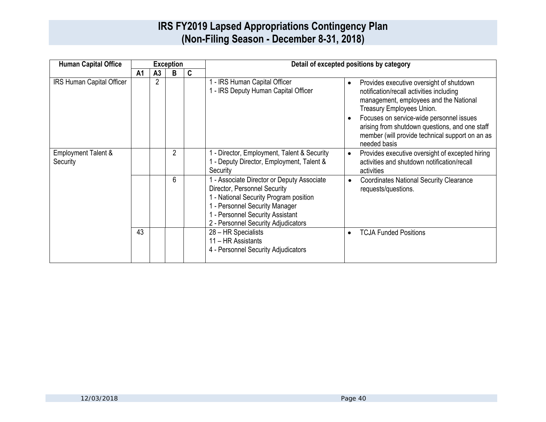| <b>Human Capital Office</b><br><b>Exception</b><br>Detail of excepted positions by category |    |                |   |   |                                                                                                                                                                                                                                 |                                                                                                                                                                                                                                                                                                                                           |
|---------------------------------------------------------------------------------------------|----|----------------|---|---|---------------------------------------------------------------------------------------------------------------------------------------------------------------------------------------------------------------------------------|-------------------------------------------------------------------------------------------------------------------------------------------------------------------------------------------------------------------------------------------------------------------------------------------------------------------------------------------|
|                                                                                             | A1 | A <sub>3</sub> | B | C |                                                                                                                                                                                                                                 |                                                                                                                                                                                                                                                                                                                                           |
| IRS Human Capital Officer                                                                   |    | $\overline{2}$ |   |   | - IRS Human Capital Officer<br>1 - IRS Deputy Human Capital Officer                                                                                                                                                             | Provides executive oversight of shutdown<br>$\bullet$<br>notification/recall activities including<br>management, employees and the National<br>Treasury Employees Union.<br>Focuses on service-wide personnel issues<br>arising from shutdown questions, and one staff<br>member (will provide technical support on an as<br>needed basis |
| <b>Employment Talent &amp;</b><br>Security                                                  |    |                | 2 |   | - Director, Employment, Talent & Security<br>- Deputy Director, Employment, Talent &<br>Security                                                                                                                                | Provides executive oversight of excepted hiring<br>$\bullet$<br>activities and shutdown notification/recall<br>activities                                                                                                                                                                                                                 |
|                                                                                             |    |                | 6 |   | - Associate Director or Deputy Associate<br>Director, Personnel Security<br>1 - National Security Program position<br>1 - Personnel Security Manager<br>1 - Personnel Security Assistant<br>2 - Personnel Security Adjudicators | <b>Coordinates National Security Clearance</b><br>requests/questions.                                                                                                                                                                                                                                                                     |
|                                                                                             | 43 |                |   |   | 28 - HR Specialists<br>11 - HR Assistants<br>4 - Personnel Security Adjudicators                                                                                                                                                | <b>TCJA Funded Positions</b>                                                                                                                                                                                                                                                                                                              |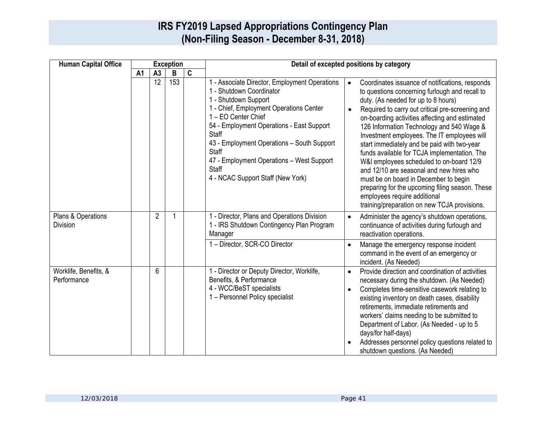| <b>Human Capital Office</b>           |           |                 | <b>Exception</b> | Detail of excepted positions by category |                                                                                                                                                                                                                                                                                                                                                                             |                                                                                                                                                                                                                                                                                                                                                                                                                                                                                                                                                                                                                                                                                                                                         |  |  |
|---------------------------------------|-----------|-----------------|------------------|------------------------------------------|-----------------------------------------------------------------------------------------------------------------------------------------------------------------------------------------------------------------------------------------------------------------------------------------------------------------------------------------------------------------------------|-----------------------------------------------------------------------------------------------------------------------------------------------------------------------------------------------------------------------------------------------------------------------------------------------------------------------------------------------------------------------------------------------------------------------------------------------------------------------------------------------------------------------------------------------------------------------------------------------------------------------------------------------------------------------------------------------------------------------------------------|--|--|
|                                       | <b>A1</b> | A3              | B                | $\mathbf{C}$                             |                                                                                                                                                                                                                                                                                                                                                                             |                                                                                                                                                                                                                                                                                                                                                                                                                                                                                                                                                                                                                                                                                                                                         |  |  |
|                                       |           | $\overline{12}$ | 153              |                                          | 1 - Associate Director, Employment Operations<br>1 - Shutdown Coordinator<br>1 - Shutdown Support<br>1 - Chief, Employment Operations Center<br>1 - EO Center Chief<br>54 - Employment Operations - East Support<br>Staff<br>43 - Employment Operations - South Support<br>Staff<br>47 - Employment Operations - West Support<br>Staff<br>4 - NCAC Support Staff (New York) | Coordinates issuance of notifications, responds<br>$\bullet$<br>to questions concerning furlough and recall to<br>duty. (As needed for up to 8 hours)<br>Required to carry out critical pre-screening and<br>$\bullet$<br>on-boarding activities affecting and estimated<br>126 Information Technology and 540 Wage &<br>Investment employees. The IT employees will<br>start immediately and be paid with two-year<br>funds available for TCJA implementation. The<br>W&I employees scheduled to on-board 12/9<br>and 12/10 are seasonal and new hires who<br>must be on board in December to begin<br>preparing for the upcoming filing season. These<br>employees require additional<br>training/preparation on new TCJA provisions. |  |  |
| Plans & Operations<br><b>Division</b> |           | $\overline{2}$  |                  |                                          | - Director, Plans and Operations Division<br>1 - IRS Shutdown Contingency Plan Program<br>Manager                                                                                                                                                                                                                                                                           | Administer the agency's shutdown operations,<br>$\bullet$<br>continuance of activities during furlough and<br>reactivation operations.                                                                                                                                                                                                                                                                                                                                                                                                                                                                                                                                                                                                  |  |  |
|                                       |           |                 |                  |                                          | 1 - Director, SCR-CO Director                                                                                                                                                                                                                                                                                                                                               | Manage the emergency response incident<br>$\bullet$<br>command in the event of an emergency or<br>incident. (As Needed)                                                                                                                                                                                                                                                                                                                                                                                                                                                                                                                                                                                                                 |  |  |
| Worklife, Benefits, &<br>Performance  |           | 6               |                  |                                          | 1 - Director or Deputy Director, Worklife,<br>Benefits, & Performance<br>4 - WCC/BeST specialists<br>1 - Personnel Policy specialist                                                                                                                                                                                                                                        | Provide direction and coordination of activities<br>$\bullet$<br>necessary during the shutdown. (As Needed)<br>Completes time-sensitive casework relating to<br>$\bullet$<br>existing inventory on death cases, disability<br>retirements, immediate retirements and<br>workers' claims needing to be submitted to<br>Department of Labor. (As Needed - up to 5<br>days/for half-days)<br>Addresses personnel policy questions related to<br>shutdown questions. (As Needed)                                                                                                                                                                                                                                                            |  |  |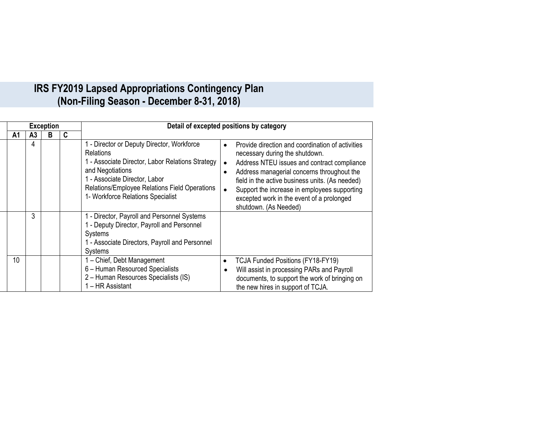|    |    | <b>Exception</b> |   | Detail of excepted positions by category                                                                                                                                                                                                               |                                     |                                                                                                                                                                                                                                                                                                                                                          |  |  |  |  |  |
|----|----|------------------|---|--------------------------------------------------------------------------------------------------------------------------------------------------------------------------------------------------------------------------------------------------------|-------------------------------------|----------------------------------------------------------------------------------------------------------------------------------------------------------------------------------------------------------------------------------------------------------------------------------------------------------------------------------------------------------|--|--|--|--|--|
| A1 | A3 | B                | C |                                                                                                                                                                                                                                                        |                                     |                                                                                                                                                                                                                                                                                                                                                          |  |  |  |  |  |
|    | 4  |                  |   | 1 - Director or Deputy Director, Workforce<br>Relations<br>1 - Associate Director, Labor Relations Strategy<br>and Negotiations<br>1 - Associate Director, Labor<br>Relations/Employee Relations Field Operations<br>1- Workforce Relations Specialist | $\bullet$<br>$\bullet$<br>$\bullet$ | Provide direction and coordination of activities<br>necessary during the shutdown.<br>Address NTEU issues and contract compliance<br>Address managerial concerns throughout the<br>field in the active business units. (As needed)<br>Support the increase in employees supporting<br>excepted work in the event of a prolonged<br>shutdown. (As Needed) |  |  |  |  |  |
|    | 3  |                  |   | 1 - Director, Payroll and Personnel Systems<br>- Deputy Director, Payroll and Personnel<br><b>Systems</b><br>1 - Associate Directors, Payroll and Personnel<br><b>Systems</b>                                                                          |                                     |                                                                                                                                                                                                                                                                                                                                                          |  |  |  |  |  |
| 10 |    |                  |   | 1 - Chief, Debt Management<br>6 - Human Resourced Specialists<br>2 - Human Resources Specialists (IS)<br>1 - HR Assistant                                                                                                                              | $\bullet$                           | TCJA Funded Positions (FY18-FY19)<br>Will assist in processing PARs and Payroll<br>documents, to support the work of bringing on<br>the new hires in support of TCJA.                                                                                                                                                                                    |  |  |  |  |  |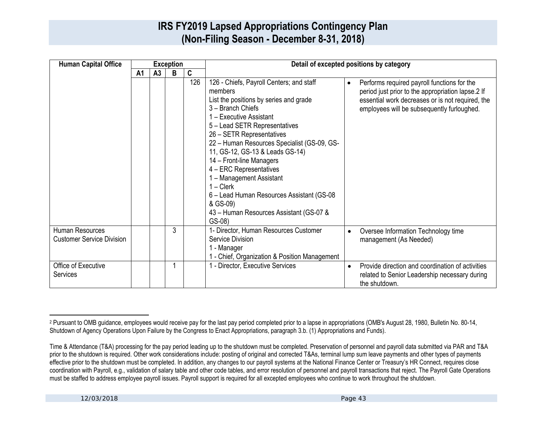| <b>Human Capital Office</b>                         |                |                | <b>Exception</b> |     |                                                                                                                                                                                                                                                                                                                                                                                                                                                                                                                | Detail of excepted positions by category                                                                                                                                                                        |
|-----------------------------------------------------|----------------|----------------|------------------|-----|----------------------------------------------------------------------------------------------------------------------------------------------------------------------------------------------------------------------------------------------------------------------------------------------------------------------------------------------------------------------------------------------------------------------------------------------------------------------------------------------------------------|-----------------------------------------------------------------------------------------------------------------------------------------------------------------------------------------------------------------|
|                                                     | A <sub>1</sub> | A <sub>3</sub> | B                | C   |                                                                                                                                                                                                                                                                                                                                                                                                                                                                                                                |                                                                                                                                                                                                                 |
|                                                     |                |                |                  | 126 | 126 - Chiefs, Payroll Centers; and staff<br>members<br>List the positions by series and grade<br>3 - Branch Chiefs<br>1 - Executive Assistant<br>5 - Lead SETR Representatives<br>26 - SETR Representatives<br>22 - Human Resources Specialist (GS-09, GS-<br>11, GS-12, GS-13 & Leads GS-14)<br>14 – Front-line Managers<br>4 - ERC Representatives<br>1 - Management Assistant<br>$1 -$ Clerk<br>6 - Lead Human Resources Assistant (GS-08)<br>& GS-09)<br>43 – Human Resources Assistant (GS-07 &<br>GS-08) | Performs required payroll functions for the<br>$\bullet$<br>period just prior to the appropriation lapse.2 If<br>essential work decreases or is not required, the<br>employees will be subsequently furloughed. |
| Human Resources<br><b>Customer Service Division</b> |                |                | 3                |     | 1- Director, Human Resources Customer<br>Service Division<br>1 - Manager<br>- Chief, Organization & Position Management                                                                                                                                                                                                                                                                                                                                                                                        | Oversee Information Technology time<br>management (As Needed)                                                                                                                                                   |
| Office of Executive<br><b>Services</b>              |                |                |                  |     | 1 - Director, Executive Services                                                                                                                                                                                                                                                                                                                                                                                                                                                                               | Provide direction and coordination of activities<br>$\bullet$<br>related to Senior Leadership necessary during<br>the shutdown.                                                                                 |

<sup>&</sup>lt;sup>2</sup> Pursuant to OMB guidance, employees would receive pay for the last pay period completed prior to a lapse in appropriations (OMB's August 28, 1980, Bulletin No. 80-14, Shutdown of Agency Operations Upon Failure by the Congress to Enact Appropriations, paragraph 3.b. (1) Appropriations and Funds).

Time & Attendance (T&A) processing for the pay period leading up to the shutdown must be completed. Preservation of personnel and payroll data submitted via PAR and T&A prior to the shutdown is required. Other work considerations include: posting of original and corrected T&As, terminal lump sum leave payments and other types of payments effective prior to the shutdown must be completed. In addition, any changes to our payroll systems at the National Finance Center or Treasury's HR Connect, requires close coordination with Payroll, e.g., validation of salary table and other code tables, and error resolution of personnel and payroll transactions that reject. The Payroll Gate Operations must be staffed to address employee payroll issues. Payroll support is required for all excepted employees who continue to work throughout the shutdown.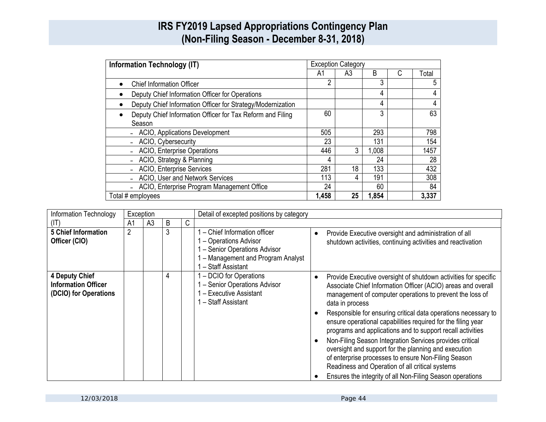| <b>Information Technology (IT)</b>                          | <b>Exception Category</b> |    |       |   |       |  |
|-------------------------------------------------------------|---------------------------|----|-------|---|-------|--|
|                                                             | A1                        | A3 | B     | С | Total |  |
| <b>Chief Information Officer</b>                            | 2                         |    | 3     |   | 5     |  |
| Deputy Chief Information Officer for Operations             |                           |    | 4     |   | 4     |  |
| Deputy Chief Information Officer for Strategy/Modernization |                           |    | 4     |   | 4     |  |
| Deputy Chief Information Officer for Tax Reform and Filing  | 60                        |    | 3     |   | 63    |  |
| Season                                                      |                           |    |       |   |       |  |
| - ACIO, Applications Development                            | 505                       |    | 293   |   | 798   |  |
| - ACIO, Cybersecurity                                       | 23                        |    | 131   |   | 154   |  |
| ACIO, Enterprise Operations                                 | 446                       | 3  | 1,008 |   | 1457  |  |
| ACIO, Strategy & Planning                                   | 4                         |    | 24    |   | 28    |  |
| <b>ACIO, Enterprise Services</b>                            | 281                       | 18 | 133   |   | 432   |  |
| ACIO, User and Network Services                             | 113                       | 4  | 191   |   | 308   |  |
| ACIO, Enterprise Program Management Office                  | 24                        |    | 60    |   | 84    |  |
| Total # employees                                           | 1,458                     | 25 | 1,854 |   | 3,337 |  |

| Information Technology                                                | Exception      |                |   |   | Detail of excepted positions by category                                                           |                                                                                                                                                                                                                                                                                                                                                                                                                |
|-----------------------------------------------------------------------|----------------|----------------|---|---|----------------------------------------------------------------------------------------------------|----------------------------------------------------------------------------------------------------------------------------------------------------------------------------------------------------------------------------------------------------------------------------------------------------------------------------------------------------------------------------------------------------------------|
| (IT)                                                                  | A <sub>1</sub> | A <sub>3</sub> | B | C |                                                                                                    |                                                                                                                                                                                                                                                                                                                                                                                                                |
| <b>5 Chief Information</b>                                            | $\overline{2}$ |                | 3 |   | - Chief Information officer                                                                        | Provide Executive oversight and administration of all                                                                                                                                                                                                                                                                                                                                                          |
| Officer (CIO)                                                         |                |                |   |   | - Operations Advisor                                                                               | shutdown activities, continuing activities and reactivation                                                                                                                                                                                                                                                                                                                                                    |
|                                                                       |                |                |   |   | - Senior Operations Advisor                                                                        |                                                                                                                                                                                                                                                                                                                                                                                                                |
|                                                                       |                |                |   |   | - Management and Program Analyst                                                                   |                                                                                                                                                                                                                                                                                                                                                                                                                |
|                                                                       |                |                |   |   | - Staff Assistant                                                                                  |                                                                                                                                                                                                                                                                                                                                                                                                                |
| 4 Deputy Chief<br><b>Information Officer</b><br>(DCIO) for Operations |                |                | 4 |   | - DCIO for Operations<br>- Senior Operations Advisor<br>- Executive Assistant<br>- Staff Assistant | Provide Executive oversight of shutdown activities for specific<br>Associate Chief Information Officer (ACIO) areas and overall<br>management of computer operations to prevent the loss of<br>data in process<br>Responsible for ensuring critical data operations necessary to<br>ensure operational capabilities required for the filing year<br>programs and applications and to support recall activities |
|                                                                       |                |                |   |   |                                                                                                    | Non-Filing Season Integration Services provides critical<br>oversight and support for the planning and execution<br>of enterprise processes to ensure Non-Filing Season<br>Readiness and Operation of all critical systems<br>Ensures the integrity of all Non-Filing Season operations                                                                                                                        |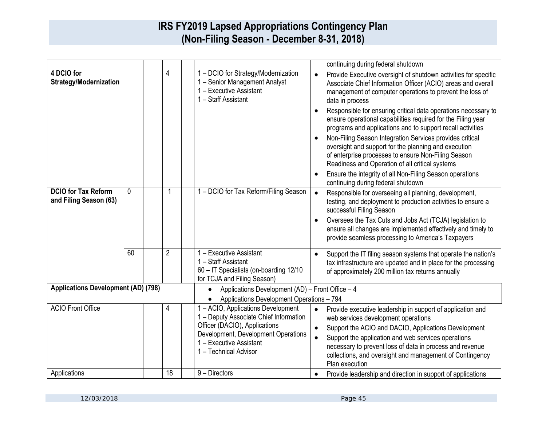| 4 DCIO for<br>4<br>1 - DCIO for Strategy/Modernization<br>$\bullet$<br><b>Strategy/Modernization</b><br>1 - Senior Management Analyst<br>1 - Executive Assistant<br>1 - Staff Assistant<br>data in process<br>programs and applications and to support recall activities<br>Non-Filing Season Integration Services provides critical<br>oversight and support for the planning and execution<br>of enterprise processes to ensure Non-Filing Season<br>Readiness and Operation of all critical systems<br>Ensure the integrity of all Non-Filing Season operations<br>continuing during federal shutdown<br><b>DCIO for Tax Reform</b><br>$\mathbf 0$<br>1 - DCIO for Tax Reform/Filing Season<br>1<br>Responsible for overseeing all planning, development,<br>$\bullet$<br>and Filing Season (63)<br>successful Filing Season<br>provide seamless processing to America's Taxpayers<br>$\overline{2}$<br>1 - Executive Assistant<br>60<br>1 - Staff Assistant<br>60 - IT Specialists (on-boarding 12/10)<br>of approximately 200 million tax returns annually<br>for TCJA and Filing Season)<br><b>Applications Development (AD) (798)</b><br>Applications Development (AD) - Front Office - 4<br>Applications Development Operations - 794<br><b>ACIO Front Office</b><br>1 - ACIO, Applications Development<br>4<br>$\bullet$ |  |                                        | continuing during federal shutdown                                                                                                                                                                                                                                                                                            |
|-----------------------------------------------------------------------------------------------------------------------------------------------------------------------------------------------------------------------------------------------------------------------------------------------------------------------------------------------------------------------------------------------------------------------------------------------------------------------------------------------------------------------------------------------------------------------------------------------------------------------------------------------------------------------------------------------------------------------------------------------------------------------------------------------------------------------------------------------------------------------------------------------------------------------------------------------------------------------------------------------------------------------------------------------------------------------------------------------------------------------------------------------------------------------------------------------------------------------------------------------------------------------------------------------------------------------------------|--|----------------------------------------|-------------------------------------------------------------------------------------------------------------------------------------------------------------------------------------------------------------------------------------------------------------------------------------------------------------------------------|
|                                                                                                                                                                                                                                                                                                                                                                                                                                                                                                                                                                                                                                                                                                                                                                                                                                                                                                                                                                                                                                                                                                                                                                                                                                                                                                                                   |  |                                        | Provide Executive oversight of shutdown activities for specific<br>Associate Chief Information Officer (ACIO) areas and overall<br>management of computer operations to prevent the loss of<br>Responsible for ensuring critical data operations necessary to<br>ensure operational capabilities required for the Filing year |
|                                                                                                                                                                                                                                                                                                                                                                                                                                                                                                                                                                                                                                                                                                                                                                                                                                                                                                                                                                                                                                                                                                                                                                                                                                                                                                                                   |  |                                        | testing, and deployment to production activities to ensure a<br>Oversees the Tax Cuts and Jobs Act (TCJA) legislation to<br>ensure all changes are implemented effectively and timely to                                                                                                                                      |
|                                                                                                                                                                                                                                                                                                                                                                                                                                                                                                                                                                                                                                                                                                                                                                                                                                                                                                                                                                                                                                                                                                                                                                                                                                                                                                                                   |  |                                        | Support the IT filing season systems that operate the nation's<br>tax infrastructure are updated and in place for the processing                                                                                                                                                                                              |
|                                                                                                                                                                                                                                                                                                                                                                                                                                                                                                                                                                                                                                                                                                                                                                                                                                                                                                                                                                                                                                                                                                                                                                                                                                                                                                                                   |  |                                        |                                                                                                                                                                                                                                                                                                                               |
| Officer (DACIO), Applications<br>$\bullet$<br>Development, Development Operations<br>Support the application and web services operations<br>$\bullet$<br>1 - Executive Assistant<br>necessary to prevent loss of data in process and revenue<br>1 - Technical Advisor<br>Plan execution<br>18<br>Applications<br>$9 -$ Directors<br>$\bullet$                                                                                                                                                                                                                                                                                                                                                                                                                                                                                                                                                                                                                                                                                                                                                                                                                                                                                                                                                                                     |  | 1 - Deputy Associate Chief Information | Provide executive leadership in support of application and<br>web services development operations<br>Support the ACIO and DACIO, Applications Development<br>collections, and oversight and management of Contingency<br>Provide leadership and direction in support of applications                                          |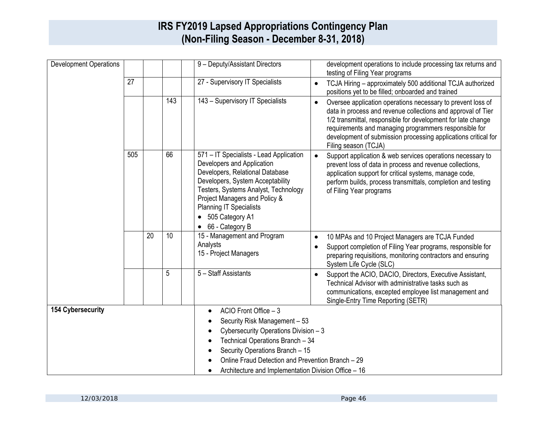|     |    |     | 9 - Deputy/Assistant Directors                                                                                                                                                                                                                                                                | development operations to include processing tax returns and<br>testing of Filing Year programs                                                                                                                                                                                                                                                             |  |  |  |
|-----|----|-----|-----------------------------------------------------------------------------------------------------------------------------------------------------------------------------------------------------------------------------------------------------------------------------------------------|-------------------------------------------------------------------------------------------------------------------------------------------------------------------------------------------------------------------------------------------------------------------------------------------------------------------------------------------------------------|--|--|--|
| 27  |    |     | 27 - Supervisory IT Specialists                                                                                                                                                                                                                                                               | TCJA Hiring - approximately 500 additional TCJA authorized<br>$\bullet$<br>positions yet to be filled; onboarded and trained                                                                                                                                                                                                                                |  |  |  |
|     |    | 143 | 143 - Supervisory IT Specialists                                                                                                                                                                                                                                                              | Oversee application operations necessary to prevent loss of<br>$\bullet$<br>data in process and revenue collections and approval of Tier<br>1/2 transmittal, responsible for development for late change<br>requirements and managing programmers responsible for<br>development of submission processing applications critical for<br>Filing season (TCJA) |  |  |  |
| 505 |    | 66  | 571 - IT Specialists - Lead Application<br>Developers and Application<br>Developers, Relational Database<br>Developers, System Acceptability<br>Testers, Systems Analyst, Technology<br>Project Managers and Policy &<br><b>Planning IT Specialists</b><br>505 Category A1<br>66 - Category B | Support application & web services operations necessary to<br>$\bullet$<br>prevent loss of data in process and revenue collections,<br>application support for critical systems, manage code,<br>perform builds, process transmittals, completion and testing<br>of Filing Year programs                                                                    |  |  |  |
|     | 20 | 10  | 15 - Management and Program<br>Analysts<br>15 - Project Managers                                                                                                                                                                                                                              | 10 MPAs and 10 Project Managers are TCJA Funded<br>$\bullet$<br>Support completion of Filing Year programs, responsible for<br>$\bullet$<br>preparing requisitions, monitoring contractors and ensuring<br>System Life Cycle (SLC)                                                                                                                          |  |  |  |
|     |    | 5   | 5 - Staff Assistants                                                                                                                                                                                                                                                                          | Support the ACIO, DACIO, Directors, Executive Assistant,<br>$\bullet$<br>Technical Advisor with administrative tasks such as<br>communications, excepted employee list management and<br>Single-Entry Time Reporting (SETR)                                                                                                                                 |  |  |  |
|     |    |     | ACIO Front Office - 3<br>$\bullet$                                                                                                                                                                                                                                                            |                                                                                                                                                                                                                                                                                                                                                             |  |  |  |
|     |    |     | Security Risk Management - 53                                                                                                                                                                                                                                                                 |                                                                                                                                                                                                                                                                                                                                                             |  |  |  |
|     |    |     |                                                                                                                                                                                                                                                                                               | Cybersecurity Operations Division - 3                                                                                                                                                                                                                                                                                                                       |  |  |  |
|     |    |     |                                                                                                                                                                                                                                                                                               |                                                                                                                                                                                                                                                                                                                                                             |  |  |  |
|     |    |     | Online Fraud Detection and Prevention Branch - 29                                                                                                                                                                                                                                             |                                                                                                                                                                                                                                                                                                                                                             |  |  |  |
|     |    |     |                                                                                                                                                                                                                                                                                               |                                                                                                                                                                                                                                                                                                                                                             |  |  |  |
|     |    |     |                                                                                                                                                                                                                                                                                               | Technical Operations Branch - 34<br>Security Operations Branch - 15<br>Architecture and Implementation Division Office - 16                                                                                                                                                                                                                                 |  |  |  |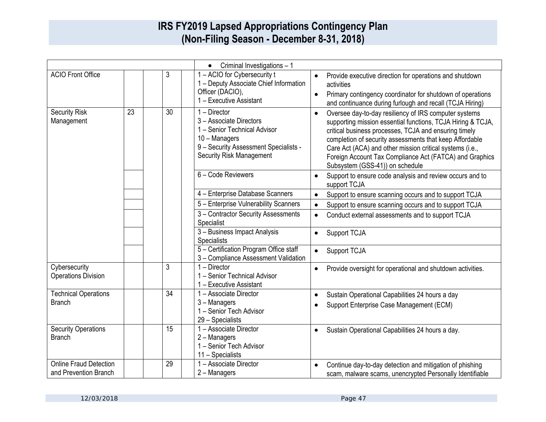|                                                        |    |    | Criminal Investigations - 1<br>$\bullet$                                                                                                                               |                                                                                                                                                                                                                                                                                                                                                                                                                 |  |  |
|--------------------------------------------------------|----|----|------------------------------------------------------------------------------------------------------------------------------------------------------------------------|-----------------------------------------------------------------------------------------------------------------------------------------------------------------------------------------------------------------------------------------------------------------------------------------------------------------------------------------------------------------------------------------------------------------|--|--|
| <b>ACIO Front Office</b>                               |    | 3  | 1 - ACIO for Cybersecurity t<br>1 - Deputy Associate Chief Information<br>Officer (DACIO),<br>1 - Executive Assistant                                                  | Provide executive direction for operations and shutdown<br>$\bullet$<br>activities<br>Primary contingency coordinator for shutdown of operations<br>$\bullet$<br>and continuance during furlough and recall (TCJA Hiring)                                                                                                                                                                                       |  |  |
| <b>Security Risk</b><br>Management                     | 23 | 30 | $1 -$ Director<br>3 - Associate Directors<br>1 - Senior Technical Advisor<br>10 - Managers<br>9 - Security Assessment Specialists -<br><b>Security Risk Management</b> | Oversee day-to-day resiliency of IRS computer systems<br>$\bullet$<br>supporting mission essential functions, TCJA Hiring & TCJA,<br>critical business processes, TCJA and ensuring timely<br>completion of security assessments that keep Affordable<br>Care Act (ACA) and other mission critical systems (i.e.,<br>Foreign Account Tax Compliance Act (FATCA) and Graphics<br>Subsystem (GSS-41)) on schedule |  |  |
|                                                        |    |    | 6 - Code Reviewers                                                                                                                                                     | Support to ensure code analysis and review occurs and to<br>$\bullet$<br>support TCJA                                                                                                                                                                                                                                                                                                                           |  |  |
|                                                        |    |    | 4 - Enterprise Database Scanners                                                                                                                                       | Support to ensure scanning occurs and to support TCJA<br>$\bullet$                                                                                                                                                                                                                                                                                                                                              |  |  |
|                                                        |    |    | 5 - Enterprise Vulnerability Scanners                                                                                                                                  | Support to ensure scanning occurs and to support TCJA<br>$\bullet$                                                                                                                                                                                                                                                                                                                                              |  |  |
|                                                        |    |    | 3 - Contractor Security Assessments<br>Specialist                                                                                                                      | Conduct external assessments and to support TCJA<br>$\bullet$                                                                                                                                                                                                                                                                                                                                                   |  |  |
|                                                        |    |    | 3 - Business Impact Analysis<br>Specialists                                                                                                                            | Support TCJA<br>$\bullet$                                                                                                                                                                                                                                                                                                                                                                                       |  |  |
|                                                        |    |    | 5 - Certification Program Office staff<br>3 - Compliance Assessment Validation                                                                                         | <b>Support TCJA</b><br>$\bullet$                                                                                                                                                                                                                                                                                                                                                                                |  |  |
| Cybersecurity<br><b>Operations Division</b>            |    | 3  | - Director<br>- Senior Technical Advisor<br>- Executive Assistant                                                                                                      | Provide oversight for operational and shutdown activities.<br>$\bullet$                                                                                                                                                                                                                                                                                                                                         |  |  |
| <b>Technical Operations</b><br><b>Branch</b>           |    | 34 | - Associate Director<br>3 - Managers<br>1 - Senior Tech Advisor<br>29 - Specialists                                                                                    | Sustain Operational Capabilities 24 hours a day<br>Support Enterprise Case Management (ECM)                                                                                                                                                                                                                                                                                                                     |  |  |
| <b>Security Operations</b><br><b>Branch</b>            |    | 15 | - Associate Director<br>2 - Managers<br>1 - Senior Tech Advisor<br>11 - Specialists                                                                                    | Sustain Operational Capabilities 24 hours a day.                                                                                                                                                                                                                                                                                                                                                                |  |  |
| <b>Online Fraud Detection</b><br>and Prevention Branch |    | 29 | 1 - Associate Director<br>2 - Managers                                                                                                                                 | Continue day-to-day detection and mitigation of phishing<br>scam, malware scams, unencrypted Personally Identifiable                                                                                                                                                                                                                                                                                            |  |  |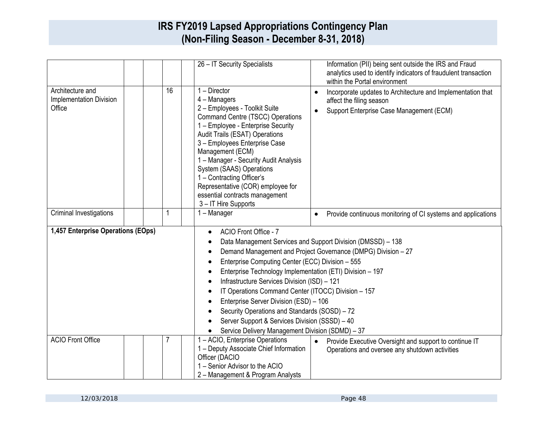|                                                              |  |  |                                                                                                                                                                                                                                                                                                                                                                                                                                                                                                                                                                                | 26 - IT Security Specialists                                                                                                                                                                                                                                                                                                                                                                                                  | Information (PII) being sent outside the IRS and Fraud<br>analytics used to identify indicators of fraudulent transaction                        |
|--------------------------------------------------------------|--|--|--------------------------------------------------------------------------------------------------------------------------------------------------------------------------------------------------------------------------------------------------------------------------------------------------------------------------------------------------------------------------------------------------------------------------------------------------------------------------------------------------------------------------------------------------------------------------------|-------------------------------------------------------------------------------------------------------------------------------------------------------------------------------------------------------------------------------------------------------------------------------------------------------------------------------------------------------------------------------------------------------------------------------|--------------------------------------------------------------------------------------------------------------------------------------------------|
|                                                              |  |  |                                                                                                                                                                                                                                                                                                                                                                                                                                                                                                                                                                                |                                                                                                                                                                                                                                                                                                                                                                                                                               | within the Portal environment                                                                                                                    |
| Architecture and<br><b>Implementation Division</b><br>Office |  |  | 16                                                                                                                                                                                                                                                                                                                                                                                                                                                                                                                                                                             | - Director<br>4 - Managers<br>2 - Employees - Toolkit Suite<br>Command Centre (TSCC) Operations<br>1 - Employee - Enterprise Security<br>Audit Trails (ESAT) Operations<br>3 - Employees Enterprise Case<br>Management (ECM)<br>1 - Manager - Security Audit Analysis<br>System (SAAS) Operations<br>1 - Contracting Officer's<br>Representative (COR) employee for<br>essential contracts management<br>3 - IT Hire Supports | Incorporate updates to Architecture and Implementation that<br>$\bullet$<br>affect the filing season<br>Support Enterprise Case Management (ECM) |
| Criminal Investigations                                      |  |  | 1                                                                                                                                                                                                                                                                                                                                                                                                                                                                                                                                                                              | $1 -$ Manager                                                                                                                                                                                                                                                                                                                                                                                                                 | Provide continuous monitoring of CI systems and applications                                                                                     |
| 1,457 Enterprise Operations (EOps)                           |  |  | ACIO Front Office - 7<br>Data Management Services and Support Division (DMSSD) - 138<br>Demand Management and Project Governance (DMPG) Division - 27<br>Enterprise Computing Center (ECC) Division - 555<br>Enterprise Technology Implementation (ETI) Division - 197<br>Infrastructure Services Division (ISD) - 121<br>IT Operations Command Center (ITOCC) Division - 157<br>Enterprise Server Division (ESD) - 106<br>Security Operations and Standards (SOSD) - 72<br>Server Support & Services Division (SSSD) - 40<br>Service Delivery Management Division (SDMD) - 37 |                                                                                                                                                                                                                                                                                                                                                                                                                               |                                                                                                                                                  |
| <b>ACIO Front Office</b>                                     |  |  | $\overline{7}$                                                                                                                                                                                                                                                                                                                                                                                                                                                                                                                                                                 | - ACIO, Enterprise Operations<br>- Deputy Associate Chief Information<br>Officer (DACIO<br>- Senior Advisor to the ACIO<br>2 - Management & Program Analysts                                                                                                                                                                                                                                                                  | Provide Executive Oversight and support to continue IT<br>$\bullet$<br>Operations and oversee any shutdown activities                            |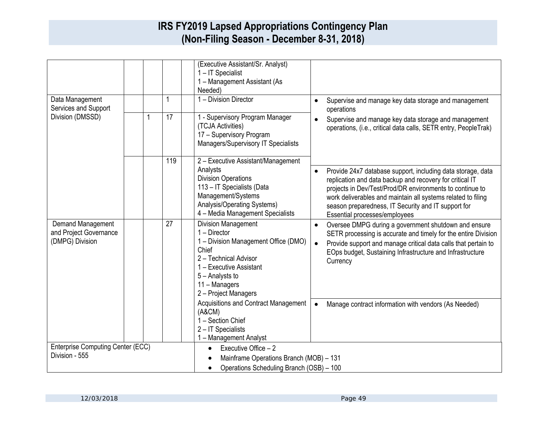| Data Management<br>Services and Support<br>Division (DMSSD)    | $\overline{1}$ | 1<br>17 | (Executive Assistant/Sr. Analyst)<br>1 - IT Specialist<br>1 - Management Assistant (As<br>Needed)<br>1 - Division Director<br>1 - Supervisory Program Manager<br>(TCJA Activities)<br>17 - Supervisory Program<br>Managers/Supervisory IT Specialists | Supervise and manage key data storage and management<br>$\bullet$<br>operations<br>Supervise and manage key data storage and management<br>$\bullet$<br>operations, (i.e., critical data calls, SETR entry, PeopleTrak)                                                                                                                     |  |
|----------------------------------------------------------------|----------------|---------|-------------------------------------------------------------------------------------------------------------------------------------------------------------------------------------------------------------------------------------------------------|---------------------------------------------------------------------------------------------------------------------------------------------------------------------------------------------------------------------------------------------------------------------------------------------------------------------------------------------|--|
|                                                                |                | 119     | 2 - Executive Assistant/Management<br>Analysts<br><b>Division Operations</b><br>113 - IT Specialists (Data<br>Management/Systems<br>Analysis/Operating Systems)<br>4 - Media Management Specialists                                                   | Provide 24x7 database support, including data storage, data<br>replication and data backup and recovery for critical IT<br>projects in Dev/Test/Prod/DR environments to continue to<br>work deliverables and maintain all systems related to filing<br>season preparedness, IT Security and IT support for<br>Essential processes/employees |  |
| Demand Management<br>and Project Governance<br>(DMPG) Division |                | 27      | Division Management<br>$1 -$ Director<br>1 - Division Management Office (DMO)<br>Chief<br>2 - Technical Advisor<br>1 - Executive Assistant<br>5 - Analysts to<br>11 - Managers<br>2 - Project Managers                                                | Oversee DMPG during a government shutdown and ensure<br>SETR processing is accurate and timely for the entire Division<br>Provide support and manage critical data calls that pertain to<br>$\bullet$<br>EOps budget, Sustaining Infrastructure and Infrastructure<br>Currency                                                              |  |
|                                                                |                |         | <b>Acquisitions and Contract Management</b><br>(A&CM)<br>1 - Section Chief<br>2 - IT Specialists<br>1 - Management Analyst                                                                                                                            | Manage contract information with vendors (As Needed)<br>$\bullet$                                                                                                                                                                                                                                                                           |  |
| Enterprise Computing Center (ECC)<br>Division - 555            |                |         | Executive Office - 2<br>Mainframe Operations Branch (MOB) - 131<br>Operations Scheduling Branch (OSB) - 100                                                                                                                                           |                                                                                                                                                                                                                                                                                                                                             |  |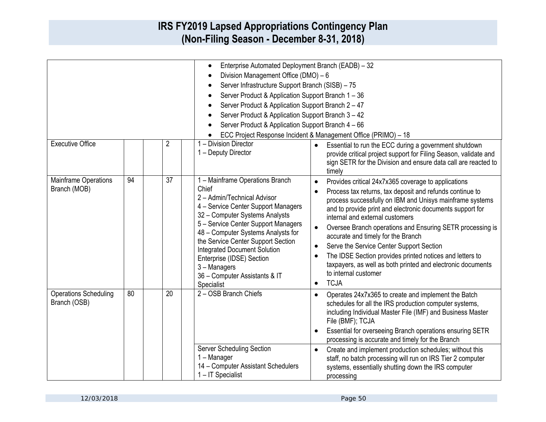|                                              |    |                | Enterprise Automated Deployment Branch (EADB) - 32<br>Division Management Office (DMO) - 6<br>Server Infrastructure Support Branch (SISB) - 75<br>Server Product & Application Support Branch 1 - 36<br>Server Product & Application Support Branch 2 - 47<br>Server Product & Application Support Branch 3 - 42<br>Server Product & Application Support Branch 4 - 66<br>ECC Project Response Incident & Management Office (PRIMO) - 18 |                                                                                                                                                                                                                                                                                                                                                                                                                                                                                                                                                                                                                                                               |  |  |
|----------------------------------------------|----|----------------|------------------------------------------------------------------------------------------------------------------------------------------------------------------------------------------------------------------------------------------------------------------------------------------------------------------------------------------------------------------------------------------------------------------------------------------|---------------------------------------------------------------------------------------------------------------------------------------------------------------------------------------------------------------------------------------------------------------------------------------------------------------------------------------------------------------------------------------------------------------------------------------------------------------------------------------------------------------------------------------------------------------------------------------------------------------------------------------------------------------|--|--|
| <b>Executive Office</b>                      |    | $\overline{2}$ | 1 - Division Director<br>1 - Deputy Director                                                                                                                                                                                                                                                                                                                                                                                             | Essential to run the ECC during a government shutdown<br>$\bullet$<br>provide critical project support for Filing Season, validate and<br>sign SETR for the Division and ensure data call are reacted to<br>timely                                                                                                                                                                                                                                                                                                                                                                                                                                            |  |  |
| Mainframe Operations<br>Branch (MOB)         | 94 | 37             | 1 - Mainframe Operations Branch<br>Chief<br>2 - Admin/Technical Advisor<br>4 - Service Center Support Managers<br>32 - Computer Systems Analysts<br>5 - Service Center Support Managers<br>48 - Computer Systems Analysts for<br>the Service Center Support Section<br><b>Integrated Document Solution</b><br>Enterprise (IDSE) Section<br>3 - Managers<br>36 - Computer Assistants & IT<br>Specialist                                   | Provides critical 24x7x365 coverage to applications<br>$\bullet$<br>Process tax returns, tax deposit and refunds continue to<br>$\bullet$<br>process successfully on IBM and Unisys mainframe systems<br>and to provide print and electronic documents support for<br>internal and external customers<br>Oversee Branch operations and Ensuring SETR processing is<br>$\bullet$<br>accurate and timely for the Branch<br>Serve the Service Center Support Section<br>$\bullet$<br>The IDSE Section provides printed notices and letters to<br>taxpayers, as well as both printed and electronic documents<br>to internal customer<br><b>TCJA</b><br>$\bullet$ |  |  |
| <b>Operations Scheduling</b><br>Branch (OSB) | 80 | 20             | 2 - OSB Branch Chiefs<br><b>Server Scheduling Section</b><br>1 - Manager<br>14 - Computer Assistant Schedulers<br>1-IT Specialist                                                                                                                                                                                                                                                                                                        | Operates 24x7x365 to create and implement the Batch<br>$\bullet$<br>schedules for all the IRS production computer systems,<br>including Individual Master File (IMF) and Business Master<br>File (BMF); TCJA<br>Essential for overseeing Branch operations ensuring SETR<br>processing is accurate and timely for the Branch<br>Create and implement production schedules; without this<br>staff, no batch processing will run on IRS Tier 2 computer<br>systems, essentially shutting down the IRS computer<br>processing                                                                                                                                    |  |  |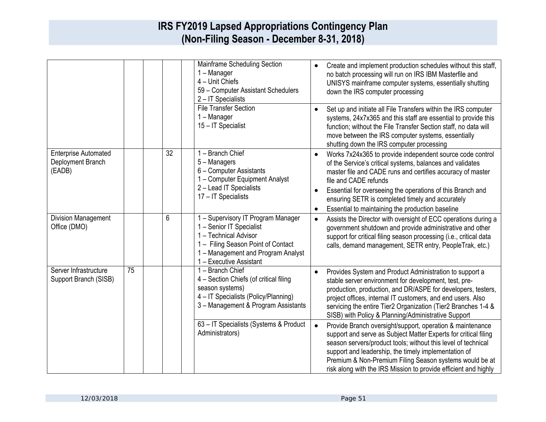|                                                            |    |    | Mainframe Scheduling Section<br>1 - Manager<br>4 - Unit Chiefs<br>59 - Computer Assistant Schedulers<br>2 - IT Specialists                                                                     | Create and implement production schedules without this staff,<br>no batch processing will run on IRS IBM Masterfile and<br>UNISYS mainframe computer systems, essentially shutting<br>down the IRS computer processing                                                                                                                                                                                        |
|------------------------------------------------------------|----|----|------------------------------------------------------------------------------------------------------------------------------------------------------------------------------------------------|---------------------------------------------------------------------------------------------------------------------------------------------------------------------------------------------------------------------------------------------------------------------------------------------------------------------------------------------------------------------------------------------------------------|
|                                                            |    |    | <b>File Transfer Section</b><br>1 - Manager<br>15 - IT Specialist                                                                                                                              | Set up and initiate all File Transfers within the IRS computer<br>systems, 24x7x365 and this staff are essential to provide this<br>function; without the File Transfer Section staff, no data will<br>move between the IRS computer systems, essentially<br>shutting down the IRS computer processing                                                                                                        |
| <b>Enterprise Automated</b><br>Deployment Branch<br>(EADB) |    | 32 | 1 - Branch Chief<br>5 - Managers<br>6 - Computer Assistants<br>1 - Computer Equipment Analyst<br>2 - Lead IT Specialists<br>17 - IT Specialists                                                | Works 7x24x365 to provide independent source code control<br>$\bullet$<br>of the Service's critical systems, balances and validates<br>master file and CADE runs and certifies accuracy of master<br>file and CADE refunds<br>Essential for overseeing the operations of this Branch and<br>ensuring SETR is completed timely and accurately<br>Essential to maintaining the production baseline<br>$\bullet$ |
| <b>Division Management</b><br>Office (DMO)                 |    | 6  | 1 - Supervisory IT Program Manager<br>1 - Senior IT Specialist<br>1 - Technical Advisor<br>1 - Filing Season Point of Contact<br>1 – Management and Program Analyst<br>1 - Executive Assistant | Assists the Director with oversight of ECC operations during a<br>$\bullet$<br>government shutdown and provide administrative and other<br>support for critical filing season processing (i.e., critical data<br>calls, demand management, SETR entry, PeopleTrak, etc.)                                                                                                                                      |
| Server Infrastructure<br>Support Branch (SISB)             | 75 |    | 1 - Branch Chief<br>4 - Section Chiefs (of critical filing<br>season systems)<br>4 - IT Specialists (Policy/Planning)<br>3 - Management & Program Assistants                                   | Provides System and Product Administration to support a<br>stable server environment for development, test, pre-<br>production, production, and DR/ASPE for developers, testers,<br>project offices, internal IT customers, and end users. Also<br>servicing the entire Tier2 Organization (Tier2 Branches 1-4 &<br>SISB) with Policy & Planning/Administrative Support                                       |
|                                                            |    |    | 63 - IT Specialists (Systems & Product<br>Administrators)                                                                                                                                      | Provide Branch oversight/support, operation & maintenance<br>$\bullet$<br>support and serve as Subject Matter Experts for critical filing<br>season servers/product tools; without this level of technical<br>support and leadership, the timely implementation of<br>Premium & Non-Premium Filing Season systems would be at<br>risk along with the IRS Mission to provide efficient and highly              |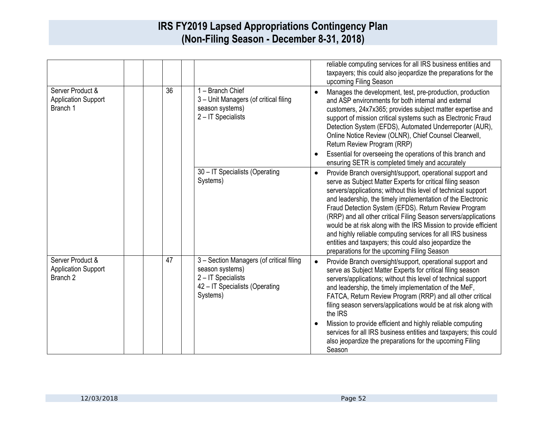|                                                                       |  |    |                                                                                                                                 |           | reliable computing services for all IRS business entities and<br>taxpayers; this could also jeopardize the preparations for the<br>upcoming Filing Season                                                                                                                                                                                                                                                                                                                                                                                                                                                                      |
|-----------------------------------------------------------------------|--|----|---------------------------------------------------------------------------------------------------------------------------------|-----------|--------------------------------------------------------------------------------------------------------------------------------------------------------------------------------------------------------------------------------------------------------------------------------------------------------------------------------------------------------------------------------------------------------------------------------------------------------------------------------------------------------------------------------------------------------------------------------------------------------------------------------|
| Server Product &<br><b>Application Support</b><br>Branch 1            |  | 36 | 1 - Branch Chief<br>3 - Unit Managers (of critical filing<br>season systems)<br>2 - IT Specialists                              | $\bullet$ | Manages the development, test, pre-production, production<br>and ASP environments for both internal and external<br>customers, 24x7x365; provides subject matter expertise and<br>support of mission critical systems such as Electronic Fraud<br>Detection System (EFDS), Automated Underreporter (AUR),<br>Online Notice Review (OLNR), Chief Counsel Clearwell,<br>Return Review Program (RRP)<br>Essential for overseeing the operations of this branch and<br>ensuring SETR is completed timely and accurately                                                                                                            |
|                                                                       |  |    | 30 - IT Specialists (Operating<br>Systems)                                                                                      | $\bullet$ | Provide Branch oversight/support, operational support and<br>serve as Subject Matter Experts for critical filing season<br>servers/applications; without this level of technical support<br>and leadership, the timely implementation of the Electronic<br>Fraud Detection System (EFDS). Return Review Program<br>(RRP) and all other critical Filing Season servers/applications<br>would be at risk along with the IRS Mission to provide efficient<br>and highly reliable computing services for all IRS business<br>entities and taxpayers; this could also jeopardize the<br>preparations for the upcoming Filing Season |
| Server Product &<br><b>Application Support</b><br>Branch <sub>2</sub> |  | 47 | 3 - Section Managers (of critical filing<br>season systems)<br>2 - IT Specialists<br>42 - IT Specialists (Operating<br>Systems) | $\bullet$ | Provide Branch oversight/support, operational support and<br>serve as Subject Matter Experts for critical filing season<br>servers/applications; without this level of technical support<br>and leadership, the timely implementation of the MeF,<br>FATCA, Return Review Program (RRP) and all other critical<br>filing season servers/applications would be at risk along with<br>the IRS                                                                                                                                                                                                                                    |
|                                                                       |  |    |                                                                                                                                 |           | Mission to provide efficient and highly reliable computing<br>services for all IRS business entities and taxpayers; this could<br>also jeopardize the preparations for the upcoming Filing<br>Season                                                                                                                                                                                                                                                                                                                                                                                                                           |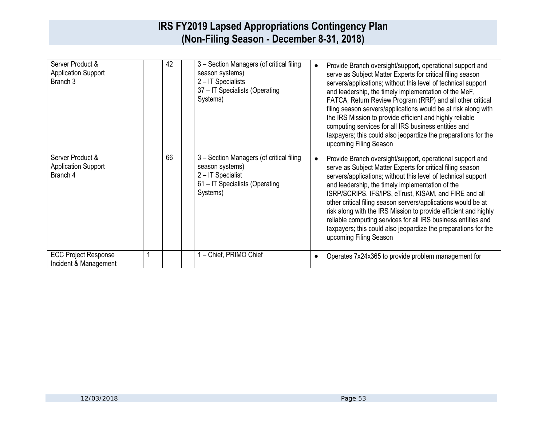| Server Product &<br><b>Application Support</b><br>Branch 3 | 42 | 3 - Section Managers (of critical filing<br>season systems)<br>2 – IT Specialists<br>37 - IT Specialists (Operating<br>Systems) | Provide Branch oversight/support, operational support and<br>$\bullet$<br>serve as Subject Matter Experts for critical filing season<br>servers/applications; without this level of technical support<br>and leadership, the timely implementation of the MeF,<br>FATCA, Return Review Program (RRP) and all other critical<br>filing season servers/applications would be at risk along with<br>the IRS Mission to provide efficient and highly reliable<br>computing services for all IRS business entities and<br>taxpayers; this could also jeopardize the preparations for the<br>upcoming Filing Season       |
|------------------------------------------------------------|----|---------------------------------------------------------------------------------------------------------------------------------|---------------------------------------------------------------------------------------------------------------------------------------------------------------------------------------------------------------------------------------------------------------------------------------------------------------------------------------------------------------------------------------------------------------------------------------------------------------------------------------------------------------------------------------------------------------------------------------------------------------------|
| Server Product &<br><b>Application Support</b><br>Branch 4 | 66 | 3 - Section Managers (of critical filing<br>season systems)<br>2 - IT Specialist<br>61 - IT Specialists (Operating<br>Systems)  | Provide Branch oversight/support, operational support and<br>$\bullet$<br>serve as Subject Matter Experts for critical filing season<br>servers/applications; without this level of technical support<br>and leadership, the timely implementation of the<br>ISRP/SCRIPS, IFS/IPS, eTrust, KISAM, and FIRE and all<br>other critical filing season servers/applications would be at<br>risk along with the IRS Mission to provide efficient and highly<br>reliable computing services for all IRS business entities and<br>taxpayers; this could also jeopardize the preparations for the<br>upcoming Filing Season |
| <b>ECC Project Response</b><br>Incident & Management       |    | 1 – Chief, PRIMO Chief                                                                                                          | Operates 7x24x365 to provide problem management for<br>$\bullet$                                                                                                                                                                                                                                                                                                                                                                                                                                                                                                                                                    |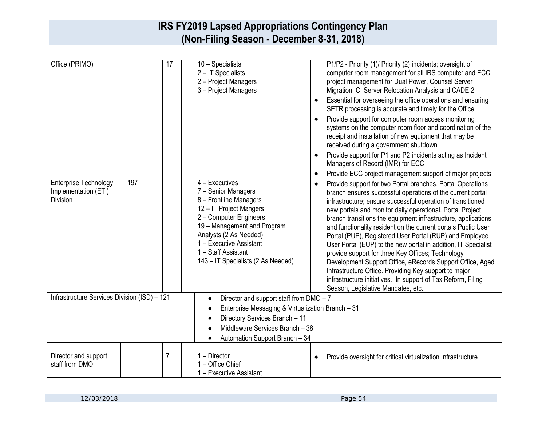| Office (PRIMO)                                                          |     |  | 17             | $10 - Specialists$<br>2 - IT Specialists<br>2 - Project Managers<br>3 - Project Managers                                                                                                                                                                              | P1/P2 - Priority (1)/ Priority (2) incidents; oversight of<br>computer room management for all IRS computer and ECC<br>project management for Dual Power, Counsel Server<br>Migration, CI Server Relocation Analysis and CADE 2<br>Essential for overseeing the office operations and ensuring<br>SETR processing is accurate and timely for the Office<br>Provide support for computer room access monitoring<br>$\bullet$<br>systems on the computer room floor and coordination of the<br>receipt and installation of new equipment that may be<br>received during a government shutdown<br>Provide support for P1 and P2 incidents acting as Incident<br>Managers of Record (IMR) for ECC<br>Provide ECC project management support of major projects<br>$\bullet$                                           |  |
|-------------------------------------------------------------------------|-----|--|----------------|-----------------------------------------------------------------------------------------------------------------------------------------------------------------------------------------------------------------------------------------------------------------------|------------------------------------------------------------------------------------------------------------------------------------------------------------------------------------------------------------------------------------------------------------------------------------------------------------------------------------------------------------------------------------------------------------------------------------------------------------------------------------------------------------------------------------------------------------------------------------------------------------------------------------------------------------------------------------------------------------------------------------------------------------------------------------------------------------------|--|
| <b>Enterprise Technology</b><br>Implementation (ETI)<br><b>Division</b> | 197 |  |                | 4 - Executives<br>7 - Senior Managers<br>8 - Frontline Managers<br>12 - IT Project Mangers<br>2 - Computer Engineers<br>19 - Management and Program<br>Analysts (2 As Needed)<br>1 - Executive Assistant<br>1 - Staff Assistant<br>143 – IT Specialists (2 As Needed) | Provide support for two Portal branches. Portal Operations<br>$\bullet$<br>branch ensures successful operations of the current portal<br>infrastructure; ensure successful operation of transitioned<br>new portals and monitor daily operational. Portal Project<br>branch transitions the equipment infrastructure, applications<br>and functionality resident on the current portals Public User<br>Portal (PUP), Registered User Portal (RUP) and Employee<br>User Portal (EUP) to the new portal in addition, IT Specialist<br>provide support for three Key Offices; Technology<br>Development Support Office, eRecords Support Office, Aged<br>Infrastructure Office. Providing Key support to major<br>infrastructure initiatives. In support of Tax Reform, Filing<br>Season, Legislative Mandates, etc |  |
| Infrastructure Services Division (ISD) - 121                            |     |  |                | Director and support staff from DMO - 7<br>$\bullet$<br>Enterprise Messaging & Virtualization Branch - 31<br>Directory Services Branch - 11<br>Middleware Services Branch - 38<br>Automation Support Branch - 34                                                      |                                                                                                                                                                                                                                                                                                                                                                                                                                                                                                                                                                                                                                                                                                                                                                                                                  |  |
| Director and support<br>staff from DMO                                  |     |  | $\overline{7}$ | $1 -$ Director<br>1 - Office Chief<br>1 – Executive Assistant                                                                                                                                                                                                         | Provide oversight for critical virtualization Infrastructure                                                                                                                                                                                                                                                                                                                                                                                                                                                                                                                                                                                                                                                                                                                                                     |  |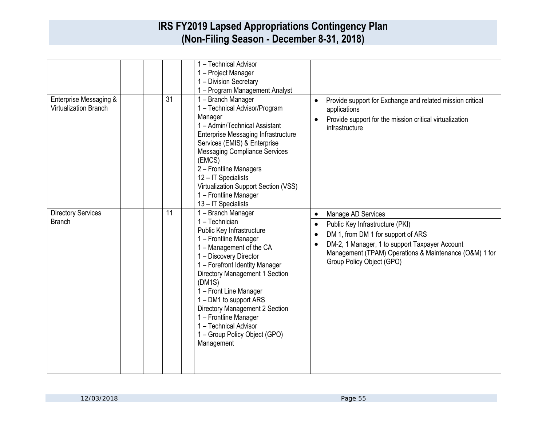| Enterprise Messaging &<br>Virtualization Branch | 31 | - Technical Advisor<br>- Project Manager<br>- Division Secretary<br>- Program Management Analyst<br>1 - Branch Manager<br>1 - Technical Advisor/Program<br>Manager<br>1 - Admin/Technical Assistant<br><b>Enterprise Messaging Infrastructure</b><br>Services (EMIS) & Enterprise<br><b>Messaging Compliance Services</b><br>(EMCS)<br>2 - Frontline Managers<br>12 - IT Specialists<br>Virtualization Support Section (VSS)<br>1 - Frontline Manager |                                                  | Provide support for Exchange and related mission critical<br>applications<br>Provide support for the mission critical virtualization<br>infrastructure                                                                               |
|-------------------------------------------------|----|-------------------------------------------------------------------------------------------------------------------------------------------------------------------------------------------------------------------------------------------------------------------------------------------------------------------------------------------------------------------------------------------------------------------------------------------------------|--------------------------------------------------|--------------------------------------------------------------------------------------------------------------------------------------------------------------------------------------------------------------------------------------|
| <b>Directory Services</b><br><b>Branch</b>      | 11 | 13 - IT Specialists<br>1 - Branch Manager<br>1 - Technician<br>Public Key Infrastructure<br>1 - Frontline Manager<br>1 - Management of the CA<br>1 - Discovery Director<br>1 - Forefront Identity Manager<br>Directory Management 1 Section<br>(DM1S)<br>1 - Front Line Manager<br>1 – DM1 to support ARS<br>Directory Management 2 Section<br>1 - Frontline Manager<br>1 - Technical Advisor<br>1 - Group Policy Object (GPO)<br>Management          | $\bullet$<br>$\bullet$<br>$\bullet$<br>$\bullet$ | Manage AD Services<br>Public Key Infrastructure (PKI)<br>DM 1, from DM 1 for support of ARS<br>DM-2, 1 Manager, 1 to support Taxpayer Account<br>Management (TPAM) Operations & Maintenance (O&M) 1 for<br>Group Policy Object (GPO) |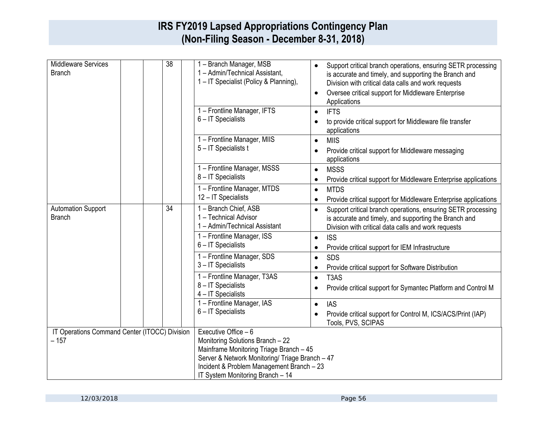| Middleware Services<br><b>Branch</b>                    | 38 | - Branch Manager, MSB<br>- Admin/Technical Assistant,<br>1 – IT Specialist (Policy & Planning),                                                                                                                                         | Support critical branch operations, ensuring SETR processing<br>is accurate and timely, and supporting the Branch and<br>Division with critical data calls and work requests<br>Oversee critical support for Middleware Enterprise<br>٠<br>Applications |  |
|---------------------------------------------------------|----|-----------------------------------------------------------------------------------------------------------------------------------------------------------------------------------------------------------------------------------------|---------------------------------------------------------------------------------------------------------------------------------------------------------------------------------------------------------------------------------------------------------|--|
|                                                         |    | 1 - Frontline Manager, IFTS<br>6 - IT Specialists                                                                                                                                                                                       | <b>IFTS</b><br>$\bullet$<br>to provide critical support for Middleware file transfer<br>applications                                                                                                                                                    |  |
|                                                         |    | - Frontline Manager, MIIS<br>5 - IT Specialists t                                                                                                                                                                                       | <b>MIIS</b><br>$\bullet$<br>Provide critical support for Middleware messaging<br>applications                                                                                                                                                           |  |
|                                                         |    | 1 - Frontline Manager, MSSS<br>8 - IT Specialists                                                                                                                                                                                       | <b>MSSS</b><br>$\bullet$<br>Provide critical support for Middleware Enterprise applications<br>$\bullet$                                                                                                                                                |  |
|                                                         |    | 1 - Frontline Manager, MTDS<br>12 - IT Specialists                                                                                                                                                                                      | <b>MTDS</b><br>$\bullet$<br>Provide critical support for Middleware Enterprise applications<br>$\bullet$                                                                                                                                                |  |
| <b>Automation Support</b><br><b>Branch</b>              | 34 | 1 - Branch Chief, ASB<br>1 - Technical Advisor<br>1 - Admin/Technical Assistant                                                                                                                                                         | Support critical branch operations, ensuring SETR processing<br>$\bullet$<br>is accurate and timely, and supporting the Branch and<br>Division with critical data calls and work requests                                                               |  |
|                                                         |    | 1 – Frontline Manager, ISS<br>$6 - IT$ Specialists                                                                                                                                                                                      | <b>ISS</b><br>$\bullet$<br>Provide critical support for IEM Infrastructure                                                                                                                                                                              |  |
|                                                         |    | 1 - Frontline Manager, SDS<br>3 - IT Specialists                                                                                                                                                                                        | <b>SDS</b><br>$\bullet$<br>Provide critical support for Software Distribution                                                                                                                                                                           |  |
|                                                         |    | 1 - Frontline Manager, T3AS<br>8 - IT Specialists<br>4 - IT Specialists                                                                                                                                                                 | T <sub>3</sub> A <sub>S</sub><br>$\bullet$<br>Provide critical support for Symantec Platform and Control M                                                                                                                                              |  |
|                                                         |    | 1 - Frontline Manager, IAS<br>6 - IT Specialists                                                                                                                                                                                        | <b>IAS</b><br>$\bullet$<br>Provide critical support for Control M, ICS/ACS/Print (IAP)<br>Tools, PVS, SCIPAS                                                                                                                                            |  |
| IT Operations Command Center (ITOCC) Division<br>$-157$ |    | Executive Office - 6<br>Monitoring Solutions Branch - 22<br>Mainframe Monitoring Triage Branch - 45<br>Server & Network Monitoring/ Triage Branch - 47<br>Incident & Problem Management Branch - 23<br>IT System Monitoring Branch - 14 |                                                                                                                                                                                                                                                         |  |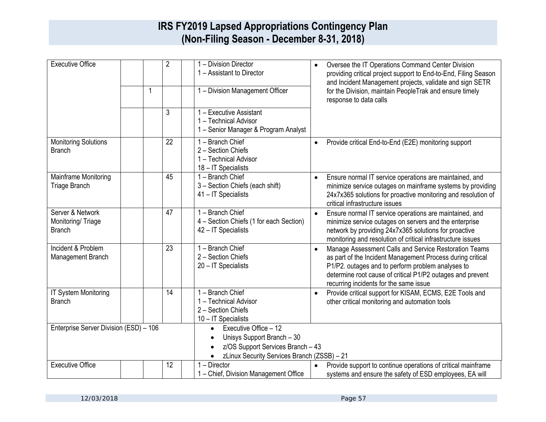| <b>Executive Office</b>                                 |  | $\overline{2}$<br>$\mathbf 1$<br>3 | - Division Director<br>- Assistant to Director<br>1 - Division Management Officer<br>1 - Executive Assistant<br>1 - Technical Advisor   | Oversee the IT Operations Command Center Division<br>$\bullet$<br>providing critical project support to End-to-End, Filing Season<br>and Incident Management projects, validate and sign SETR<br>for the Division, maintain PeopleTrak and ensure timely<br>response to data calls            |  |
|---------------------------------------------------------|--|------------------------------------|-----------------------------------------------------------------------------------------------------------------------------------------|-----------------------------------------------------------------------------------------------------------------------------------------------------------------------------------------------------------------------------------------------------------------------------------------------|--|
| <b>Monitoring Solutions</b><br><b>Branch</b>            |  | 22                                 | 1 - Senior Manager & Program Analyst<br>1 - Branch Chief<br>2 - Section Chiefs<br>1 - Technical Advisor                                 | Provide critical End-to-End (E2E) monitoring support<br>$\bullet$                                                                                                                                                                                                                             |  |
| Mainframe Monitoring<br>Triage Branch                   |  | 45                                 | 18 - IT Specialists<br>1 - Branch Chief<br>3 - Section Chiefs (each shift)<br>41 - IT Specialists                                       | Ensure normal IT service operations are maintained, and<br>$\bullet$<br>minimize service outages on mainframe systems by providing<br>24x7x365 solutions for proactive monitoring and resolution of<br>critical infrastructure issues                                                         |  |
| Server & Network<br>Monitoring/ Triage<br><b>Branch</b> |  | 47                                 | 1 - Branch Chief<br>4 - Section Chiefs (1 for each Section)<br>42 - IT Specialists                                                      | Ensure normal IT service operations are maintained, and<br>minimize service outages on servers and the enterprise<br>network by providing 24x7x365 solutions for proactive<br>monitoring and resolution of critical infrastructure issues                                                     |  |
| Incident & Problem<br>Management Branch                 |  | 23                                 | 1 - Branch Chief<br>2 - Section Chiefs<br>20 - IT Specialists                                                                           | Manage Assessment Calls and Service Restoration Teams<br>$\bullet$<br>as part of the Incident Management Process during critical<br>P1/P2. outages and to perform problem analyses to<br>determine root cause of critical P1/P2 outages and prevent<br>recurring incidents for the same issue |  |
| <b>IT System Monitoring</b><br><b>Branch</b>            |  | 14                                 | - Branch Chief<br>- Technical Advisor<br>2 - Section Chiefs<br>10 - IT Specialists                                                      | Provide critical support for KISAM, ECMS, E2E Tools and<br>$\bullet$<br>other critical monitoring and automation tools                                                                                                                                                                        |  |
| Enterprise Server Division (ESD) - 106                  |  |                                    | Executive Office - 12<br>Unisys Support Branch - 30<br>z/OS Support Services Branch - 43<br>zLinux Security Services Branch (ZSSB) - 21 |                                                                                                                                                                                                                                                                                               |  |
| <b>Executive Office</b>                                 |  | 12                                 | - Director<br>1 – Chief, Division Management Office                                                                                     | Provide support to continue operations of critical mainframe<br>$\bullet$<br>systems and ensure the safety of ESD employees, EA will                                                                                                                                                          |  |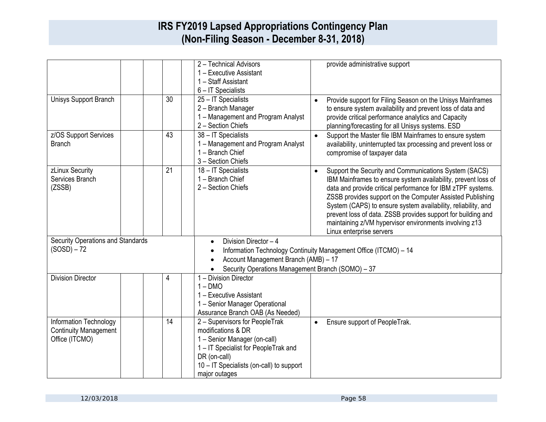|                                   |    | 2 - Technical Advisors                            | provide administrative support                                          |
|-----------------------------------|----|---------------------------------------------------|-------------------------------------------------------------------------|
|                                   |    | 1 - Executive Assistant                           |                                                                         |
|                                   |    | 1 – Staff Assistant                               |                                                                         |
|                                   |    | $6 - IT$ Specialists                              |                                                                         |
| Unisys Support Branch             | 30 | 25 - IT Specialists                               | Provide support for Filing Season on the Unisys Mainframes<br>$\bullet$ |
|                                   |    | 2 - Branch Manager                                | to ensure system availability and prevent loss of data and              |
|                                   |    | 1 - Management and Program Analyst                | provide critical performance analytics and Capacity                     |
|                                   |    | 2 - Section Chiefs                                | planning/forecasting for all Unisys systems. ESD                        |
| z/OS Support Services             | 43 | 38 - IT Specialists                               | Support the Master file IBM Mainframes to ensure system<br>$\bullet$    |
| <b>Branch</b>                     |    | 1 - Management and Program Analyst                | availability, uninterrupted tax processing and prevent loss or          |
|                                   |    | 1 - Branch Chief                                  | compromise of taxpayer data                                             |
|                                   |    | 3 - Section Chiefs                                |                                                                         |
| zLinux Security                   | 21 | 18 - IT Specialists                               | Support the Security and Communications System (SACS)<br>$\bullet$      |
| Services Branch                   |    | 1 - Branch Chief                                  | IBM Mainframes to ensure system availability, prevent loss of           |
| (ZSSB)                            |    | 2 - Section Chiefs                                | data and provide critical performance for IBM zTPF systems.             |
|                                   |    |                                                   | ZSSB provides support on the Computer Assisted Publishing               |
|                                   |    |                                                   | System (CAPS) to ensure system availability, reliability, and           |
|                                   |    |                                                   | prevent loss of data. ZSSB provides support for building and            |
|                                   |    |                                                   | maintaining z/VM hypervisor environments involving z13                  |
|                                   |    |                                                   | Linux enterprise servers                                                |
| Security Operations and Standards |    | Division Director - 4<br>$\bullet$                |                                                                         |
| $(SOSD) - 72$                     |    |                                                   | Information Technology Continuity Management Office (ITCMO) - 14        |
|                                   |    | Account Management Branch (AMB) - 17              |                                                                         |
|                                   |    | Security Operations Management Branch (SOMO) - 37 |                                                                         |
| <b>Division Director</b>          | 4  | 1 - Division Director                             |                                                                         |
|                                   |    | $1 - DMO$                                         |                                                                         |
|                                   |    | 1 - Executive Assistant                           |                                                                         |
|                                   |    | 1 - Senior Manager Operational                    |                                                                         |
|                                   |    | Assurance Branch OAB (As Needed)                  |                                                                         |
| Information Technology            | 14 | $2 -$ Supervisors for PeopleTrak                  | Ensure support of PeopleTrak.<br>$\bullet$                              |
| <b>Continuity Management</b>      |    | modifications & DR                                |                                                                         |
| Office (ITCMO)                    |    | 1 - Senior Manager (on-call)                      |                                                                         |
|                                   |    | 1-IT Specialist for PeopleTrak and                |                                                                         |
|                                   |    | DR (on-call)                                      |                                                                         |
|                                   |    | 10 - IT Specialists (on-call) to support          |                                                                         |
|                                   |    | major outages                                     |                                                                         |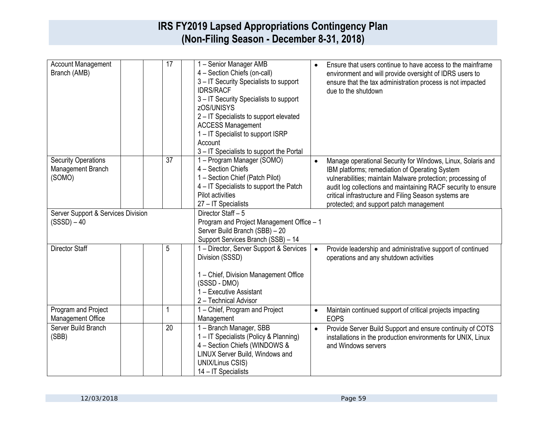| <b>Account Management</b><br>Branch (AMB)                 | 17 | 1 - Senior Manager AMB<br>4 - Section Chiefs (on-call)<br>3 - IT Security Specialists to support<br><b>IDRS/RACF</b><br>3 - IT Security Specialists to support<br>zOS/UNISYS<br>2 - IT Specialists to support elevated<br><b>ACCESS Management</b><br>1 – IT Specialist to support ISRP<br>Account<br>3 - IT Specialists to support the Portal | $\bullet$ | Ensure that users continue to have access to the mainframe<br>environment and will provide oversight of IDRS users to<br>ensure that the tax administration process is not impacted<br>due to the shutdown                                                                                                                                        |
|-----------------------------------------------------------|----|------------------------------------------------------------------------------------------------------------------------------------------------------------------------------------------------------------------------------------------------------------------------------------------------------------------------------------------------|-----------|---------------------------------------------------------------------------------------------------------------------------------------------------------------------------------------------------------------------------------------------------------------------------------------------------------------------------------------------------|
| <b>Security Operations</b><br>Management Branch<br>(SOMO) | 37 | 1 – Program Manager (SOMO)<br>4 - Section Chiefs<br>1 - Section Chief (Patch Pilot)<br>4 – IT Specialists to support the Patch<br>Pilot activities<br>27 - IT Specialists                                                                                                                                                                      | $\bullet$ | Manage operational Security for Windows, Linux, Solaris and<br>IBM platforms; remediation of Operating System<br>vulnerabilities; maintain Malware protection; processing of<br>audit log collections and maintaining RACF security to ensure<br>critical infrastructure and Filing Season systems are<br>protected; and support patch management |
| Server Support & Services Division<br>$(SSSD) - 40$       |    | Director Staff - 5<br>Program and Project Management Office - 1<br>Server Build Branch (SBB) - 20<br>Support Services Branch (SSB) - 14                                                                                                                                                                                                        |           |                                                                                                                                                                                                                                                                                                                                                   |
| <b>Director Staff</b>                                     | 5  | 1 - Director, Server Support & Services<br>Division (SSSD)<br>1 – Chief, Division Management Office<br>(SSSD - DMO)<br>1 - Executive Assistant<br>2 - Technical Advisor                                                                                                                                                                        | $\bullet$ | Provide leadership and administrative support of continued<br>operations and any shutdown activities                                                                                                                                                                                                                                              |
| Program and Project<br>Management Office                  | 1  | 1 – Chief, Program and Project<br>Management                                                                                                                                                                                                                                                                                                   | $\bullet$ | Maintain continued support of critical projects impacting<br><b>EOPS</b>                                                                                                                                                                                                                                                                          |
| Server Build Branch<br>(SBB)                              | 20 | 1 - Branch Manager, SBB<br>1 - IT Specialists (Policy & Planning)<br>4 - Section Chiefs (WINDOWS &<br>LINUX Server Build, Windows and<br><b>UNIX/Linus CSIS)</b><br>14 - IT Specialists                                                                                                                                                        | $\bullet$ | Provide Server Build Support and ensure continuity of COTS<br>installations in the production environments for UNIX, Linux<br>and Windows servers                                                                                                                                                                                                 |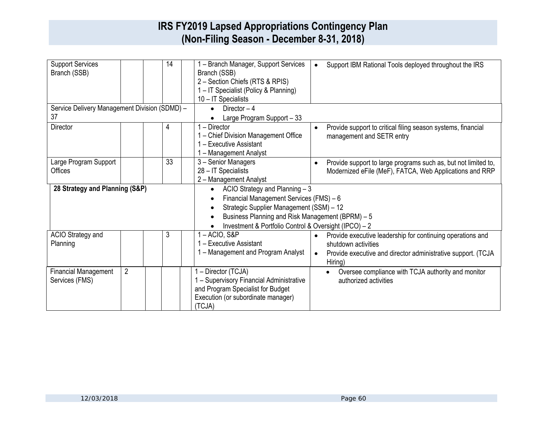| <b>Support Services</b><br>Branch (SSB)       |                | 14 |  | 1 - Branch Manager, Support Services<br>Branch (SSB)<br>2 - Section Chiefs (RTS & RPIS)<br>1 - IT Specialist (Policy & Planning)<br>10 - IT Specialists                                                                             | $\bullet$ | Support IBM Rational Tools deployed throughout the IRS                                    |
|-----------------------------------------------|----------------|----|--|-------------------------------------------------------------------------------------------------------------------------------------------------------------------------------------------------------------------------------------|-----------|-------------------------------------------------------------------------------------------|
| Service Delivery Management Division (SDMD) - |                |    |  | Director $-4$                                                                                                                                                                                                                       |           |                                                                                           |
| 37                                            |                |    |  | Large Program Support - 33                                                                                                                                                                                                          |           |                                                                                           |
| <b>Director</b>                               |                | 4  |  | - Director<br>1 - Chief Division Management Office<br>1 - Executive Assistant<br>- Management Analyst                                                                                                                               | $\bullet$ | Provide support to critical filing season systems, financial<br>management and SETR entry |
| Large Program Support                         |                | 33 |  | 3 - Senior Managers                                                                                                                                                                                                                 | $\bullet$ | Provide support to large programs such as, but not limited to,                            |
| Offices                                       |                |    |  | 28 - IT Specialists                                                                                                                                                                                                                 |           | Modernized eFile (MeF), FATCA, Web Applications and RRP                                   |
|                                               |                |    |  | 2 - Management Analyst                                                                                                                                                                                                              |           |                                                                                           |
| 28 Strategy and Planning (S&P)                |                |    |  | ACIO Strategy and Planning $-3$<br>Financial Management Services (FMS) - 6<br>Strategic Supplier Management (SSM) - 12<br>Business Planning and Risk Management (BPRM) - 5<br>Investment & Portfolio Control & Oversight (IPCO) - 2 |           |                                                                                           |
| <b>ACIO Strategy and</b>                      |                | 3  |  | 1 – ACIO, S&P                                                                                                                                                                                                                       |           | Provide executive leadership for continuing operations and                                |
| Planning                                      |                |    |  | 1 - Executive Assistant                                                                                                                                                                                                             |           | shutdown activities                                                                       |
|                                               |                |    |  | 1 - Management and Program Analyst                                                                                                                                                                                                  | $\bullet$ | Provide executive and director administrative support. (TCJA<br>Hiring)                   |
| <b>Financial Management</b><br>Services (FMS) | $\overline{2}$ |    |  | 1 - Director (TCJA)<br>1 - Supervisory Financial Administrative<br>and Program Specialist for Budget<br>Execution (or subordinate manager)<br>(TCJA)                                                                                |           | Oversee compliance with TCJA authority and monitor<br>authorized activities               |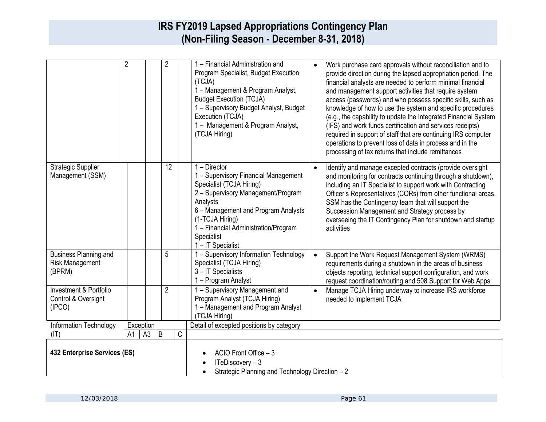|                                                                  | $\overline{2}$              |         | $\overline{2}$                                                                             | 1 - Financial Administration and<br>Program Specialist, Budget Execution<br>(TCJA)<br>1 - Management & Program Analyst,<br><b>Budget Execution (TCJA)</b><br>1 - Supervisory Budget Analyst, Budget<br>Execution (TCJA)<br>1 - Management & Program Analyst,<br>(TCJA Hiring) | $\bullet$ | Work purchase card approvals without reconciliation and to<br>provide direction during the lapsed appropriation period. The<br>financial analysts are needed to perform minimal financial<br>and management support activities that require system<br>access (passwords) and who possess specific skills, such as<br>knowledge of how to use the system and specific procedures<br>(e.g., the capability to update the Integrated Financial System<br>(IFS) and work funds certification and services receipts)<br>required in support of staff that are continuing IRS computer<br>operations to prevent loss of data in process and in the<br>processing of tax returns that include remittances |
|------------------------------------------------------------------|-----------------------------|---------|--------------------------------------------------------------------------------------------|-------------------------------------------------------------------------------------------------------------------------------------------------------------------------------------------------------------------------------------------------------------------------------|-----------|----------------------------------------------------------------------------------------------------------------------------------------------------------------------------------------------------------------------------------------------------------------------------------------------------------------------------------------------------------------------------------------------------------------------------------------------------------------------------------------------------------------------------------------------------------------------------------------------------------------------------------------------------------------------------------------------------|
| <b>Strategic Supplier</b><br>Management (SSM)                    |                             |         | 12                                                                                         | $1 -$ Director<br>1 - Supervisory Financial Management<br>Specialist (TCJA Hiring)<br>2 - Supervisory Management/Program<br>Analysts<br>6 - Management and Program Analysts<br>(1-TCJA Hiring)<br>1 - Financial Administration/Program<br>Specialist<br>1 - IT Specialist     | $\bullet$ | Identify and manage excepted contracts (provide oversight<br>and monitoring for contracts continuing through a shutdown),<br>including an IT Specialist to support work with Contracting<br>Officer's Representatives (CORs) from other functional areas.<br>SSM has the Contingency team that will support the<br>Succession Management and Strategy process by<br>overseeing the IT Contingency Plan for shutdown and startup<br>activities                                                                                                                                                                                                                                                      |
| <b>Business Planning and</b><br><b>Risk Management</b><br>(BPRM) |                             |         | 5                                                                                          | 1 - Supervisory Information Technology<br>Specialist (TCJA Hiring)<br>3 - IT Specialists<br>1 - Program Analyst                                                                                                                                                               | $\bullet$ | Support the Work Request Management System (WRMS)<br>requirements during a shutdown in the areas of business<br>objects reporting, technical support configuration, and work<br>request coordination/routing and 508 Support for Web Apps                                                                                                                                                                                                                                                                                                                                                                                                                                                          |
| Investment & Portfolio<br>Control & Oversight<br>(IPCO)          |                             |         | $\overline{2}$                                                                             | 1 - Supervisory Management and<br>Program Analyst (TCJA Hiring)<br>1 - Management and Program Analyst<br>(TCJA Hiring)                                                                                                                                                        | $\bullet$ | Manage TCJA Hiring underway to increase IRS workforce<br>needed to implement TCJA                                                                                                                                                                                                                                                                                                                                                                                                                                                                                                                                                                                                                  |
| Information Technology<br>(IT)                                   | Exception<br>A <sub>1</sub> | A3<br>B | C                                                                                          | Detail of excepted positions by category                                                                                                                                                                                                                                      |           |                                                                                                                                                                                                                                                                                                                                                                                                                                                                                                                                                                                                                                                                                                    |
| 432 Enterprise Services (ES)                                     |                             |         | ACIO Front Office - 3<br>ITeDiscovery-3<br>Strategic Planning and Technology Direction - 2 |                                                                                                                                                                                                                                                                               |           |                                                                                                                                                                                                                                                                                                                                                                                                                                                                                                                                                                                                                                                                                                    |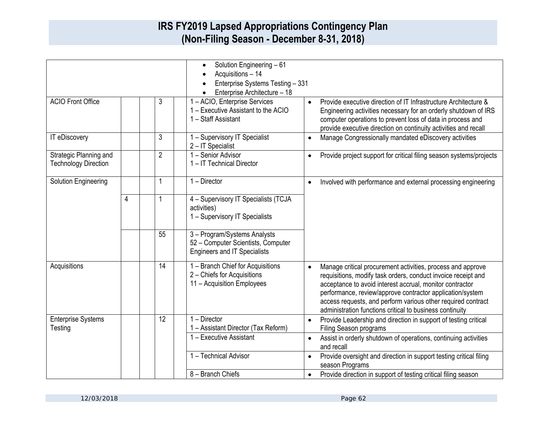|                                                       |                |                | Solution Engineering - 61                                                                                 |           |                                                                                                                                                                                                                                                                                                                                                                                   |  |  |  |  |  |
|-------------------------------------------------------|----------------|----------------|-----------------------------------------------------------------------------------------------------------|-----------|-----------------------------------------------------------------------------------------------------------------------------------------------------------------------------------------------------------------------------------------------------------------------------------------------------------------------------------------------------------------------------------|--|--|--|--|--|
|                                                       |                |                | Acquisitions - 14                                                                                         |           |                                                                                                                                                                                                                                                                                                                                                                                   |  |  |  |  |  |
|                                                       |                |                | Enterprise Systems Testing - 331                                                                          |           |                                                                                                                                                                                                                                                                                                                                                                                   |  |  |  |  |  |
|                                                       |                |                | Enterprise Architecture - 18                                                                              |           |                                                                                                                                                                                                                                                                                                                                                                                   |  |  |  |  |  |
| <b>ACIO Front Office</b>                              |                | 3              | - ACIO, Enterprise Services<br>- Executive Assistant to the ACIO<br>1 - Staff Assistant                   |           | Provide executive direction of IT Infrastructure Architecture &<br>Engineering activities necessary for an orderly shutdown of IRS<br>computer operations to prevent loss of data in process and<br>provide executive direction on continuity activities and recall                                                                                                               |  |  |  |  |  |
| IT eDiscovery                                         |                | 3              | - Supervisory IT Specialist<br>2 - IT Specialist                                                          |           | Manage Congressionally mandated eDiscovery activities                                                                                                                                                                                                                                                                                                                             |  |  |  |  |  |
| Strategic Planning and<br><b>Technology Direction</b> |                | $\overline{2}$ | - Senior Advisor<br>1 - IT Technical Director                                                             | $\bullet$ | Provide project support for critical filing season systems/projects                                                                                                                                                                                                                                                                                                               |  |  |  |  |  |
| <b>Solution Engineering</b>                           |                | 1              | $\overline{1}$ – Director                                                                                 | $\bullet$ | Involved with performance and external processing engineering                                                                                                                                                                                                                                                                                                                     |  |  |  |  |  |
|                                                       | $\overline{4}$ |                | 4 - Supervisory IT Specialists (TCJA<br>activities)<br>1 - Supervisory IT Specialists                     |           |                                                                                                                                                                                                                                                                                                                                                                                   |  |  |  |  |  |
|                                                       |                | 55             | 3 - Program/Systems Analysts<br>52 - Computer Scientists, Computer<br><b>Engineers and IT Specialists</b> |           |                                                                                                                                                                                                                                                                                                                                                                                   |  |  |  |  |  |
| Acquisitions                                          |                | 14             | 1 - Branch Chief for Acquisitions<br>2 - Chiefs for Acquisitions<br>11 - Acquisition Employees            |           | Manage critical procurement activities, process and approve<br>requisitions, modify task orders, conduct invoice receipt and<br>acceptance to avoid interest accrual, monitor contractor<br>performance, review/approve contractor application/system<br>access requests, and perform various other required contract<br>administration functions critical to business continuity |  |  |  |  |  |
| <b>Enterprise Systems</b><br>Testing                  |                | 12             | - Director<br>- Assistant Director (Tax Reform)                                                           |           | Provide Leadership and direction in support of testing critical<br><b>Filing Season programs</b>                                                                                                                                                                                                                                                                                  |  |  |  |  |  |
|                                                       |                |                | 1 - Executive Assistant                                                                                   |           | Assist in orderly shutdown of operations, continuing activities<br>and recall                                                                                                                                                                                                                                                                                                     |  |  |  |  |  |
|                                                       |                |                | 1 - Technical Advisor                                                                                     | $\bullet$ | Provide oversight and direction in support testing critical filing<br>season Programs                                                                                                                                                                                                                                                                                             |  |  |  |  |  |
|                                                       |                |                | 8 - Branch Chiefs                                                                                         | $\bullet$ | Provide direction in support of testing critical filing season                                                                                                                                                                                                                                                                                                                    |  |  |  |  |  |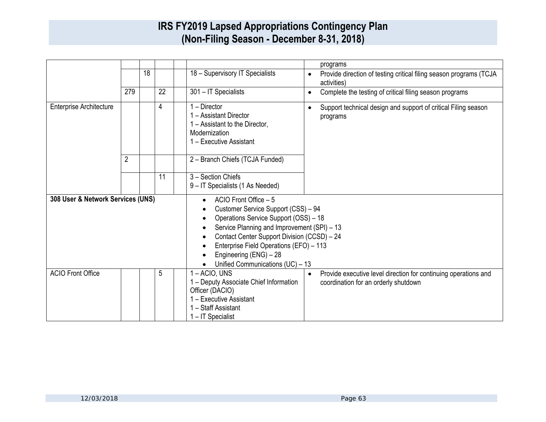|                                   |     |    |    |  |                                                                                                                                                                                                                                                                                                                |           | programs                                                                                                |  |
|-----------------------------------|-----|----|----|--|----------------------------------------------------------------------------------------------------------------------------------------------------------------------------------------------------------------------------------------------------------------------------------------------------------------|-----------|---------------------------------------------------------------------------------------------------------|--|
|                                   |     | 18 |    |  | 18 - Supervisory IT Specialists                                                                                                                                                                                                                                                                                |           | Provide direction of testing critical filing season programs (TCJA<br>activities)                       |  |
|                                   | 279 |    | 22 |  | 301 - IT Specialists                                                                                                                                                                                                                                                                                           | $\bullet$ | Complete the testing of critical filing season programs                                                 |  |
| Enterprise Architecture           |     |    | 4  |  | - Director<br>- Assistant Director<br>- Assistant to the Director,<br>Modernization<br>1 - Executive Assistant                                                                                                                                                                                                 |           | Support technical design and support of critical Filing season<br>programs                              |  |
| $\overline{2}$                    |     |    |    |  | 2 - Branch Chiefs (TCJA Funded)                                                                                                                                                                                                                                                                                |           |                                                                                                         |  |
|                                   |     |    | 11 |  | 3 - Section Chiefs<br>9 – IT Specialists (1 As Needed)                                                                                                                                                                                                                                                         |           |                                                                                                         |  |
| 308 User & Network Services (UNS) |     |    |    |  | ACIO Front Office - 5<br>Customer Service Support (CSS) - 94<br>Operations Service Support (OSS) - 18<br>Service Planning and Improvement (SPI) - 13<br>Contact Center Support Division (CCSD) - 24<br>Enterprise Field Operations (EFO) - 113<br>Engineering (ENG) - 28<br>Unified Communications $(UC) - 13$ |           |                                                                                                         |  |
| <b>ACIO Front Office</b>          |     |    | 5  |  | - ACIO, UNS<br>- Deputy Associate Chief Information<br>Officer (DACIO)<br>- Executive Assistant<br>- Staff Assistant<br>- IT Specialist                                                                                                                                                                        | $\bullet$ | Provide executive level direction for continuing operations and<br>coordination for an orderly shutdown |  |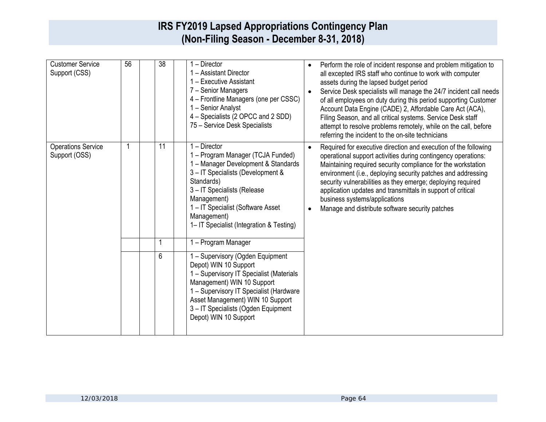| <b>Customer Service</b><br>Support (CSS)   | 56 | 38 | - Director<br>- Assistant Director<br>1 - Executive Assistant<br>7 - Senior Managers<br>4 – Frontline Managers (one per CSSC)<br>1 - Senior Analyst<br>4 - Specialists (2 OPCC and 2 SDD)<br>75 - Service Desk Specialists                                                            | Perform the role of incident response and problem mitigation to<br>all excepted IRS staff who continue to work with computer<br>assets during the lapsed budget period<br>Service Desk specialists will manage the 24/7 incident call needs<br>of all employees on duty during this period supporting Customer<br>Account Data Engine (CADE) 2, Affordable Care Act (ACA),<br>Filing Season, and all critical systems. Service Desk staff<br>attempt to resolve problems remotely, while on the call, before<br>referring the incident to the on-site technicians |
|--------------------------------------------|----|----|---------------------------------------------------------------------------------------------------------------------------------------------------------------------------------------------------------------------------------------------------------------------------------------|-------------------------------------------------------------------------------------------------------------------------------------------------------------------------------------------------------------------------------------------------------------------------------------------------------------------------------------------------------------------------------------------------------------------------------------------------------------------------------------------------------------------------------------------------------------------|
| <b>Operations Service</b><br>Support (OSS) | 1  | 11 | - Director<br>1 - Program Manager (TCJA Funded)<br>1 - Manager Development & Standards<br>3 - IT Specialists (Development &<br>Standards)<br>3 - IT Specialists (Release<br>Management)<br>1-IT Specialist (Software Asset<br>Management)<br>1– IT Specialist (Integration & Testing) | Required for executive direction and execution of the following<br>operational support activities during contingency operations:<br>Maintaining required security compliance for the workstation<br>environment (i.e., deploying security patches and addressing<br>security vulnerabilities as they emerge; deploying required<br>application updates and transmittals in support of critical<br>business systems/applications<br>Manage and distribute software security patches                                                                                |
|                                            |    | 1  | 1 - Program Manager                                                                                                                                                                                                                                                                   |                                                                                                                                                                                                                                                                                                                                                                                                                                                                                                                                                                   |
|                                            |    | 6  | 1 - Supervisory (Ogden Equipment<br>Depot) WIN 10 Support<br>1 - Supervisory IT Specialist (Materials<br>Management) WIN 10 Support<br>1 - Supervisory IT Specialist (Hardware<br>Asset Management) WIN 10 Support<br>3 - IT Specialists (Ogden Equipment<br>Depot) WIN 10 Support    |                                                                                                                                                                                                                                                                                                                                                                                                                                                                                                                                                                   |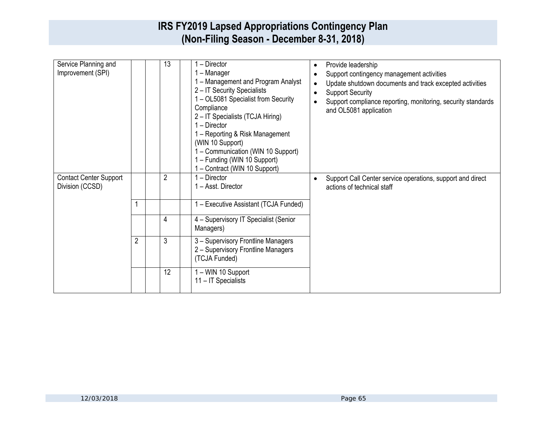| Service Planning and<br>Improvement (SPI)        |                | 13             | - Director<br>1 – Manager<br>1 - Management and Program Analyst<br>2 - IT Security Specialists<br>1 - OL5081 Specialist from Security<br>Compliance<br>2 - IT Specialists (TCJA Hiring)<br>$1 -$ Director<br>1 – Reporting & Risk Management<br>(WIN 10 Support)<br>1 - Communication (WIN 10 Support)<br>- Funding (WIN 10 Support)<br>- Contract (WIN 10 Support) | Provide leadership<br>$\bullet$<br>Support contingency management activities<br>٠<br>Update shutdown documents and track excepted activities<br>$\bullet$<br><b>Support Security</b><br>Support compliance reporting, monitoring, security standards<br>$\bullet$<br>and OL5081 application |
|--------------------------------------------------|----------------|----------------|---------------------------------------------------------------------------------------------------------------------------------------------------------------------------------------------------------------------------------------------------------------------------------------------------------------------------------------------------------------------|---------------------------------------------------------------------------------------------------------------------------------------------------------------------------------------------------------------------------------------------------------------------------------------------|
| <b>Contact Center Support</b><br>Division (CCSD) |                | $\overline{2}$ | - Director<br>1 - Asst. Director                                                                                                                                                                                                                                                                                                                                    | Support Call Center service operations, support and direct<br>actions of technical staff                                                                                                                                                                                                    |
|                                                  |                |                | 1 - Executive Assistant (TCJA Funded)                                                                                                                                                                                                                                                                                                                               |                                                                                                                                                                                                                                                                                             |
|                                                  |                | 4              | 4 - Supervisory IT Specialist (Senior<br>Managers)                                                                                                                                                                                                                                                                                                                  |                                                                                                                                                                                                                                                                                             |
|                                                  | $\overline{2}$ | 3              | 3 - Supervisory Frontline Managers<br>2 - Supervisory Frontline Managers<br>(TCJA Funded)                                                                                                                                                                                                                                                                           |                                                                                                                                                                                                                                                                                             |
|                                                  |                | 12             | 1 – WIN 10 Support<br>11 - IT Specialists                                                                                                                                                                                                                                                                                                                           |                                                                                                                                                                                                                                                                                             |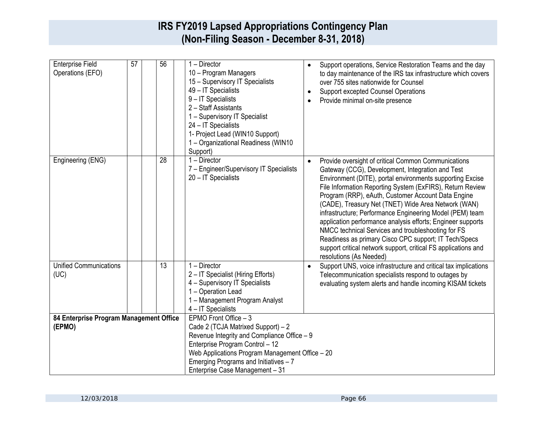| <b>Enterprise Field</b><br>Operations (EFO)       | 57 | 56                                                                                                                                                                                                                                                                             |  | $1 -$ Director<br>10 - Program Managers<br>15 - Supervisory IT Specialists<br>49 - IT Specialists<br>9 - IT Specialists<br>2 - Staff Assistants<br>1 - Supervisory IT Specialist<br>24 - IT Specialists<br>1- Project Lead (WIN10 Support)<br>1 - Organizational Readiness (WIN10<br>Support) | $\bullet$<br>$\bullet$<br>$\bullet$ | Support operations, Service Restoration Teams and the day<br>to day maintenance of the IRS tax infrastructure which covers<br>over 755 sites nationwide for Counsel<br><b>Support excepted Counsel Operations</b><br>Provide minimal on-site presence                                                                                                                                                                                                                                                                                                                                                                                                                                 |
|---------------------------------------------------|----|--------------------------------------------------------------------------------------------------------------------------------------------------------------------------------------------------------------------------------------------------------------------------------|--|-----------------------------------------------------------------------------------------------------------------------------------------------------------------------------------------------------------------------------------------------------------------------------------------------|-------------------------------------|---------------------------------------------------------------------------------------------------------------------------------------------------------------------------------------------------------------------------------------------------------------------------------------------------------------------------------------------------------------------------------------------------------------------------------------------------------------------------------------------------------------------------------------------------------------------------------------------------------------------------------------------------------------------------------------|
| Engineering (ENG)                                 |    | 28                                                                                                                                                                                                                                                                             |  | $1 -$ Director<br>7 - Engineer/Supervisory IT Specialists<br>20 - IT Specialists                                                                                                                                                                                                              | $\bullet$                           | Provide oversight of critical Common Communications<br>Gateway (CCG), Development, Integration and Test<br>Environment (DITE), portal environments supporting Excise<br>File Information Reporting System (ExFIRS), Return Review<br>Program (RRP), eAuth, Customer Account Data Engine<br>(CADE), Treasury Net (TNET) Wide Area Network (WAN)<br>infrastructure; Performance Engineering Model (PEM) team<br>application performance analysis efforts; Engineer supports<br>NMCC technical Services and troubleshooting for FS<br>Readiness as primary Cisco CPC support; IT Tech/Specs<br>support critical network support, critical FS applications and<br>resolutions (As Needed) |
| <b>Unified Communications</b><br>(UC)             |    | 13                                                                                                                                                                                                                                                                             |  | $1 -$ Director<br>2 - IT Specialist (Hiring Efforts)<br>4 - Supervisory IT Specialists<br>1 - Operation Lead<br>1 - Management Program Analyst<br>4 - IT Specialists                                                                                                                          |                                     | Support UNS, voice infrastructure and critical tax implications<br>Telecommunication specialists respond to outages by<br>evaluating system alerts and handle incoming KISAM tickets                                                                                                                                                                                                                                                                                                                                                                                                                                                                                                  |
| 84 Enterprise Program Management Office<br>(EPMO) |    | EPMO Front Office $-3$<br>Cade 2 (TCJA Matrixed Support) - 2<br>Revenue Integrity and Compliance Office - 9<br>Enterprise Program Control - 12<br>Web Applications Program Management Office - 20<br>Emerging Programs and Initiatives $-7$<br>Enterprise Case Management - 31 |  |                                                                                                                                                                                                                                                                                               |                                     |                                                                                                                                                                                                                                                                                                                                                                                                                                                                                                                                                                                                                                                                                       |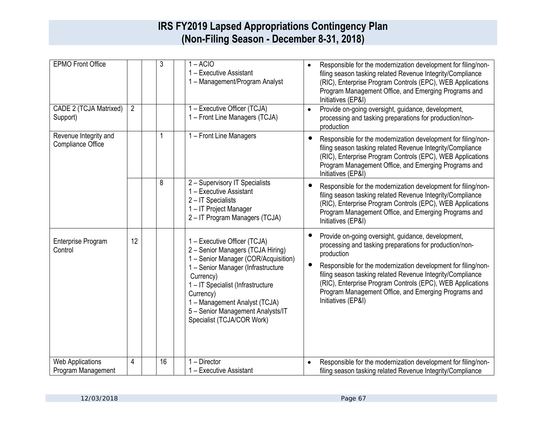| <b>EPMO Front Office</b>                      |                | 3  | $1 - ACIO$<br>1 - Executive Assistant<br>1 - Management/Program Analyst                                                                                                                                                                                                                                            | Responsible for the modernization development for filing/non-<br>filing season tasking related Revenue Integrity/Compliance<br>(RIC), Enterprise Program Controls (EPC), WEB Applications<br>Program Management Office, and Emerging Programs and<br>Initiatives (EP&I)                                                                                                                                             |
|-----------------------------------------------|----------------|----|--------------------------------------------------------------------------------------------------------------------------------------------------------------------------------------------------------------------------------------------------------------------------------------------------------------------|---------------------------------------------------------------------------------------------------------------------------------------------------------------------------------------------------------------------------------------------------------------------------------------------------------------------------------------------------------------------------------------------------------------------|
| CADE 2 (TCJA Matrixed)<br>Support)            | $\overline{2}$ |    | 1 - Executive Officer (TCJA)<br>1 - Front Line Managers (TCJA)                                                                                                                                                                                                                                                     | Provide on-going oversight, guidance, development,<br>processing and tasking preparations for production/non-<br>production                                                                                                                                                                                                                                                                                         |
| Revenue Integrity and<br>Compliance Office    |                | 1  | 1 - Front Line Managers                                                                                                                                                                                                                                                                                            | Responsible for the modernization development for filing/non-<br>filing season tasking related Revenue Integrity/Compliance<br>(RIC), Enterprise Program Controls (EPC), WEB Applications<br>Program Management Office, and Emerging Programs and<br>Initiatives (EP&I)                                                                                                                                             |
|                                               |                | 8  | 2 - Supervisory IT Specialists<br>1 - Executive Assistant<br>2 - IT Specialists<br>1-IT Project Manager<br>2 - IT Program Managers (TCJA)                                                                                                                                                                          | Responsible for the modernization development for filing/non-<br>filing season tasking related Revenue Integrity/Compliance<br>(RIC), Enterprise Program Controls (EPC), WEB Applications<br>Program Management Office, and Emerging Programs and<br>Initiatives (EP&I)                                                                                                                                             |
| <b>Enterprise Program</b><br>Control          | 12             |    | 1 – Executive Officer (TCJA)<br>2 - Senior Managers (TCJA Hiring)<br>1 - Senior Manager (COR/Acquisition)<br>1 - Senior Manager (Infrastructure<br>Currency)<br>1 - IT Specialist (Infrastructure<br>Currency)<br>1 - Management Analyst (TCJA)<br>5 - Senior Management Analysts/IT<br>Specialist (TCJA/COR Work) | Provide on-going oversight, guidance, development,<br>processing and tasking preparations for production/non-<br>production<br>Responsible for the modernization development for filing/non-<br>$\bullet$<br>filing season tasking related Revenue Integrity/Compliance<br>(RIC), Enterprise Program Controls (EPC), WEB Applications<br>Program Management Office, and Emerging Programs and<br>Initiatives (EP&I) |
| <b>Web Applications</b><br>Program Management | 4              | 16 | - Director<br>1 - Executive Assistant                                                                                                                                                                                                                                                                              | Responsible for the modernization development for filing/non-<br>filing season tasking related Revenue Integrity/Compliance                                                                                                                                                                                                                                                                                         |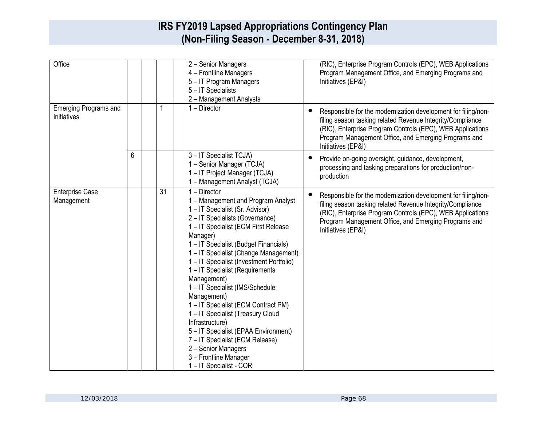| Office<br><b>Emerging Programs and</b><br>Initiatives |   | 1  | 2 - Senior Managers<br>4 - Frontline Managers<br>5 - IT Program Managers<br>5 - IT Specialists<br>2 - Management Analysts<br>$1 -$ Director                                                                                                                                                                                                                                                                                                                                                                                                                                                                                                                     | (RIC), Enterprise Program Controls (EPC), WEB Applications<br>Program Management Office, and Emerging Programs and<br>Initiatives (EP&I)<br>Responsible for the modernization development for filing/non-                                                               |
|-------------------------------------------------------|---|----|-----------------------------------------------------------------------------------------------------------------------------------------------------------------------------------------------------------------------------------------------------------------------------------------------------------------------------------------------------------------------------------------------------------------------------------------------------------------------------------------------------------------------------------------------------------------------------------------------------------------------------------------------------------------|-------------------------------------------------------------------------------------------------------------------------------------------------------------------------------------------------------------------------------------------------------------------------|
|                                                       |   |    |                                                                                                                                                                                                                                                                                                                                                                                                                                                                                                                                                                                                                                                                 | filing season tasking related Revenue Integrity/Compliance<br>(RIC), Enterprise Program Controls (EPC), WEB Applications<br>Program Management Office, and Emerging Programs and<br>Initiatives (EP&I)                                                                  |
|                                                       | 6 |    | 3 - IT Specialist TCJA)<br>1 - Senior Manager (TCJA)<br>1 - IT Project Manager (TCJA)<br>1 - Management Analyst (TCJA)                                                                                                                                                                                                                                                                                                                                                                                                                                                                                                                                          | Provide on-going oversight, guidance, development,<br>processing and tasking preparations for production/non-<br>production                                                                                                                                             |
| <b>Enterprise Case</b><br>Management                  |   | 31 | $1 -$ Director<br>1 - Management and Program Analyst<br>1 - IT Specialist (Sr. Advisor)<br>2 - IT Specialists (Governance)<br>1-IT Specialist (ECM First Release<br>Manager)<br>1 - IT Specialist (Budget Financials)<br>1 - IT Specialist (Change Management)<br>1 - IT Specialist (Investment Portfolio)<br>1 - IT Specialist (Requirements<br>Management)<br>1 - IT Specialist (IMS/Schedule<br>Management)<br>1-IT Specialist (ECM Contract PM)<br>1 - IT Specialist (Treasury Cloud<br>Infrastructure)<br>5 - IT Specialist (EPAA Environment)<br>7 - IT Specialist (ECM Release)<br>2 - Senior Managers<br>3 - Frontline Manager<br>1-IT Specialist - COR | Responsible for the modernization development for filing/non-<br>filing season tasking related Revenue Integrity/Compliance<br>(RIC), Enterprise Program Controls (EPC), WEB Applications<br>Program Management Office, and Emerging Programs and<br>Initiatives (EP&I) |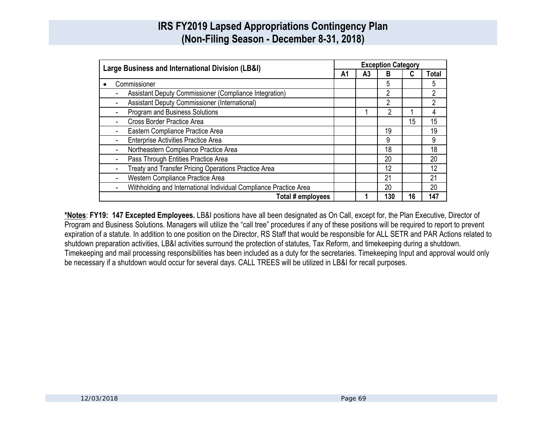| Large Business and International Division (LB&I)                  | <b>Exception Category</b> |                |     |    |              |  |  |  |  |
|-------------------------------------------------------------------|---------------------------|----------------|-----|----|--------------|--|--|--|--|
|                                                                   | A1                        | A <sub>3</sub> | В   | C  | <b>Total</b> |  |  |  |  |
| Commissioner                                                      |                           |                | 5   |    | 5            |  |  |  |  |
| <b>Assistant Deputy Commissioner (Compliance Integration)</b>     |                           |                | 2   |    | 2            |  |  |  |  |
| Assistant Deputy Commissioner (International)                     |                           |                | 2   |    | 2            |  |  |  |  |
| Program and Business Solutions                                    |                           |                | 2   |    | 4            |  |  |  |  |
| <b>Cross Border Practice Area</b>                                 |                           |                |     | 15 | 15           |  |  |  |  |
| Eastern Compliance Practice Area                                  |                           |                | 19  |    | 19           |  |  |  |  |
| <b>Enterprise Activities Practice Area</b>                        |                           |                | 9   |    | 9            |  |  |  |  |
| Northeastern Compliance Practice Area                             |                           |                | 18  |    | 18           |  |  |  |  |
| Pass Through Entities Practice Area                               |                           |                | 20  |    | 20           |  |  |  |  |
| Treaty and Transfer Pricing Operations Practice Area              |                           |                | 12  |    | 12           |  |  |  |  |
| Western Compliance Practice Area                                  |                           |                | 21  |    | 21           |  |  |  |  |
| Withholding and International Individual Compliance Practice Area |                           |                | 20  |    | 20           |  |  |  |  |
| Total # employees                                                 |                           |                | 130 | 16 | 147          |  |  |  |  |

**\*Notes**: **FY19: 147 Excepted Employees.** LB&I positions have all been designated as On Call, except for, the Plan Executive, Director of Program and Business Solutions. Managers will utilize the "call tree" procedures if any of these positions will be required to report to prevent expiration of a statute. In addition to one position on the Director, RS Staff that would be responsible for ALL SETR and PAR Actions related to shutdown preparation activities, LB&I activities surround the protection of statutes, Tax Reform, and timekeeping during a shutdown. Timekeeping and mail processing responsibilities has been included as a duty for the secretaries. Timekeeping Input and approval would only be necessary if a shutdown would occur for several days. CALL TREES will be utilized in LB&I for recall purposes.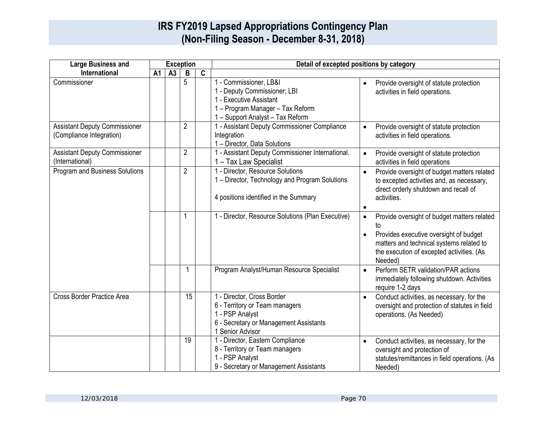| <b>Large Business and</b>                                        | <b>Exception</b> |    |                |              | Detail of excepted positions by category                                                                                                                  |                                                                                                                                                                                                                           |
|------------------------------------------------------------------|------------------|----|----------------|--------------|-----------------------------------------------------------------------------------------------------------------------------------------------------------|---------------------------------------------------------------------------------------------------------------------------------------------------------------------------------------------------------------------------|
| International                                                    | <b>A1</b>        | A3 | B              | $\mathbf{C}$ |                                                                                                                                                           |                                                                                                                                                                                                                           |
| Commissioner                                                     |                  |    | 5              |              | 1 - Commissioner, LB&I<br>1 - Deputy Commissioner; LBI<br>1 - Executive Assistant<br>1 - Program Manager - Tax Reform<br>1 - Support Analyst - Tax Reform | Provide oversight of statute protection<br>$\bullet$<br>activities in field operations.                                                                                                                                   |
| <b>Assistant Deputy Commissioner</b><br>(Compliance Integration) |                  |    | $\overline{2}$ |              | 1 - Assistant Deputy Commissioner Compliance<br>Integration<br>1 - Director, Data Solutions                                                               | Provide oversight of statute protection<br>$\bullet$<br>activities in field operations.                                                                                                                                   |
| <b>Assistant Deputy Commissioner</b><br>(International)          |                  |    | $\overline{2}$ |              | 1 - Assistant Deputy Commissioner International.<br>1 - Tax Law Specialist                                                                                | Provide oversight of statute protection<br>$\bullet$<br>activities in field operations                                                                                                                                    |
| Program and Business Solutions                                   |                  |    | $\overline{2}$ |              | 1 - Director, Resource Solutions<br>1 – Director, Technology and Program Solutions<br>4 positions identified in the Summary                               | Provide oversight of budget matters related<br>$\bullet$<br>to excepted activities and, as necessary,<br>direct orderly shutdown and recall of<br>activities.<br>$\bullet$                                                |
|                                                                  |                  |    | 1              |              | 1 - Director, Resource Solutions (Plan Executive)                                                                                                         | Provide oversight of budget matters related<br>$\bullet$<br>to<br>Provides executive oversight of budget<br>$\bullet$<br>matters and technical systems related to<br>the execution of excepted activities. (As<br>Needed) |
|                                                                  |                  |    | $\mathbf 1$    |              | Program Analyst/Human Resource Specialist                                                                                                                 | Perform SETR validation/PAR actions<br>$\bullet$<br>immediately following shutdown. Activities<br>require 1-2 days                                                                                                        |
| <b>Cross Border Practice Area</b>                                |                  |    | 15             |              | 1 - Director, Cross Border<br>6 - Territory or Team managers<br>1 - PSP Analyst<br>6 - Secretary or Management Assistants<br>1 Senior Advisor             | Conduct activities, as necessary, for the<br>oversight and protection of statutes in field<br>operations. (As Needed)                                                                                                     |
|                                                                  |                  |    | 19             |              | 1 - Director, Eastern Compliance<br>8 - Territory or Team managers<br>1 - PSP Analyst<br>9 - Secretary or Management Assistants                           | Conduct activities, as necessary, for the<br>$\bullet$<br>oversight and protection of<br>statutes/remittances in field operations. (As<br>Needed)                                                                         |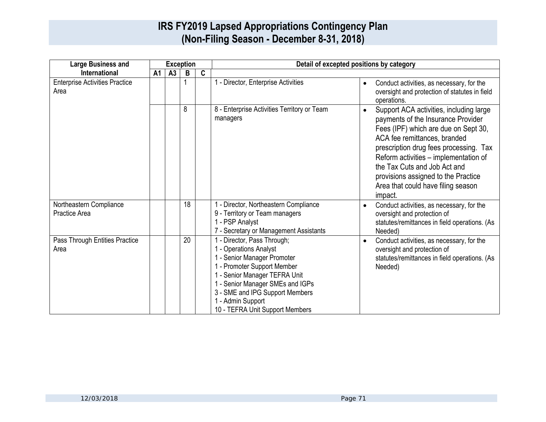| <b>Large Business and</b>                     |           |                | <b>Exception</b> |   | Detail of excepted positions by category                                                                                                                                                                                                                                            |                                                                                                                                                                                                                                                                                                                                                                               |
|-----------------------------------------------|-----------|----------------|------------------|---|-------------------------------------------------------------------------------------------------------------------------------------------------------------------------------------------------------------------------------------------------------------------------------------|-------------------------------------------------------------------------------------------------------------------------------------------------------------------------------------------------------------------------------------------------------------------------------------------------------------------------------------------------------------------------------|
| <b>International</b>                          | <b>A1</b> | A <sub>3</sub> | B                | C |                                                                                                                                                                                                                                                                                     |                                                                                                                                                                                                                                                                                                                                                                               |
| <b>Enterprise Activities Practice</b><br>Area |           |                |                  |   | 1 - Director, Enterprise Activities                                                                                                                                                                                                                                                 | Conduct activities, as necessary, for the<br>$\bullet$<br>oversight and protection of statutes in field<br>operations.                                                                                                                                                                                                                                                        |
|                                               |           |                | 8                |   | 8 - Enterprise Activities Territory or Team<br>managers                                                                                                                                                                                                                             | Support ACA activities, including large<br>$\bullet$<br>payments of the Insurance Provider<br>Fees (IPF) which are due on Sept 30,<br>ACA fee remittances, branded<br>prescription drug fees processing. Tax<br>Reform activities – implementation of<br>the Tax Cuts and Job Act and<br>provisions assigned to the Practice<br>Area that could have filing season<br>impact. |
| Northeastern Compliance<br>Practice Area      |           |                | 18               |   | 1 - Director, Northeastern Compliance<br>9 - Territory or Team managers<br>1 - PSP Analyst<br>7 - Secretary or Management Assistants                                                                                                                                                | Conduct activities, as necessary, for the<br>$\bullet$<br>oversight and protection of<br>statutes/remittances in field operations. (As<br>Needed)                                                                                                                                                                                                                             |
| Pass Through Entities Practice<br>Area        |           |                | 20               |   | 1 - Director, Pass Through;<br>1 - Operations Analyst<br>1 - Senior Manager Promoter<br>1 - Promoter Support Member<br>1 - Senior Manager TEFRA Unit<br>1 - Senior Manager SMEs and IGPs<br>3 - SME and IPG Support Members<br>1 - Admin Support<br>10 - TEFRA Unit Support Members | Conduct activities, as necessary, for the<br>$\bullet$<br>oversight and protection of<br>statutes/remittances in field operations. (As<br>Needed)                                                                                                                                                                                                                             |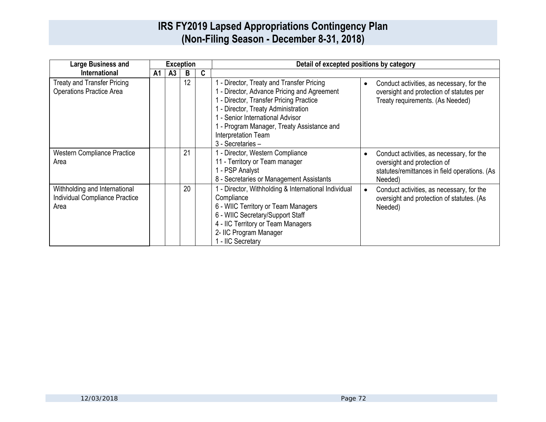| <b>Large Business and</b>                                                      |    |                | <b>Exception</b> |   | Detail of excepted positions by category                                                                                                                                                                                                                                                           |                                                                                                                                                   |
|--------------------------------------------------------------------------------|----|----------------|------------------|---|----------------------------------------------------------------------------------------------------------------------------------------------------------------------------------------------------------------------------------------------------------------------------------------------------|---------------------------------------------------------------------------------------------------------------------------------------------------|
| <b>International</b>                                                           | A1 | A <sub>3</sub> | B                | C |                                                                                                                                                                                                                                                                                                    |                                                                                                                                                   |
| <b>Treaty and Transfer Pricing</b><br><b>Operations Practice Area</b>          |    |                | 12               |   | - Director, Treaty and Transfer Pricing<br>- Director, Advance Pricing and Agreement<br>- Director, Transfer Pricing Practice<br>1 - Director, Treaty Administration<br>1 - Senior International Advisor<br>1 - Program Manager, Treaty Assistance and<br>Interpretation Team<br>3 - Secretaries - | Conduct activities, as necessary, for the<br>$\bullet$<br>oversight and protection of statutes per<br>Treaty requirements. (As Needed)            |
| <b>Western Compliance Practice</b><br>Area                                     |    |                | 21               |   | - Director, Western Compliance<br>11 - Territory or Team manager<br>1 - PSP Analyst<br>8 - Secretaries or Management Assistants                                                                                                                                                                    | Conduct activities, as necessary, for the<br>$\bullet$<br>oversight and protection of<br>statutes/remittances in field operations. (As<br>Needed) |
| Withholding and International<br><b>Individual Compliance Practice</b><br>Area |    |                | 20               |   | - Director, Withholding & International Individual<br>Compliance<br>6 - WIIC Territory or Team Managers<br>6 - WIIC Secretary/Support Staff<br>4 - IIC Territory or Team Managers<br>2- IIC Program Manager<br>1 - IIC Secretary                                                                   | Conduct activities, as necessary, for the<br>$\bullet$<br>oversight and protection of statutes. (As<br>Needed)                                    |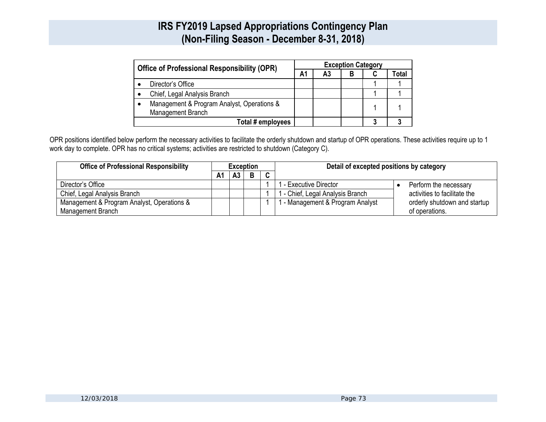| <b>Office of Professional Responsibility (OPR)</b>              | <b>Exception Category</b> |    |   |  |       |  |  |  |  |
|-----------------------------------------------------------------|---------------------------|----|---|--|-------|--|--|--|--|
|                                                                 | Α1                        | A3 | B |  | Гоtal |  |  |  |  |
| Director's Office                                               |                           |    |   |  |       |  |  |  |  |
| Chief, Legal Analysis Branch                                    |                           |    |   |  |       |  |  |  |  |
| Management & Program Analyst, Operations &<br>Management Branch |                           |    |   |  |       |  |  |  |  |
| Total # employees                                               |                           |    |   |  |       |  |  |  |  |

OPR positions identified below perform the necessary activities to facilitate the orderly shutdown and startup of OPR operations. These activities require up to 1 work day to complete. OPR has no critical systems; activities are restricted to shutdown (Category C).

| <b>Office of Professional Responsibility</b> |    |    | <b>Exception</b> |    | Detail of excepted positions by category |                              |  |  |
|----------------------------------------------|----|----|------------------|----|------------------------------------------|------------------------------|--|--|
|                                              | A1 | A3 | в                | C. |                                          |                              |  |  |
| Director's Office                            |    |    |                  |    | - Executive Director                     | Perform the necessary        |  |  |
| Chief, Legal Analysis Branch                 |    |    |                  |    | - Chief, Legal Analysis Branch           | activities to facilitate the |  |  |
| Management & Program Analyst, Operations &   |    |    |                  |    | - Management & Program Analyst           | orderly shutdown and startup |  |  |
| <b>Management Branch</b>                     |    |    |                  |    |                                          | of operations.               |  |  |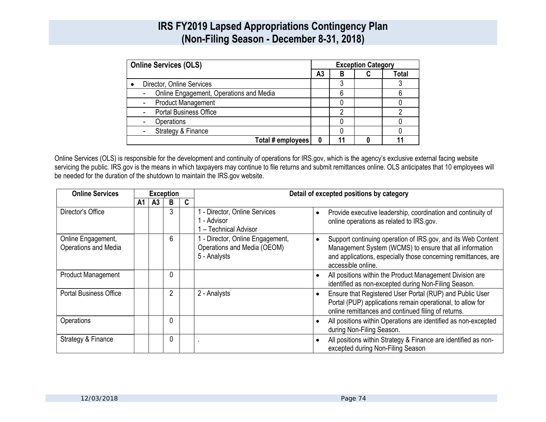| <b>Online Services (OLS)</b>            | <b>Exception Category</b> |   |  |       |  |  |
|-----------------------------------------|---------------------------|---|--|-------|--|--|
|                                         | A3                        | В |  | Total |  |  |
| Director, Online Services               |                           |   |  |       |  |  |
| Online Engagement, Operations and Media |                           | 6 |  |       |  |  |
| <b>Product Management</b>               |                           |   |  |       |  |  |
| <b>Portal Business Office</b>           |                           | n |  |       |  |  |
| <b>Operations</b>                       |                           |   |  |       |  |  |
| Strategy & Finance                      |                           |   |  |       |  |  |
| Total # employees                       |                           |   |  |       |  |  |

Online Services (OLS) is responsible for the development and continuity of operations for IRS.gov, which is the agency's exclusive external facing website servicing the public. IRS gov is the means in which taxpayers may continue to file returns and submit remittances online. OLS anticipates that 10 employees will be needed for the duration of the shutdown to maintain the IRS.gov website.

| <b>Online Services</b>                     |           |                | <b>Exception</b> |    | Detail of excepted positions by category                                        |  |                                                                                                                                                                                                                 |  |  |  |  |
|--------------------------------------------|-----------|----------------|------------------|----|---------------------------------------------------------------------------------|--|-----------------------------------------------------------------------------------------------------------------------------------------------------------------------------------------------------------------|--|--|--|--|
|                                            | <b>A1</b> | A <sub>3</sub> | B                | C. |                                                                                 |  |                                                                                                                                                                                                                 |  |  |  |  |
| Director's Office                          |           |                | 3                |    | 1 - Director, Online Services<br>1 - Advisor<br>l - Technical Advisor           |  | Provide executive leadership, coordination and continuity of<br>online operations as related to IRS.gov.                                                                                                        |  |  |  |  |
| Online Engagement,<br>Operations and Media |           |                | 6                |    | 1 - Director, Online Engagement,<br>Operations and Media (OEOM)<br>5 - Analysts |  | Support continuing operation of IRS.gov, and its Web Content<br>Management System (WCMS) to ensure that all information<br>and applications, especially those concerning remittances, are<br>accessible online. |  |  |  |  |
| <b>Product Management</b>                  |           |                |                  |    |                                                                                 |  | All positions within the Product Management Division are<br>identified as non-excepted during Non-Filing Season.                                                                                                |  |  |  |  |
| <b>Portal Business Office</b>              |           |                | 2                |    | 2 - Analysts                                                                    |  | Ensure that Registered User Portal (RUP) and Public User<br>Portal (PUP) applications remain operational, to allow for<br>online remittances and continued filing of returns.                                   |  |  |  |  |
| Operations                                 |           |                | 0                |    |                                                                                 |  | All positions within Operations are identified as non-excepted<br>during Non-Filing Season.                                                                                                                     |  |  |  |  |
| Strategy & Finance                         |           |                |                  |    |                                                                                 |  | All positions within Strategy & Finance are identified as non-<br>excepted during Non-Filing Season                                                                                                             |  |  |  |  |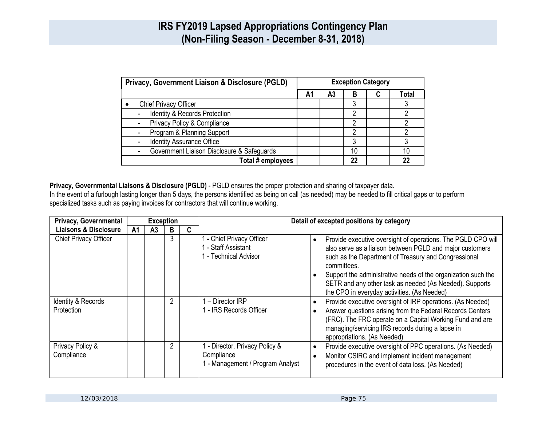| Privacy, Government Liaison & Disclosure (PGLD) | <b>Exception Category</b> |    |                |   |              |  |  |
|-------------------------------------------------|---------------------------|----|----------------|---|--------------|--|--|
|                                                 | A1                        | А3 | В              | C | <b>Total</b> |  |  |
| <b>Chief Privacy Officer</b>                    |                           |    | 3              |   |              |  |  |
| Identity & Records Protection                   |                           |    | $\overline{2}$ |   |              |  |  |
| <b>Privacy Policy &amp; Compliance</b>          |                           |    | 2              |   |              |  |  |
| Program & Planning Support                      |                           |    | 2              |   |              |  |  |
| <b>Identity Assurance Office</b>                |                           |    | 3              |   |              |  |  |
| Government Liaison Disclosure & Safeguards      |                           |    | 10             |   | 10           |  |  |
| Total # employees                               |                           |    | 22             |   | 22           |  |  |

**Privacy, Governmental Liaisons & Disclosure (PGLD)** - PGLD ensures the proper protection and sharing of taxpayer data.

In the event of a furlough lasting longer than 5 days, the persons identified as being on call (as needed) may be needed to fill critical gaps or to perform specialized tasks such as paying invoices for contractors that will continue working.

| <b>Privacy, Governmental</b>     | <b>Exception</b> |                |   |    | Detail of excepted positions by category                                         |                                                                                                                                                                                                                                                                                                                                                                            |
|----------------------------------|------------------|----------------|---|----|----------------------------------------------------------------------------------|----------------------------------------------------------------------------------------------------------------------------------------------------------------------------------------------------------------------------------------------------------------------------------------------------------------------------------------------------------------------------|
| <b>Liaisons &amp; Disclosure</b> | A <sub>1</sub>   | A <sub>3</sub> | B | C. |                                                                                  |                                                                                                                                                                                                                                                                                                                                                                            |
| Chief Privacy Officer            |                  |                | 3 |    | 1 - Chief Privacy Officer<br>1 - Staff Assistant<br>1 - Technical Advisor        | Provide executive oversight of operations. The PGLD CPO will<br>also serve as a liaison between PGLD and major customers<br>such as the Department of Treasury and Congressional<br>committees.<br>Support the administrative needs of the organization such the<br>SETR and any other task as needed (As Needed). Supports<br>the CPO in everyday activities. (As Needed) |
| Identity & Records<br>Protection |                  |                | 2 |    | - Director IRP<br>- IRS Records Officer                                          | Provide executive oversight of IRP operations. (As Needed)<br>Answer questions arising from the Federal Records Centers<br>(FRC). The FRC operate on a Capital Working Fund and are<br>managing/servicing IRS records during a lapse in<br>appropriations. (As Needed)                                                                                                     |
| Privacy Policy &<br>Compliance   |                  |                | 2 |    | 1 - Director. Privacy Policy &<br>Compliance<br>1 - Management / Program Analyst | Provide executive oversight of PPC operations. (As Needed)<br>Monitor CSIRC and implement incident management<br>procedures in the event of data loss. (As Needed)                                                                                                                                                                                                         |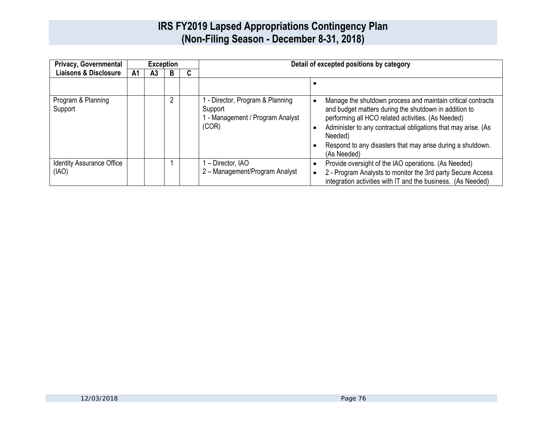| <b>Privacy, Governmental</b>              |    | <b>Exception</b> |   | Detail of excepted positions by category |                                                                                          |                                                                                                                                                                                                                                                                                                                                     |  |  |  |  |  |
|-------------------------------------------|----|------------------|---|------------------------------------------|------------------------------------------------------------------------------------------|-------------------------------------------------------------------------------------------------------------------------------------------------------------------------------------------------------------------------------------------------------------------------------------------------------------------------------------|--|--|--|--|--|
| <b>Liaisons &amp; Disclosure</b>          | А1 | A3               | B | C.                                       |                                                                                          |                                                                                                                                                                                                                                                                                                                                     |  |  |  |  |  |
|                                           |    |                  |   |                                          |                                                                                          |                                                                                                                                                                                                                                                                                                                                     |  |  |  |  |  |
| Program & Planning<br>Support             |    |                  | 2 |                                          | 1 - Director, Program & Planning<br>Support<br>1 - Management / Program Analyst<br>(COR) | Manage the shutdown process and maintain critical contracts<br>and budget matters during the shutdown in addition to<br>performing all HCO related activities. (As Needed)<br>Administer to any contractual obligations that may arise. (As<br>Needed)<br>Respond to any disasters that may arise during a shutdown.<br>(As Needed) |  |  |  |  |  |
| <b>Identity Assurance Office</b><br>(IAO) |    |                  |   |                                          | 1 - Director, IAO<br>2 - Management/Program Analyst                                      | Provide oversight of the IAO operations. (As Needed)<br>2 - Program Analysts to monitor the 3rd party Secure Access<br>integration activities with IT and the business. (As Needed)                                                                                                                                                 |  |  |  |  |  |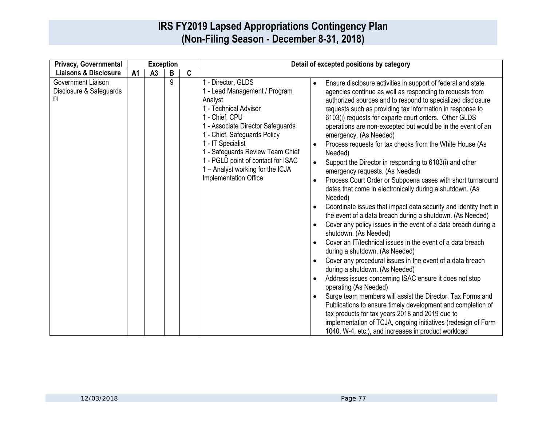| <b>Privacy, Governmental</b>                         |           | <b>Exception</b> |   |   |                                                                                                                                                                                                                                                                                                                                            | Detail of excepted positions by category                                                                                                                                                                                                                                                                                                                                                                                                                                                                                                                                                                                                                                                                                                                                                                                                                                                                                                                                                                                                                                                                                                                                                                                                                                                                                                                                                                                                                                                                                                                                                                                            |
|------------------------------------------------------|-----------|------------------|---|---|--------------------------------------------------------------------------------------------------------------------------------------------------------------------------------------------------------------------------------------------------------------------------------------------------------------------------------------------|-------------------------------------------------------------------------------------------------------------------------------------------------------------------------------------------------------------------------------------------------------------------------------------------------------------------------------------------------------------------------------------------------------------------------------------------------------------------------------------------------------------------------------------------------------------------------------------------------------------------------------------------------------------------------------------------------------------------------------------------------------------------------------------------------------------------------------------------------------------------------------------------------------------------------------------------------------------------------------------------------------------------------------------------------------------------------------------------------------------------------------------------------------------------------------------------------------------------------------------------------------------------------------------------------------------------------------------------------------------------------------------------------------------------------------------------------------------------------------------------------------------------------------------------------------------------------------------------------------------------------------------|
| <b>Liaisons &amp; Disclosure</b>                     | <b>A1</b> | A <sub>3</sub>   | В | C |                                                                                                                                                                                                                                                                                                                                            |                                                                                                                                                                                                                                                                                                                                                                                                                                                                                                                                                                                                                                                                                                                                                                                                                                                                                                                                                                                                                                                                                                                                                                                                                                                                                                                                                                                                                                                                                                                                                                                                                                     |
| Government Liaison<br>Disclosure & Safeguards<br>[6] |           |                  | 9 |   | 1 - Director, GLDS<br>1 - Lead Management / Program<br>Analyst<br>1 - Technical Advisor<br>1 - Chief, CPU<br>1 - Associate Director Safeguards<br>1 - Chief, Safeguards Policy<br>1 - IT Specialist<br>1 - Safeguards Review Team Chief<br>1 - PGLD point of contact for ISAC<br>1 – Analyst working for the ICJA<br>Implementation Office | Ensure disclosure activities in support of federal and state<br>$\bullet$<br>agencies continue as well as responding to requests from<br>authorized sources and to respond to specialized disclosure<br>requests such as providing tax information in response to<br>6103(i) requests for exparte court orders. Other GLDS<br>operations are non-excepted but would be in the event of an<br>emergency. (As Needed)<br>Process requests for tax checks from the White House (As<br>Needed)<br>Support the Director in responding to 6103(i) and other<br>emergency requests. (As Needed)<br>Process Court Order or Subpoena cases with short turnaround<br>dates that come in electronically during a shutdown. (As<br>Needed)<br>Coordinate issues that impact data security and identity theft in<br>$\bullet$<br>the event of a data breach during a shutdown. (As Needed)<br>Cover any policy issues in the event of a data breach during a<br>$\bullet$<br>shutdown. (As Needed)<br>Cover an IT/technical issues in the event of a data breach<br>$\bullet$<br>during a shutdown. (As Needed)<br>Cover any procedural issues in the event of a data breach<br>$\bullet$<br>during a shutdown. (As Needed)<br>Address issues concerning ISAC ensure it does not stop<br>$\bullet$<br>operating (As Needed)<br>Surge team members will assist the Director, Tax Forms and<br>$\bullet$<br>Publications to ensure timely development and completion of<br>tax products for tax years 2018 and 2019 due to<br>implementation of TCJA, ongoing initiatives (redesign of Form<br>1040, W-4, etc.), and increases in product workload |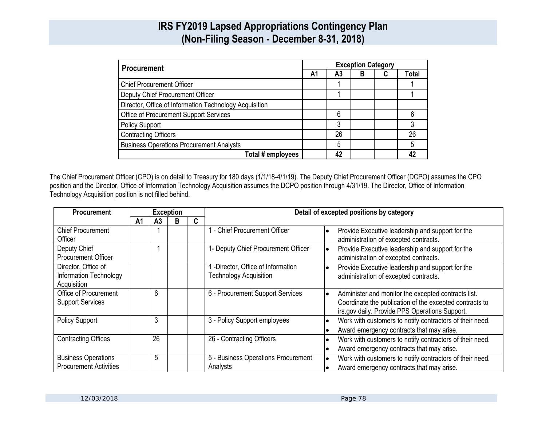| <b>Procurement</b>                                     | <b>Exception Category</b> |    |   |  |              |  |  |  |
|--------------------------------------------------------|---------------------------|----|---|--|--------------|--|--|--|
|                                                        | A1                        | A3 | B |  | <b>Total</b> |  |  |  |
| <b>Chief Procurement Officer</b>                       |                           |    |   |  |              |  |  |  |
| Deputy Chief Procurement Officer                       |                           |    |   |  |              |  |  |  |
| Director, Office of Information Technology Acquisition |                           |    |   |  |              |  |  |  |
| Office of Procurement Support Services                 |                           | 6  |   |  |              |  |  |  |
| <b>Policy Support</b>                                  |                           | 3  |   |  |              |  |  |  |
| <b>Contracting Officers</b>                            |                           | 26 |   |  | 26           |  |  |  |
| <b>Business Operations Procurement Analysts</b>        |                           | 5  |   |  |              |  |  |  |
| Total # employees                                      |                           | 42 |   |  |              |  |  |  |

The Chief Procurement Officer (CPO) is on detail to Treasury for 180 days (1/1/18-4/1/19). The Deputy Chief Procurement Officer (DCPO) assumes the CPO position and the Director, Office of Information Technology Acquisition assumes the DCPO position through 4/31/19. The Director, Office of Information Technology Acquisition position is not filled behind.

| <b>Procurement</b>                                           |    |                | <b>Exception</b> |   | Detail of excepted positions by category                             |                                                                                                                                                                               |  |  |  |  |  |
|--------------------------------------------------------------|----|----------------|------------------|---|----------------------------------------------------------------------|-------------------------------------------------------------------------------------------------------------------------------------------------------------------------------|--|--|--|--|--|
|                                                              | A1 | A <sub>3</sub> | B                | C |                                                                      |                                                                                                                                                                               |  |  |  |  |  |
| <b>Chief Procurement</b><br>Officer                          |    |                |                  |   | 1 - Chief Procurement Officer                                        | Provide Executive leadership and support for the<br>lo<br>administration of excepted contracts.                                                                               |  |  |  |  |  |
| Deputy Chief<br>Procurement Officer                          |    |                |                  |   | 1- Deputy Chief Procurement Officer                                  | Provide Executive leadership and support for the<br>I۰<br>administration of excepted contracts.                                                                               |  |  |  |  |  |
| Director, Office of<br>Information Technology<br>Acquisition |    |                |                  |   | 1 - Director, Office of Information<br><b>Technology Acquisition</b> | Provide Executive leadership and support for the<br>$\bullet$<br>administration of excepted contracts.                                                                        |  |  |  |  |  |
| Office of Procurement<br><b>Support Services</b>             |    | 6              |                  |   | 6 - Procurement Support Services                                     | Administer and monitor the excepted contracts list.<br>$\bullet$<br>Coordinate the publication of the excepted contracts to<br>irs.gov daily. Provide PPS Operations Support. |  |  |  |  |  |
| <b>Policy Support</b>                                        |    | 3              |                  |   | 3 - Policy Support employees                                         | Work with customers to notify contractors of their need.<br>lo<br>Award emergency contracts that may arise.<br>I۰                                                             |  |  |  |  |  |
| <b>Contracting Offices</b>                                   |    | 26             |                  |   | 26 - Contracting Officers                                            | Work with customers to notify contractors of their need.<br>lo<br>Award emergency contracts that may arise.<br>lo                                                             |  |  |  |  |  |
| <b>Business Operations</b><br><b>Procurement Activities</b>  |    | 5              |                  |   | 5 - Business Operations Procurement<br>Analysts                      | Work with customers to notify contractors of their need.<br>lo<br>Award emergency contracts that may arise.<br>I۰                                                             |  |  |  |  |  |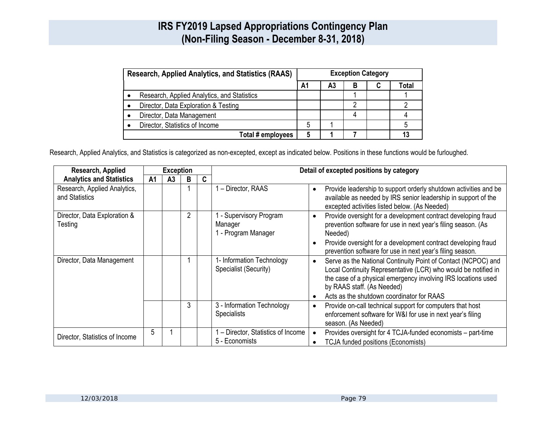| <b>Research, Applied Analytics, and Statistics (RAAS)</b> | <b>Exception Category</b> |    |   |   |       |  |  |
|-----------------------------------------------------------|---------------------------|----|---|---|-------|--|--|
|                                                           | A1                        | А3 | В | C | Total |  |  |
| Research, Applied Analytics, and Statistics               |                           |    |   |   |       |  |  |
| Director, Data Exploration & Testing                      |                           |    |   |   |       |  |  |
| Director, Data Management                                 |                           |    | 4 |   |       |  |  |
| Director, Statistics of Income                            | 5                         |    |   |   |       |  |  |
| Total # employees                                         | 5                         |    |   |   |       |  |  |

Research, Applied Analytics, and Statistics is categorized as non-excepted, except as indicated below. Positions in these functions would be furloughed.

| Research, Applied                              |    | <b>Exception</b> |                |   | Detail of excepted positions by category                |                                                                                                                                                                                                                                                                             |  |  |  |  |
|------------------------------------------------|----|------------------|----------------|---|---------------------------------------------------------|-----------------------------------------------------------------------------------------------------------------------------------------------------------------------------------------------------------------------------------------------------------------------------|--|--|--|--|
| <b>Analytics and Statistics</b>                | A1 | A <sub>3</sub>   | B              | C |                                                         |                                                                                                                                                                                                                                                                             |  |  |  |  |
| Research, Applied Analytics,<br>and Statistics |    |                  |                |   | - Director, RAAS                                        | Provide leadership to support orderly shutdown activities and be<br>available as needed by IRS senior leadership in support of the<br>excepted activities listed below. (As Needed)                                                                                         |  |  |  |  |
| Director, Data Exploration &<br>Testing        |    |                  | $\overline{2}$ |   | - Supervisory Program<br>Manager<br>1 - Program Manager | Provide oversight for a development contract developing fraud<br>prevention software for use in next year's filing season. (As<br>Needed)<br>Provide oversight for a development contract developing fraud<br>prevention software for use in next year's filing season.     |  |  |  |  |
| Director, Data Management                      |    |                  |                |   | 1- Information Technology<br>Specialist (Security)      | Serve as the National Continuity Point of Contact (NCPOC) and<br>Local Continuity Representative (LCR) who would be notified in<br>the case of a physical emergency involving IRS locations used<br>by RAAS staff. (As Needed)<br>Acts as the shutdown coordinator for RAAS |  |  |  |  |
|                                                |    |                  | 3              |   | 3 - Information Technology<br><b>Specialists</b>        | Provide on-call technical support for computers that host<br>enforcement software for W&I for use in next year's filing<br>season. (As Needed)                                                                                                                              |  |  |  |  |
| Director, Statistics of Income                 | 5  |                  |                |   | - Director, Statistics of Income<br>5 - Economists      | Provides oversight for 4 TCJA-funded economists - part-time<br><b>TCJA</b> funded positions (Economists)                                                                                                                                                                    |  |  |  |  |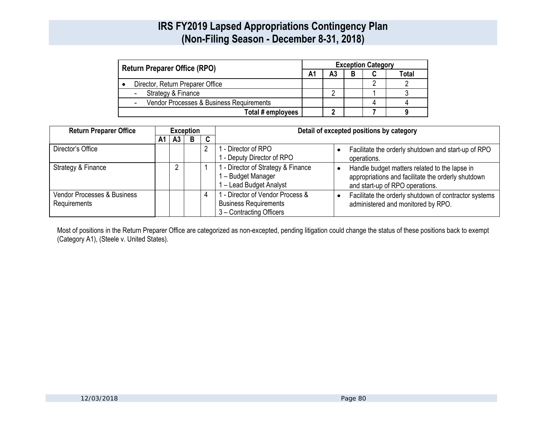| <b>Return Preparer Office (RPO)</b>      | <b>Exception Category</b> |    |   |  |       |  |  |  |  |
|------------------------------------------|---------------------------|----|---|--|-------|--|--|--|--|
|                                          | A.                        | А3 | B |  | Total |  |  |  |  |
| Director, Return Preparer Office         |                           |    |   |  |       |  |  |  |  |
| Strategy & Finance                       |                           |    |   |  |       |  |  |  |  |
| Vendor Processes & Business Requirements |                           |    |   |  |       |  |  |  |  |
| Total # employees                        |                           |    |   |  |       |  |  |  |  |

| <b>Return Preparer Office</b>               |    |    | <b>Exception</b> |   | Detail of excepted positions by category                                                   |                                                                                                                                        |  |  |  |
|---------------------------------------------|----|----|------------------|---|--------------------------------------------------------------------------------------------|----------------------------------------------------------------------------------------------------------------------------------------|--|--|--|
|                                             | A1 | А3 | B                | C |                                                                                            |                                                                                                                                        |  |  |  |
| Director's Office                           |    |    |                  | 2 | - Director of RPO<br>- Deputy Director of RPO                                              | Facilitate the orderly shutdown and start-up of RPO<br>operations.                                                                     |  |  |  |
| Strategy & Finance                          |    |    |                  |   | Director of Strategy & Finance<br>l - Budget Manager<br>- Lead Budget Analyst              | Handle budget matters related to the lapse in<br>appropriations and facilitate the orderly shutdown<br>and start-up of RPO operations. |  |  |  |
| Vendor Processes & Business<br>Requirements |    |    |                  | 4 | - Director of Vendor Process &<br><b>Business Requirements</b><br>3 - Contracting Officers | Facilitate the orderly shutdown of contractor systems<br>administered and monitored by RPO.                                            |  |  |  |

Most of positions in the Return Preparer Office are categorized as non-excepted, pending litigation could change the status of these positions back to exempt (Category A1), (Steele v. United States).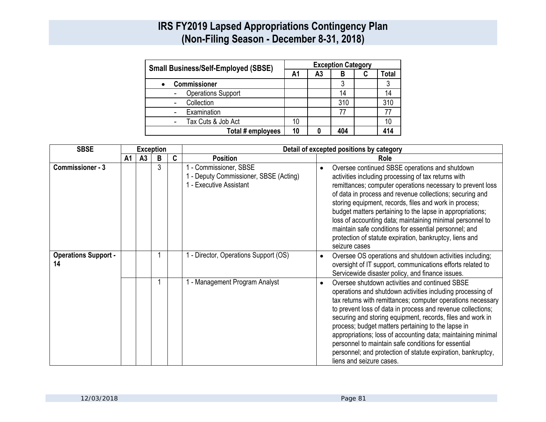| <b>Small Business/Self-Employed (SBSE)</b> | <b>Exception Category</b> |    |     |   |       |  |  |  |  |  |
|--------------------------------------------|---------------------------|----|-----|---|-------|--|--|--|--|--|
|                                            | Α1                        | А3 | В   | C | Total |  |  |  |  |  |
| <b>Commissioner</b>                        |                           |    |     |   |       |  |  |  |  |  |
| <b>Operations Support</b>                  |                           |    | 14  |   | 14    |  |  |  |  |  |
| Collection                                 |                           |    | 310 |   | 310   |  |  |  |  |  |
| Examination<br>۰                           |                           |    |     |   | 77    |  |  |  |  |  |
| Tax Cuts & Job Act                         | 10                        |    |     |   | 10    |  |  |  |  |  |
| Total # employees                          | 10                        |    | 404 |   | 414   |  |  |  |  |  |

| <b>SBSE</b>                       |    |    | <b>Exception</b> |    |                                                                                             | Detail of excepted positions by category                                                                                                                                                                                                                                                                                                                                                                                                                                                                                                                                                       |
|-----------------------------------|----|----|------------------|----|---------------------------------------------------------------------------------------------|------------------------------------------------------------------------------------------------------------------------------------------------------------------------------------------------------------------------------------------------------------------------------------------------------------------------------------------------------------------------------------------------------------------------------------------------------------------------------------------------------------------------------------------------------------------------------------------------|
|                                   | A1 | A3 | B                | C. | <b>Position</b>                                                                             | Role                                                                                                                                                                                                                                                                                                                                                                                                                                                                                                                                                                                           |
| <b>Commissioner - 3</b>           |    |    | 3                |    | 1 - Commissioner, SBSE<br>1 - Deputy Commissioner, SBSE (Acting)<br>1 - Executive Assistant | Oversee continued SBSE operations and shutdown<br>activities including processing of tax returns with<br>remittances; computer operations necessary to prevent loss<br>of data in process and revenue collections; securing and<br>storing equipment, records, files and work in process;<br>budget matters pertaining to the lapse in appropriations;<br>loss of accounting data; maintaining minimal personnel to<br>maintain safe conditions for essential personnel; and<br>protection of statute expiration, bankruptcy, liens and<br>seizure cases                                       |
| <b>Operations Support -</b><br>14 |    |    |                  |    | 1 - Director, Operations Support (OS)                                                       | Oversee OS operations and shutdown activities including;<br>$\bullet$<br>oversight of IT support, communications efforts related to<br>Servicewide disaster policy, and finance issues.                                                                                                                                                                                                                                                                                                                                                                                                        |
|                                   |    |    |                  |    | 1 - Management Program Analyst                                                              | Oversee shutdown activities and continued SBSE<br>$\bullet$<br>operations and shutdown activities including processing of<br>tax returns with remittances; computer operations necessary<br>to prevent loss of data in process and revenue collections;<br>securing and storing equipment, records, files and work in<br>process; budget matters pertaining to the lapse in<br>appropriations; loss of accounting data; maintaining minimal<br>personnel to maintain safe conditions for essential<br>personnel; and protection of statute expiration, bankruptcy,<br>liens and seizure cases. |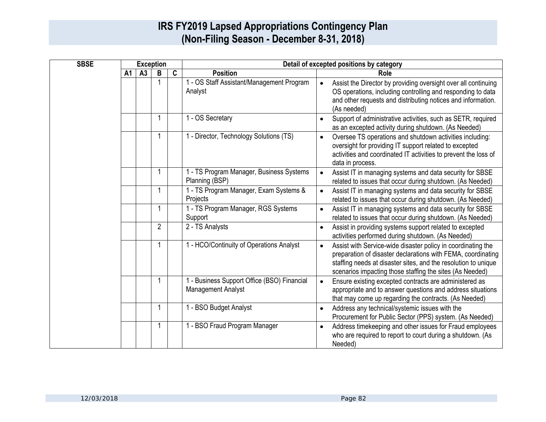| <b>SBSE</b> |                | <b>Exception</b> |                |             | Detail of excepted positions by category                          |           |                                                                                                                                                                                                                                                            |  |  |
|-------------|----------------|------------------|----------------|-------------|-------------------------------------------------------------------|-----------|------------------------------------------------------------------------------------------------------------------------------------------------------------------------------------------------------------------------------------------------------------|--|--|
|             | A <sub>1</sub> | A <sub>3</sub>   | B              | $\mathbf c$ | <b>Position</b>                                                   |           | <b>Role</b>                                                                                                                                                                                                                                                |  |  |
|             |                |                  |                |             | 1 - OS Staff Assistant/Management Program<br>Analyst              |           | Assist the Director by providing oversight over all continuing<br>OS operations, including controlling and responding to data<br>and other requests and distributing notices and information.<br>(As needed)                                               |  |  |
|             |                |                  |                |             | 1 - OS Secretary                                                  | $\bullet$ | Support of administrative activities, such as SETR, required<br>as an excepted activity during shutdown. (As Needed)                                                                                                                                       |  |  |
|             |                |                  | 1              |             | 1 - Director, Technology Solutions (TS)                           | $\bullet$ | Oversee TS operations and shutdown activities including:<br>oversight for providing IT support related to excepted<br>activities and coordinated IT activities to prevent the loss of<br>data in process.                                                  |  |  |
|             |                |                  |                |             | 1 - TS Program Manager, Business Systems<br>Planning (BSP)        | $\bullet$ | Assist IT in managing systems and data security for SBSE<br>related to issues that occur during shutdown. (As Needed)                                                                                                                                      |  |  |
|             |                |                  | $\mathbf{1}$   |             | 1 - TS Program Manager, Exam Systems &<br>Projects                | $\bullet$ | Assist IT in managing systems and data security for SBSE<br>related to issues that occur during shutdown. (As Needed)                                                                                                                                      |  |  |
|             |                |                  | 1              |             | 1 - TS Program Manager, RGS Systems<br>Support                    | $\bullet$ | Assist IT in managing systems and data security for SBSE<br>related to issues that occur during shutdown. (As Needed)                                                                                                                                      |  |  |
|             |                |                  | $\overline{2}$ |             | 2 - TS Analysts                                                   | $\bullet$ | Assist in providing systems support related to excepted<br>activities performed during shutdown. (As Needed)                                                                                                                                               |  |  |
|             |                |                  |                |             | 1 - HCO/Continuity of Operations Analyst                          | $\bullet$ | Assist with Service-wide disaster policy in coordinating the<br>preparation of disaster declarations with FEMA, coordinating<br>staffing needs at disaster sites, and the resolution to unique<br>scenarios impacting those staffing the sites (As Needed) |  |  |
|             |                |                  | 1              |             | 1 - Business Support Office (BSO) Financial<br>Management Analyst | $\bullet$ | Ensure existing excepted contracts are administered as<br>appropriate and to answer questions and address situations<br>that may come up regarding the contracts. (As Needed)                                                                              |  |  |
|             |                |                  | 1              |             | 1 - BSO Budget Analyst                                            | $\bullet$ | Address any technical/systemic issues with the<br>Procurement for Public Sector (PPS) system. (As Needed)                                                                                                                                                  |  |  |
|             |                |                  | 1              |             | 1 - BSO Fraud Program Manager                                     | $\bullet$ | Address timekeeping and other issues for Fraud employees<br>who are required to report to court during a shutdown. (As<br>Needed)                                                                                                                          |  |  |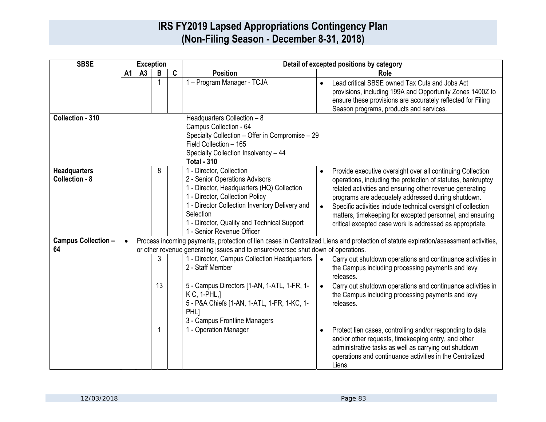| <b>SBSE</b>                           |                |    | <b>Exception</b> |              |                                                                                                                                                                                                                                                                                         | Detail of excepted positions by category |                                                                                                                                                                                                                                                                                                                                                                                                                                        |  |  |  |
|---------------------------------------|----------------|----|------------------|--------------|-----------------------------------------------------------------------------------------------------------------------------------------------------------------------------------------------------------------------------------------------------------------------------------------|------------------------------------------|----------------------------------------------------------------------------------------------------------------------------------------------------------------------------------------------------------------------------------------------------------------------------------------------------------------------------------------------------------------------------------------------------------------------------------------|--|--|--|
|                                       | A <sub>1</sub> | A3 | B                | $\mathbf{C}$ | <b>Position</b>                                                                                                                                                                                                                                                                         |                                          | Role                                                                                                                                                                                                                                                                                                                                                                                                                                   |  |  |  |
|                                       |                |    | 1                |              | 1 - Program Manager - TCJA                                                                                                                                                                                                                                                              |                                          | Lead critical SBSE owned Tax Cuts and Jobs Act<br>provisions, including 199A and Opportunity Zones 1400Z to<br>ensure these provisions are accurately reflected for Filing<br>Season programs, products and services.                                                                                                                                                                                                                  |  |  |  |
| Collection - 310                      |                |    |                  |              | Headquarters Collection - 8<br>Campus Collection - 64<br>Specialty Collection - Offer in Compromise - 29<br>Field Collection - 165<br>Specialty Collection Insolvency - 44<br><b>Total - 310</b>                                                                                        |                                          |                                                                                                                                                                                                                                                                                                                                                                                                                                        |  |  |  |
| <b>Headquarters</b><br>Collection - 8 |                |    | 8                |              | 1 - Director, Collection<br>2 - Senior Operations Advisors<br>1 - Director, Headquarters (HQ) Collection<br>1 - Director, Collection Policy<br>1 - Director Collection Inventory Delivery and<br>Selection<br>1 - Director, Quality and Technical Support<br>1 - Senior Revenue Officer |                                          | Provide executive oversight over all continuing Collection<br>operations, including the protection of statutes, bankruptcy<br>related activities and ensuring other revenue generating<br>programs are adequately addressed during shutdown.<br>Specific activities include technical oversight of collection<br>matters, timekeeping for excepted personnel, and ensuring<br>critical excepted case work is addressed as appropriate. |  |  |  |
| <b>Campus Collection -</b><br>64      | $\bullet$      |    |                  |              | Process incoming payments, protection of lien cases in Centralized Liens and protection of statute expiration/assessment activities,<br>or other revenue generating issues and to ensure/oversee shut down of operations.                                                               |                                          |                                                                                                                                                                                                                                                                                                                                                                                                                                        |  |  |  |
|                                       |                |    | 3                |              | 1 - Director, Campus Collection Headquarters<br>2 - Staff Member                                                                                                                                                                                                                        | $\bullet$                                | Carry out shutdown operations and continuance activities in<br>the Campus including processing payments and levy<br>releases.                                                                                                                                                                                                                                                                                                          |  |  |  |
|                                       |                |    | 13               |              | 5 - Campus Directors [1-AN, 1-ATL, 1-FR, 1-<br>$K C$ , 1-PHL,]<br>5 - P&A Chiefs [1-AN, 1-ATL, 1-FR, 1-KC, 1-<br>PHL1<br>3 - Campus Frontline Managers                                                                                                                                  |                                          | Carry out shutdown operations and continuance activities in<br>the Campus including processing payments and levy<br>releases.                                                                                                                                                                                                                                                                                                          |  |  |  |
|                                       |                |    |                  |              | 1 - Operation Manager                                                                                                                                                                                                                                                                   | $\bullet$                                | Protect lien cases, controlling and/or responding to data<br>and/or other requests, timekeeping entry, and other<br>administrative tasks as well as carrying out shutdown<br>operations and continuance activities in the Centralized<br>Liens.                                                                                                                                                                                        |  |  |  |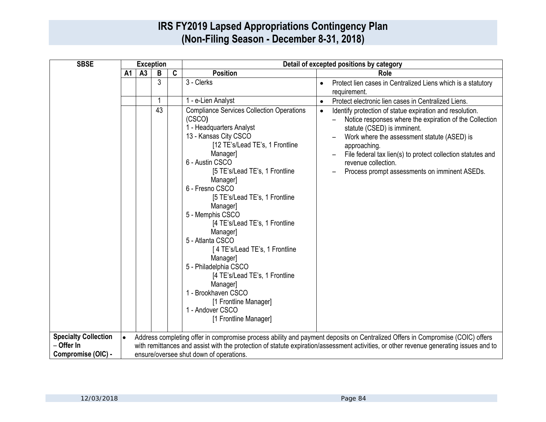| <b>SBSE</b>                                                     |           |                | <b>Exception</b> |             |                                                                                                                                                                                                                                                                                                                                                                                                                                                                                                                                                                                                          | Detail of excepted positions by category |                                                                                                                                                                                                                                                                                                                                                          |  |  |  |
|-----------------------------------------------------------------|-----------|----------------|------------------|-------------|----------------------------------------------------------------------------------------------------------------------------------------------------------------------------------------------------------------------------------------------------------------------------------------------------------------------------------------------------------------------------------------------------------------------------------------------------------------------------------------------------------------------------------------------------------------------------------------------------------|------------------------------------------|----------------------------------------------------------------------------------------------------------------------------------------------------------------------------------------------------------------------------------------------------------------------------------------------------------------------------------------------------------|--|--|--|
|                                                                 | A1        | A <sub>3</sub> | B                | $\mathbf c$ | <b>Position</b>                                                                                                                                                                                                                                                                                                                                                                                                                                                                                                                                                                                          |                                          | <b>Role</b>                                                                                                                                                                                                                                                                                                                                              |  |  |  |
|                                                                 |           |                | 3                |             | 3 - Clerks                                                                                                                                                                                                                                                                                                                                                                                                                                                                                                                                                                                               |                                          | Protect lien cases in Centralized Liens which is a statutory                                                                                                                                                                                                                                                                                             |  |  |  |
|                                                                 |           |                |                  |             |                                                                                                                                                                                                                                                                                                                                                                                                                                                                                                                                                                                                          |                                          | requirement.                                                                                                                                                                                                                                                                                                                                             |  |  |  |
|                                                                 |           |                | 1                |             | 1 - e-Lien Analyst                                                                                                                                                                                                                                                                                                                                                                                                                                                                                                                                                                                       | $\bullet$                                | Protect electronic lien cases in Centralized Liens.                                                                                                                                                                                                                                                                                                      |  |  |  |
|                                                                 |           |                | 43               |             | <b>Compliance Services Collection Operations</b><br>(CSCO)<br>1 - Headquarters Analyst<br>13 - Kansas City CSCO<br>[12 TE's/Lead TE's, 1 Frontline<br>Manager]<br>6 - Austin CSCO<br>[5 TE's/Lead TE's, 1 Frontline<br>Manager]<br>6 - Fresno CSCO<br>[5 TE's/Lead TE's, 1 Frontline<br>Manager]<br>5 - Memphis CSCO<br>[4 TE's/Lead TE's, 1 Frontline<br>Manager]<br>5 - Atlanta CSCO<br>[4 TE's/Lead TE's, 1 Frontline<br>Manager]<br>5 - Philadelphia CSCO<br>[4 TE's/Lead TE's, 1 Frontline<br>Manager]<br>1 - Brookhaven CSCO<br>[1 Frontline Manager]<br>1 - Andover CSCO<br>[1 Frontline Manager] | $\bullet$                                | Identify protection of statue expiration and resolution.<br>Notice responses where the expiration of the Collection<br>statute (CSED) is imminent.<br>Work where the assessment statute (ASED) is<br>approaching.<br>File federal tax lien(s) to protect collection statutes and<br>revenue collection.<br>Process prompt assessments on imminent ASEDs. |  |  |  |
| <b>Specialty Collection</b><br>– Offer In<br>Compromise (OIC) - | $\bullet$ |                |                  |             | ensure/oversee shut down of operations.                                                                                                                                                                                                                                                                                                                                                                                                                                                                                                                                                                  |                                          | Address completing offer in compromise process ability and payment deposits on Centralized Offers in Compromise (COIC) offers<br>with remittances and assist with the protection of statute expiration/assessment activities, or other revenue generating issues and to                                                                                  |  |  |  |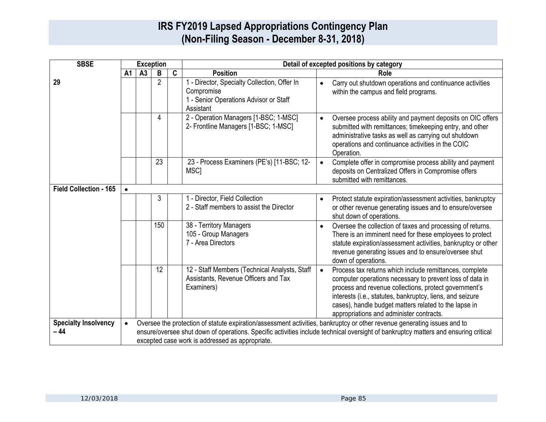| <b>SBSE</b>                         |                |                | <b>Exception</b> |             |                                                                                                                   |           | Detail of excepted positions by category                                                                                                                                                                                                                                                                                                       |
|-------------------------------------|----------------|----------------|------------------|-------------|-------------------------------------------------------------------------------------------------------------------|-----------|------------------------------------------------------------------------------------------------------------------------------------------------------------------------------------------------------------------------------------------------------------------------------------------------------------------------------------------------|
|                                     | A <sub>1</sub> | A <sub>3</sub> | B                | $\mathbf c$ | <b>Position</b>                                                                                                   |           | <b>Role</b>                                                                                                                                                                                                                                                                                                                                    |
| 29                                  |                |                | $\overline{2}$   |             | 1 - Director, Specialty Collection, Offer In<br>Compromise<br>1 - Senior Operations Advisor or Staff<br>Assistant |           | Carry out shutdown operations and continuance activities<br>within the campus and field programs.                                                                                                                                                                                                                                              |
|                                     |                |                | 4                |             | 2 - Operation Managers [1-BSC; 1-MSC]<br>2- Frontline Managers [1-BSC; 1-MSC]                                     | $\bullet$ | Oversee process ability and payment deposits on OIC offers<br>submitted with remittances; timekeeping entry, and other<br>administrative tasks as well as carrying out shutdown<br>operations and continuance activities in the COIC<br>Operation.                                                                                             |
|                                     |                |                | 23               |             | 23 - Process Examiners (PE's) [11-BSC; 12-<br>MSC <sub>1</sub>                                                    |           | Complete offer in compromise process ability and payment<br>deposits on Centralized Offers in Compromise offers<br>submitted with remittances.                                                                                                                                                                                                 |
| <b>Field Collection - 165</b>       |                |                |                  |             |                                                                                                                   |           |                                                                                                                                                                                                                                                                                                                                                |
|                                     |                |                | 3                |             | 1 - Director, Field Collection<br>2 - Staff members to assist the Director                                        | $\bullet$ | Protect statute expiration/assessment activities, bankruptcy<br>or other revenue generating issues and to ensure/oversee<br>shut down of operations.                                                                                                                                                                                           |
|                                     |                |                | 150              |             | 38 - Territory Managers<br>105 - Group Managers<br>7 - Area Directors                                             | $\bullet$ | Oversee the collection of taxes and processing of returns.<br>There is an imminent need for these employees to protect<br>statute expiration/assessment activities, bankruptcy or other<br>revenue generating issues and to ensure/oversee shut<br>down of operations.                                                                         |
|                                     |                |                | 12               |             | 12 - Staff Members (Technical Analysts, Staff<br>Assistants, Revenue Officers and Tax<br>Examiners)               |           | Process tax returns which include remittances, complete<br>computer operations necessary to prevent loss of data in<br>process and revenue collections, protect government's<br>interests (i.e., statutes, bankruptcy, liens, and seizure<br>cases), handle budget matters related to the lapse in<br>appropriations and administer contracts. |
| <b>Specialty Insolvency</b><br>- 44 |                |                |                  |             | excepted case work is addressed as appropriate.                                                                   |           | Oversee the protection of statute expiration/assessment activities, bankruptcy or other revenue generating issues and to<br>ensure/oversee shut down of operations. Specific activities include technical oversight of bankruptcy matters and ensuring critical                                                                                |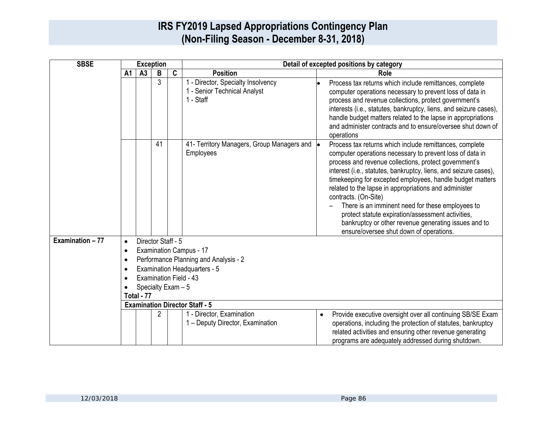| <b>SBSE</b>      |           |                | <b>Exception</b>   |             | Detail of excepted positions by category                                        |           |                                                                                                                                                                                                                                                                                                                                                                                                                                                                                                                                                                                                            |  |
|------------------|-----------|----------------|--------------------|-------------|---------------------------------------------------------------------------------|-----------|------------------------------------------------------------------------------------------------------------------------------------------------------------------------------------------------------------------------------------------------------------------------------------------------------------------------------------------------------------------------------------------------------------------------------------------------------------------------------------------------------------------------------------------------------------------------------------------------------------|--|
|                  | A1        | A <sub>3</sub> | B                  | $\mathbf c$ | <b>Position</b>                                                                 |           | <b>Role</b>                                                                                                                                                                                                                                                                                                                                                                                                                                                                                                                                                                                                |  |
|                  |           |                | 3                  |             | 1 - Director, Specialty Insolvency<br>1 - Senior Technical Analyst<br>1 - Staff |           | Process tax returns which include remittances, complete<br>computer operations necessary to prevent loss of data in<br>process and revenue collections, protect government's<br>interests (i.e., statutes, bankruptcy, liens, and seizure cases),<br>handle budget matters related to the lapse in appropriations<br>and administer contracts and to ensure/oversee shut down of<br>operations                                                                                                                                                                                                             |  |
|                  |           |                | 41                 |             | 41- Territory Managers, Group Managers and<br>Employees                         |           | Process tax returns which include remittances, complete<br>computer operations necessary to prevent loss of data in<br>process and revenue collections, protect government's<br>interest (i.e., statutes, bankruptcy, liens, and seizure cases),<br>timekeeping for excepted employees, handle budget matters<br>related to the lapse in appropriations and administer<br>contracts. (On-Site)<br>There is an imminent need for these employees to<br>protect statute expiration/assessment activities,<br>bankruptcy or other revenue generating issues and to<br>ensure/oversee shut down of operations. |  |
| Examination - 77 | $\bullet$ |                | Director Staff - 5 |             |                                                                                 |           |                                                                                                                                                                                                                                                                                                                                                                                                                                                                                                                                                                                                            |  |
|                  | $\bullet$ |                |                    |             | <b>Examination Campus - 17</b>                                                  |           |                                                                                                                                                                                                                                                                                                                                                                                                                                                                                                                                                                                                            |  |
|                  | $\bullet$ |                |                    |             | Performance Planning and Analysis - 2                                           |           |                                                                                                                                                                                                                                                                                                                                                                                                                                                                                                                                                                                                            |  |
|                  | $\bullet$ |                |                    |             | <b>Examination Headquarters - 5</b>                                             |           |                                                                                                                                                                                                                                                                                                                                                                                                                                                                                                                                                                                                            |  |
|                  | $\bullet$ |                |                    |             | Examination Field - 43                                                          |           |                                                                                                                                                                                                                                                                                                                                                                                                                                                                                                                                                                                                            |  |
|                  |           | Total - 77     | Specialty Exam - 5 |             |                                                                                 |           |                                                                                                                                                                                                                                                                                                                                                                                                                                                                                                                                                                                                            |  |
|                  |           |                |                    |             | <b>Examination Director Staff - 5</b>                                           |           |                                                                                                                                                                                                                                                                                                                                                                                                                                                                                                                                                                                                            |  |
|                  |           |                | 2                  |             | 1 - Director, Examination                                                       | $\bullet$ | Provide executive oversight over all continuing SB/SE Exam                                                                                                                                                                                                                                                                                                                                                                                                                                                                                                                                                 |  |
|                  |           |                |                    |             | 1 - Deputy Director, Examination                                                |           | operations, including the protection of statutes, bankruptcy<br>related activities and ensuring other revenue generating<br>programs are adequately addressed during shutdown.                                                                                                                                                                                                                                                                                                                                                                                                                             |  |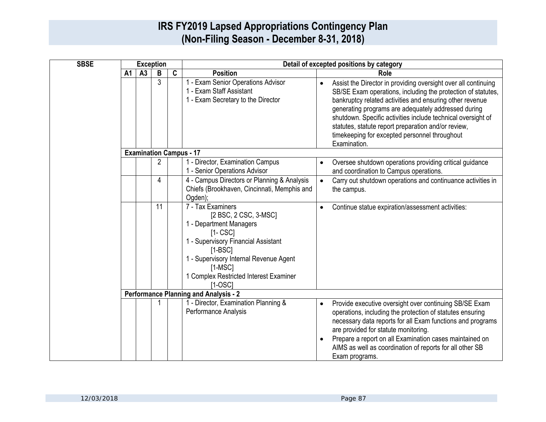| <b>SBSE</b> |           |    | <b>Exception</b> |              |                                                                                                                                                                                                                                                    |           | Detail of excepted positions by category                                                                                                                                                                                                                                                                                                                                                                                                  |
|-------------|-----------|----|------------------|--------------|----------------------------------------------------------------------------------------------------------------------------------------------------------------------------------------------------------------------------------------------------|-----------|-------------------------------------------------------------------------------------------------------------------------------------------------------------------------------------------------------------------------------------------------------------------------------------------------------------------------------------------------------------------------------------------------------------------------------------------|
|             | <b>A1</b> | A3 | B                | $\mathbf{C}$ | <b>Position</b>                                                                                                                                                                                                                                    |           | <b>Role</b>                                                                                                                                                                                                                                                                                                                                                                                                                               |
|             |           |    | 3                |              | 1 - Exam Senior Operations Advisor<br>1 - Exam Staff Assistant<br>1 - Exam Secretary to the Director                                                                                                                                               |           | Assist the Director in providing oversight over all continuing<br>SB/SE Exam operations, including the protection of statutes,<br>bankruptcy related activities and ensuring other revenue<br>generating programs are adequately addressed during<br>shutdown. Specific activities include technical oversight of<br>statutes, statute report preparation and/or review,<br>timekeeping for excepted personnel throughout<br>Examination. |
|             |           |    |                  |              | <b>Examination Campus - 17</b>                                                                                                                                                                                                                     |           |                                                                                                                                                                                                                                                                                                                                                                                                                                           |
|             |           |    | 2                |              | - Director, Examination Campus<br>- Senior Operations Advisor                                                                                                                                                                                      |           | Oversee shutdown operations providing critical guidance<br>and coordination to Campus operations.                                                                                                                                                                                                                                                                                                                                         |
|             |           |    | 4                |              | 4 - Campus Directors or Planning & Analysis<br>Chiefs (Brookhaven, Cincinnati, Memphis and<br>Ogden);                                                                                                                                              | $\bullet$ | Carry out shutdown operations and continuance activities in<br>the campus.                                                                                                                                                                                                                                                                                                                                                                |
|             |           |    | 11               |              | 7 - Tax Examiners<br>[2 BSC, 2 CSC, 3-MSC]<br>1 - Department Managers<br>$[1-CSC]$<br>1 - Supervisory Financial Assistant<br>$[1-BSC]$<br>1 - Supervisory Internal Revenue Agent<br>$[1-MSC]$<br>1 Complex Restricted Interest Examiner<br>[1-OSC] | $\bullet$ | Continue statue expiration/assessment activities:                                                                                                                                                                                                                                                                                                                                                                                         |
|             |           |    |                  |              | <b>Performance Planning and Analysis - 2</b>                                                                                                                                                                                                       |           |                                                                                                                                                                                                                                                                                                                                                                                                                                           |
|             |           |    |                  |              | 1 - Director, Examination Planning &<br>Performance Analysis                                                                                                                                                                                       | $\bullet$ | Provide executive oversight over continuing SB/SE Exam<br>operations, including the protection of statutes ensuring<br>necessary data reports for all Exam functions and programs<br>are provided for statute monitoring.<br>Prepare a report on all Examination cases maintained on<br>AIMS as well as coordination of reports for all other SB<br>Exam programs.                                                                        |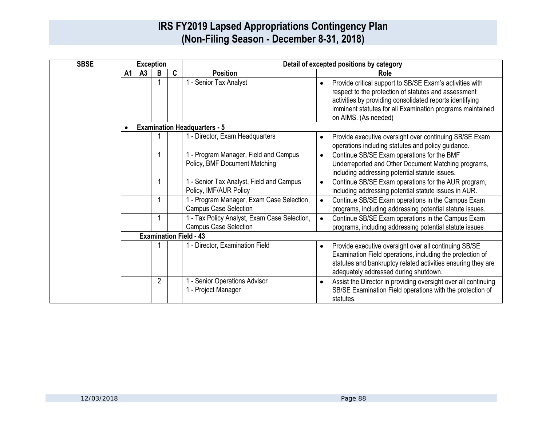| <b>SBSE</b> |           |                | <b>Exception</b>                    |   |                                                                            |           | Detail of excepted positions by category                                                                                                                                                                                                                          |  |  |  |  |  |
|-------------|-----------|----------------|-------------------------------------|---|----------------------------------------------------------------------------|-----------|-------------------------------------------------------------------------------------------------------------------------------------------------------------------------------------------------------------------------------------------------------------------|--|--|--|--|--|
|             | A1        | A <sub>3</sub> | B                                   | C | <b>Position</b>                                                            |           | <b>Role</b>                                                                                                                                                                                                                                                       |  |  |  |  |  |
|             |           |                |                                     |   | 1 - Senior Tax Analyst                                                     | $\bullet$ | Provide critical support to SB/SE Exam's activities with<br>respect to the protection of statutes and assessment<br>activities by providing consolidated reports identifying<br>imminent statutes for all Examination programs maintained<br>on AIMS. (As needed) |  |  |  |  |  |
|             | $\bullet$ |                | <b>Examination Headquarters - 5</b> |   |                                                                            |           |                                                                                                                                                                                                                                                                   |  |  |  |  |  |
|             |           |                |                                     |   | 1 - Director, Exam Headquarters                                            |           | Provide executive oversight over continuing SB/SE Exam<br>operations including statutes and policy guidance.                                                                                                                                                      |  |  |  |  |  |
|             |           |                |                                     |   | - Program Manager, Field and Campus<br>Policy, BMF Document Matching       | $\bullet$ | Continue SB/SE Exam operations for the BMF<br>Underreported and Other Document Matching programs,<br>including addressing potential statute issues.                                                                                                               |  |  |  |  |  |
|             |           |                | 1                                   |   | 1 - Senior Tax Analyst, Field and Campus<br>Policy, IMF/AUR Policy         | $\bullet$ | Continue SB/SE Exam operations for the AUR program,<br>including addressing potential statute issues in AUR.                                                                                                                                                      |  |  |  |  |  |
|             |           |                |                                     |   | 1 - Program Manager, Exam Case Selection,<br><b>Campus Case Selection</b>  |           | Continue SB/SE Exam operations in the Campus Exam<br>programs, including addressing potential statute issues.                                                                                                                                                     |  |  |  |  |  |
|             |           |                | 1                                   |   | - Tax Policy Analyst, Exam Case Selection,<br><b>Campus Case Selection</b> |           | Continue SB/SE Exam operations in the Campus Exam<br>programs, including addressing potential statute issues                                                                                                                                                      |  |  |  |  |  |
|             |           |                |                                     |   | <b>Examination Field - 43</b>                                              |           |                                                                                                                                                                                                                                                                   |  |  |  |  |  |
|             |           |                |                                     |   | 1 - Director, Examination Field                                            | $\bullet$ | Provide executive oversight over all continuing SB/SE<br>Examination Field operations, including the protection of<br>statutes and bankruptcy related activities ensuring they are<br>adequately addressed during shutdown.                                       |  |  |  |  |  |
|             |           |                | $\overline{2}$                      |   | - Senior Operations Advisor<br>1 - Project Manager                         | $\bullet$ | Assist the Director in providing oversight over all continuing<br>SB/SE Examination Field operations with the protection of<br>statutes.                                                                                                                          |  |  |  |  |  |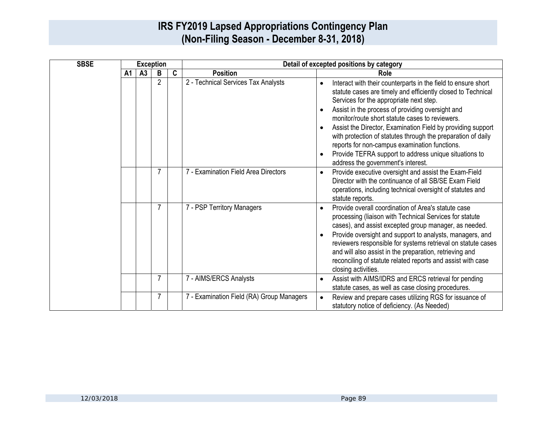| <b>SBSE</b> | <b>Exception</b> |    |                |   | Detail of excepted positions by category  |                                                                                                                                                                                                                                                                                                                                                                                                                                                                                                                                                                |  |  |  |
|-------------|------------------|----|----------------|---|-------------------------------------------|----------------------------------------------------------------------------------------------------------------------------------------------------------------------------------------------------------------------------------------------------------------------------------------------------------------------------------------------------------------------------------------------------------------------------------------------------------------------------------------------------------------------------------------------------------------|--|--|--|
|             | A1               | A3 | B              | C | <b>Position</b>                           | Role                                                                                                                                                                                                                                                                                                                                                                                                                                                                                                                                                           |  |  |  |
|             |                  |    | $\overline{2}$ |   | 2 - Technical Services Tax Analysts       | Interact with their counterparts in the field to ensure short<br>statute cases are timely and efficiently closed to Technical<br>Services for the appropriate next step.<br>Assist in the process of providing oversight and<br>monitor/route short statute cases to reviewers.<br>Assist the Director, Examination Field by providing support<br>with protection of statutes through the preparation of daily<br>reports for non-campus examination functions.<br>Provide TEFRA support to address unique situations to<br>address the government's interest. |  |  |  |
|             |                  |    | $\overline{7}$ |   | 7 - Examination Field Area Directors      | Provide executive oversight and assist the Exam-Field<br>$\bullet$<br>Director with the continuance of all SB/SE Exam Field<br>operations, including technical oversight of statutes and<br>statute reports.                                                                                                                                                                                                                                                                                                                                                   |  |  |  |
|             |                  |    | 7              |   | 7 - PSP Territory Managers                | Provide overall coordination of Area's statute case<br>processing (liaison with Technical Services for statute<br>cases), and assist excepted group manager, as needed.<br>Provide oversight and support to analysts, managers, and<br>reviewers responsible for systems retrieval on statute cases<br>and will also assist in the preparation, retrieving and<br>reconciling of statute related reports and assist with case<br>closing activities.                                                                                                           |  |  |  |
|             |                  |    |                |   | 7 - AIMS/ERCS Analysts                    | Assist with AIMS/IDRS and ERCS retrieval for pending<br>$\bullet$<br>statute cases, as well as case closing procedures.                                                                                                                                                                                                                                                                                                                                                                                                                                        |  |  |  |
|             |                  |    | 7              |   | 7 - Examination Field (RA) Group Managers | Review and prepare cases utilizing RGS for issuance of<br>statutory notice of deficiency. (As Needed)                                                                                                                                                                                                                                                                                                                                                                                                                                                          |  |  |  |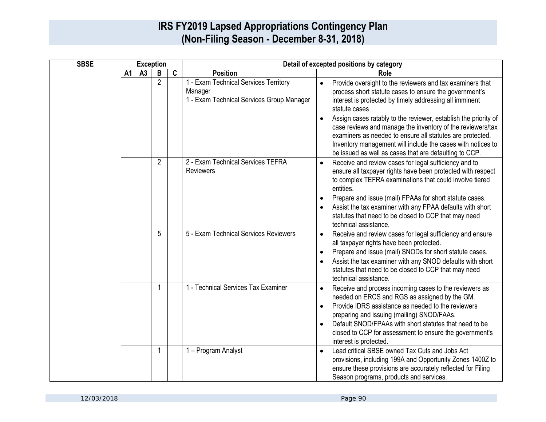| <b>SBSE</b> |           |    | <b>Exception</b> |   | Detail of excepted positions by category                                                      |                                                                                                                                                                                                                                                                                                                                                                                                                                                                                                                                                  |  |  |  |  |  |  |  |  |  |  |  |  |  |  |
|-------------|-----------|----|------------------|---|-----------------------------------------------------------------------------------------------|--------------------------------------------------------------------------------------------------------------------------------------------------------------------------------------------------------------------------------------------------------------------------------------------------------------------------------------------------------------------------------------------------------------------------------------------------------------------------------------------------------------------------------------------------|--|--|--|--|--|--|--|--|--|--|--|--|--|--|
|             | <b>A1</b> | A3 | B                | C | <b>Position</b>                                                                               | Role                                                                                                                                                                                                                                                                                                                                                                                                                                                                                                                                             |  |  |  |  |  |  |  |  |  |  |  |  |  |  |
|             |           |    | $\overline{2}$   |   | 1 - Exam Technical Services Territory<br>Manager<br>1 - Exam Technical Services Group Manager | Provide oversight to the reviewers and tax examiners that<br>$\bullet$<br>process short statute cases to ensure the government's<br>interest is protected by timely addressing all imminent<br>statute cases<br>Assign cases ratably to the reviewer, establish the priority of<br>$\bullet$<br>case reviews and manage the inventory of the reviewers/tax<br>examiners as needed to ensure all statutes are protected.<br>Inventory management will include the cases with notices to<br>be issued as well as cases that are defaulting to CCP. |  |  |  |  |  |  |  |  |  |  |  |  |  |  |
|             |           |    | $\overline{2}$   |   | 2 - Exam Technical Services TEFRA<br><b>Reviewers</b>                                         | Receive and review cases for legal sufficiency and to<br>ensure all taxpayer rights have been protected with respect<br>to complex TEFRA examinations that could involve tiered<br>entities.<br>Prepare and issue (mail) FPAAs for short statute cases.<br>Assist the tax examiner with any FPAA defaults with short<br>statutes that need to be closed to CCP that may need<br>technical assistance.                                                                                                                                            |  |  |  |  |  |  |  |  |  |  |  |  |  |  |
|             |           |    | 5                |   | 5 - Exam Technical Services Reviewers                                                         | Receive and review cases for legal sufficiency and ensure<br>$\bullet$<br>all taxpayer rights have been protected.<br>Prepare and issue (mail) SNODs for short statute cases.<br>$\bullet$<br>Assist the tax examiner with any SNOD defaults with short<br>statutes that need to be closed to CCP that may need<br>technical assistance.                                                                                                                                                                                                         |  |  |  |  |  |  |  |  |  |  |  |  |  |  |
|             |           |    | $\mathbf{1}$     |   | 1 - Technical Services Tax Examiner                                                           | Receive and process incoming cases to the reviewers as<br>$\bullet$<br>needed on ERCS and RGS as assigned by the GM.<br>Provide IDRS assistance as needed to the reviewers<br>$\bullet$<br>preparing and issuing (mailing) SNOD/FAAs.<br>Default SNOD/FPAAs with short statutes that need to be<br>$\bullet$<br>closed to CCP for assessment to ensure the government's<br>interest is protected.                                                                                                                                                |  |  |  |  |  |  |  |  |  |  |  |  |  |  |
|             |           |    | 1                |   | 1 - Program Analyst                                                                           | Lead critical SBSE owned Tax Cuts and Jobs Act<br>$\bullet$<br>provisions, including 199A and Opportunity Zones 1400Z to<br>ensure these provisions are accurately reflected for Filing<br>Season programs, products and services.                                                                                                                                                                                                                                                                                                               |  |  |  |  |  |  |  |  |  |  |  |  |  |  |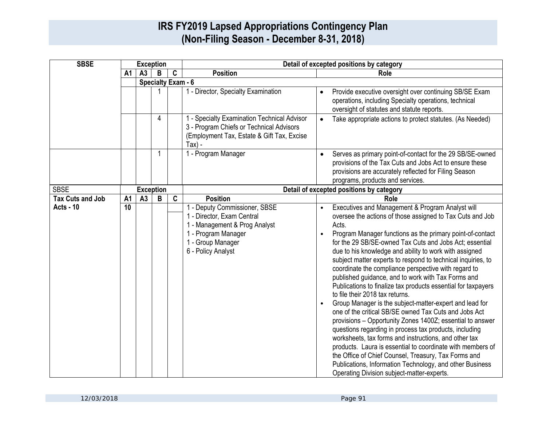| <b>SBSE</b>             |                |                | <b>Exception</b>          |              | Detail of excepted positions by category                                                                                                                       |                                                                                                                                                                                                                                                                                                                                                                                                                                                                                                                                                                                                                                                                                                                                                                                                                                                                                                                                                                                                                                                                                                                                |  |  |  |  |  |
|-------------------------|----------------|----------------|---------------------------|--------------|----------------------------------------------------------------------------------------------------------------------------------------------------------------|--------------------------------------------------------------------------------------------------------------------------------------------------------------------------------------------------------------------------------------------------------------------------------------------------------------------------------------------------------------------------------------------------------------------------------------------------------------------------------------------------------------------------------------------------------------------------------------------------------------------------------------------------------------------------------------------------------------------------------------------------------------------------------------------------------------------------------------------------------------------------------------------------------------------------------------------------------------------------------------------------------------------------------------------------------------------------------------------------------------------------------|--|--|--|--|--|
|                         | A <sub>1</sub> | A <sub>3</sub> | B                         | $\mathbf{C}$ | <b>Position</b>                                                                                                                                                | <b>Role</b>                                                                                                                                                                                                                                                                                                                                                                                                                                                                                                                                                                                                                                                                                                                                                                                                                                                                                                                                                                                                                                                                                                                    |  |  |  |  |  |
|                         |                |                | <b>Specialty Exam - 6</b> |              |                                                                                                                                                                |                                                                                                                                                                                                                                                                                                                                                                                                                                                                                                                                                                                                                                                                                                                                                                                                                                                                                                                                                                                                                                                                                                                                |  |  |  |  |  |
|                         |                |                |                           |              | 1 - Director, Specialty Examination                                                                                                                            | Provide executive oversight over continuing SB/SE Exam<br>operations, including Specialty operations, technical<br>oversight of statutes and statute reports.                                                                                                                                                                                                                                                                                                                                                                                                                                                                                                                                                                                                                                                                                                                                                                                                                                                                                                                                                                  |  |  |  |  |  |
|                         |                |                | 4                         |              | 1 - Specialty Examination Technical Advisor<br>3 - Program Chiefs or Technical Advisors<br>(Employment Tax, Estate & Gift Tax, Excise<br>$Tax$ ) -             | Take appropriate actions to protect statutes. (As Needed)<br>$\bullet$                                                                                                                                                                                                                                                                                                                                                                                                                                                                                                                                                                                                                                                                                                                                                                                                                                                                                                                                                                                                                                                         |  |  |  |  |  |
|                         |                |                | 1                         |              | 1 - Program Manager                                                                                                                                            | Serves as primary point-of-contact for the 29 SB/SE-owned<br>$\bullet$<br>provisions of the Tax Cuts and Jobs Act to ensure these<br>provisions are accurately reflected for Filing Season<br>programs, products and services.                                                                                                                                                                                                                                                                                                                                                                                                                                                                                                                                                                                                                                                                                                                                                                                                                                                                                                 |  |  |  |  |  |
| <b>SBSE</b>             |                |                | <b>Exception</b>          |              |                                                                                                                                                                | Detail of excepted positions by category                                                                                                                                                                                                                                                                                                                                                                                                                                                                                                                                                                                                                                                                                                                                                                                                                                                                                                                                                                                                                                                                                       |  |  |  |  |  |
| <b>Tax Cuts and Job</b> | <b>A1</b>      | A3             | B                         | $\mathbf{C}$ | <b>Position</b>                                                                                                                                                | Role                                                                                                                                                                                                                                                                                                                                                                                                                                                                                                                                                                                                                                                                                                                                                                                                                                                                                                                                                                                                                                                                                                                           |  |  |  |  |  |
| <b>Acts - 10</b>        | 10             |                |                           |              | 1 - Deputy Commissioner, SBSE<br>1 - Director, Exam Central<br>1 - Management & Prog Analyst<br>1 - Program Manager<br>1 - Group Manager<br>6 - Policy Analyst | Executives and Management & Program Analyst will<br>oversee the actions of those assigned to Tax Cuts and Job<br>Acts.<br>Program Manager functions as the primary point-of-contact<br>for the 29 SB/SE-owned Tax Cuts and Jobs Act; essential<br>due to his knowledge and ability to work with assigned<br>subject matter experts to respond to technical inquiries, to<br>coordinate the compliance perspective with regard to<br>published guidance, and to work with Tax Forms and<br>Publications to finalize tax products essential for taxpayers<br>to file their 2018 tax returns.<br>Group Manager is the subject-matter-expert and lead for<br>one of the critical SB/SE owned Tax Cuts and Jobs Act<br>provisions - Opportunity Zones 1400Z; essential to answer<br>questions regarding in process tax products, including<br>worksheets, tax forms and instructions, and other tax<br>products. Laura is essential to coordinate with members of<br>the Office of Chief Counsel, Treasury, Tax Forms and<br>Publications, Information Technology, and other Business<br>Operating Division subject-matter-experts. |  |  |  |  |  |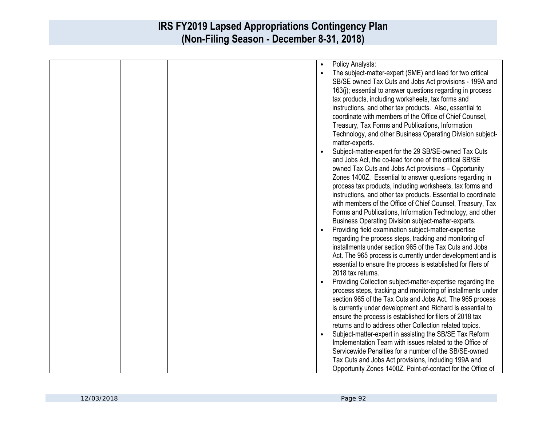| Policy Analysts:<br>$\bullet$<br>The subject-matter-expert (SME) and lead for two critical<br>SB/SE owned Tax Cuts and Jobs Act provisions - 199A and<br>163(j); essential to answer questions regarding in process<br>tax products, including worksheets, tax forms and<br>instructions, and other tax products. Also, essential to<br>coordinate with members of the Office of Chief Counsel,<br>Treasury, Tax Forms and Publications, Information<br>Technology, and other Business Operating Division subject-<br>matter-experts.<br>Subject-matter-expert for the 29 SB/SE-owned Tax Cuts<br>and Jobs Act, the co-lead for one of the critical SB/SE<br>owned Tax Cuts and Jobs Act provisions - Opportunity<br>Zones 1400Z. Essential to answer questions regarding in<br>process tax products, including worksheets, tax forms and<br>instructions, and other tax products. Essential to coordinate<br>with members of the Office of Chief Counsel, Treasury, Tax<br>Forms and Publications, Information Technology, and other<br>Business Operating Division subject-matter-experts.<br>Providing field examination subject-matter-expertise<br>regarding the process steps, tracking and monitoring of<br>installments under section 965 of the Tax Cuts and Jobs<br>Act. The 965 process is currently under development and is<br>essential to ensure the process is established for filers of<br>2018 tax returns.<br>Providing Collection subject-matter-expertise regarding the<br>process steps, tracking and monitoring of installments under<br>section 965 of the Tax Cuts and Jobs Act. The 965 process<br>is currently under development and Richard is essential to<br>ensure the process is established for filers of 2018 tax<br>returns and to address other Collection related topics.<br>Subject-matter-expert in assisting the SB/SE Tax Reform<br>Implementation Team with issues related to the Office of<br>Servicewide Penalties for a number of the SB/SE-owned<br>Tax Cuts and Jobs Act provisions, including 199A and<br>Opportunity Zones 1400Z. Point-of-contact for the Office of |  |  |  |  |
|-----------------------------------------------------------------------------------------------------------------------------------------------------------------------------------------------------------------------------------------------------------------------------------------------------------------------------------------------------------------------------------------------------------------------------------------------------------------------------------------------------------------------------------------------------------------------------------------------------------------------------------------------------------------------------------------------------------------------------------------------------------------------------------------------------------------------------------------------------------------------------------------------------------------------------------------------------------------------------------------------------------------------------------------------------------------------------------------------------------------------------------------------------------------------------------------------------------------------------------------------------------------------------------------------------------------------------------------------------------------------------------------------------------------------------------------------------------------------------------------------------------------------------------------------------------------------------------------------------------------------------------------------------------------------------------------------------------------------------------------------------------------------------------------------------------------------------------------------------------------------------------------------------------------------------------------------------------------------------------------------------------------------------------------------------------------------------------------------------------------------|--|--|--|--|
|                                                                                                                                                                                                                                                                                                                                                                                                                                                                                                                                                                                                                                                                                                                                                                                                                                                                                                                                                                                                                                                                                                                                                                                                                                                                                                                                                                                                                                                                                                                                                                                                                                                                                                                                                                                                                                                                                                                                                                                                                                                                                                                       |  |  |  |  |
|                                                                                                                                                                                                                                                                                                                                                                                                                                                                                                                                                                                                                                                                                                                                                                                                                                                                                                                                                                                                                                                                                                                                                                                                                                                                                                                                                                                                                                                                                                                                                                                                                                                                                                                                                                                                                                                                                                                                                                                                                                                                                                                       |  |  |  |  |
|                                                                                                                                                                                                                                                                                                                                                                                                                                                                                                                                                                                                                                                                                                                                                                                                                                                                                                                                                                                                                                                                                                                                                                                                                                                                                                                                                                                                                                                                                                                                                                                                                                                                                                                                                                                                                                                                                                                                                                                                                                                                                                                       |  |  |  |  |
|                                                                                                                                                                                                                                                                                                                                                                                                                                                                                                                                                                                                                                                                                                                                                                                                                                                                                                                                                                                                                                                                                                                                                                                                                                                                                                                                                                                                                                                                                                                                                                                                                                                                                                                                                                                                                                                                                                                                                                                                                                                                                                                       |  |  |  |  |
|                                                                                                                                                                                                                                                                                                                                                                                                                                                                                                                                                                                                                                                                                                                                                                                                                                                                                                                                                                                                                                                                                                                                                                                                                                                                                                                                                                                                                                                                                                                                                                                                                                                                                                                                                                                                                                                                                                                                                                                                                                                                                                                       |  |  |  |  |
|                                                                                                                                                                                                                                                                                                                                                                                                                                                                                                                                                                                                                                                                                                                                                                                                                                                                                                                                                                                                                                                                                                                                                                                                                                                                                                                                                                                                                                                                                                                                                                                                                                                                                                                                                                                                                                                                                                                                                                                                                                                                                                                       |  |  |  |  |
|                                                                                                                                                                                                                                                                                                                                                                                                                                                                                                                                                                                                                                                                                                                                                                                                                                                                                                                                                                                                                                                                                                                                                                                                                                                                                                                                                                                                                                                                                                                                                                                                                                                                                                                                                                                                                                                                                                                                                                                                                                                                                                                       |  |  |  |  |
|                                                                                                                                                                                                                                                                                                                                                                                                                                                                                                                                                                                                                                                                                                                                                                                                                                                                                                                                                                                                                                                                                                                                                                                                                                                                                                                                                                                                                                                                                                                                                                                                                                                                                                                                                                                                                                                                                                                                                                                                                                                                                                                       |  |  |  |  |
|                                                                                                                                                                                                                                                                                                                                                                                                                                                                                                                                                                                                                                                                                                                                                                                                                                                                                                                                                                                                                                                                                                                                                                                                                                                                                                                                                                                                                                                                                                                                                                                                                                                                                                                                                                                                                                                                                                                                                                                                                                                                                                                       |  |  |  |  |
|                                                                                                                                                                                                                                                                                                                                                                                                                                                                                                                                                                                                                                                                                                                                                                                                                                                                                                                                                                                                                                                                                                                                                                                                                                                                                                                                                                                                                                                                                                                                                                                                                                                                                                                                                                                                                                                                                                                                                                                                                                                                                                                       |  |  |  |  |
|                                                                                                                                                                                                                                                                                                                                                                                                                                                                                                                                                                                                                                                                                                                                                                                                                                                                                                                                                                                                                                                                                                                                                                                                                                                                                                                                                                                                                                                                                                                                                                                                                                                                                                                                                                                                                                                                                                                                                                                                                                                                                                                       |  |  |  |  |
|                                                                                                                                                                                                                                                                                                                                                                                                                                                                                                                                                                                                                                                                                                                                                                                                                                                                                                                                                                                                                                                                                                                                                                                                                                                                                                                                                                                                                                                                                                                                                                                                                                                                                                                                                                                                                                                                                                                                                                                                                                                                                                                       |  |  |  |  |
|                                                                                                                                                                                                                                                                                                                                                                                                                                                                                                                                                                                                                                                                                                                                                                                                                                                                                                                                                                                                                                                                                                                                                                                                                                                                                                                                                                                                                                                                                                                                                                                                                                                                                                                                                                                                                                                                                                                                                                                                                                                                                                                       |  |  |  |  |
|                                                                                                                                                                                                                                                                                                                                                                                                                                                                                                                                                                                                                                                                                                                                                                                                                                                                                                                                                                                                                                                                                                                                                                                                                                                                                                                                                                                                                                                                                                                                                                                                                                                                                                                                                                                                                                                                                                                                                                                                                                                                                                                       |  |  |  |  |
|                                                                                                                                                                                                                                                                                                                                                                                                                                                                                                                                                                                                                                                                                                                                                                                                                                                                                                                                                                                                                                                                                                                                                                                                                                                                                                                                                                                                                                                                                                                                                                                                                                                                                                                                                                                                                                                                                                                                                                                                                                                                                                                       |  |  |  |  |
|                                                                                                                                                                                                                                                                                                                                                                                                                                                                                                                                                                                                                                                                                                                                                                                                                                                                                                                                                                                                                                                                                                                                                                                                                                                                                                                                                                                                                                                                                                                                                                                                                                                                                                                                                                                                                                                                                                                                                                                                                                                                                                                       |  |  |  |  |
|                                                                                                                                                                                                                                                                                                                                                                                                                                                                                                                                                                                                                                                                                                                                                                                                                                                                                                                                                                                                                                                                                                                                                                                                                                                                                                                                                                                                                                                                                                                                                                                                                                                                                                                                                                                                                                                                                                                                                                                                                                                                                                                       |  |  |  |  |
|                                                                                                                                                                                                                                                                                                                                                                                                                                                                                                                                                                                                                                                                                                                                                                                                                                                                                                                                                                                                                                                                                                                                                                                                                                                                                                                                                                                                                                                                                                                                                                                                                                                                                                                                                                                                                                                                                                                                                                                                                                                                                                                       |  |  |  |  |
|                                                                                                                                                                                                                                                                                                                                                                                                                                                                                                                                                                                                                                                                                                                                                                                                                                                                                                                                                                                                                                                                                                                                                                                                                                                                                                                                                                                                                                                                                                                                                                                                                                                                                                                                                                                                                                                                                                                                                                                                                                                                                                                       |  |  |  |  |
|                                                                                                                                                                                                                                                                                                                                                                                                                                                                                                                                                                                                                                                                                                                                                                                                                                                                                                                                                                                                                                                                                                                                                                                                                                                                                                                                                                                                                                                                                                                                                                                                                                                                                                                                                                                                                                                                                                                                                                                                                                                                                                                       |  |  |  |  |
|                                                                                                                                                                                                                                                                                                                                                                                                                                                                                                                                                                                                                                                                                                                                                                                                                                                                                                                                                                                                                                                                                                                                                                                                                                                                                                                                                                                                                                                                                                                                                                                                                                                                                                                                                                                                                                                                                                                                                                                                                                                                                                                       |  |  |  |  |
|                                                                                                                                                                                                                                                                                                                                                                                                                                                                                                                                                                                                                                                                                                                                                                                                                                                                                                                                                                                                                                                                                                                                                                                                                                                                                                                                                                                                                                                                                                                                                                                                                                                                                                                                                                                                                                                                                                                                                                                                                                                                                                                       |  |  |  |  |
|                                                                                                                                                                                                                                                                                                                                                                                                                                                                                                                                                                                                                                                                                                                                                                                                                                                                                                                                                                                                                                                                                                                                                                                                                                                                                                                                                                                                                                                                                                                                                                                                                                                                                                                                                                                                                                                                                                                                                                                                                                                                                                                       |  |  |  |  |
|                                                                                                                                                                                                                                                                                                                                                                                                                                                                                                                                                                                                                                                                                                                                                                                                                                                                                                                                                                                                                                                                                                                                                                                                                                                                                                                                                                                                                                                                                                                                                                                                                                                                                                                                                                                                                                                                                                                                                                                                                                                                                                                       |  |  |  |  |
|                                                                                                                                                                                                                                                                                                                                                                                                                                                                                                                                                                                                                                                                                                                                                                                                                                                                                                                                                                                                                                                                                                                                                                                                                                                                                                                                                                                                                                                                                                                                                                                                                                                                                                                                                                                                                                                                                                                                                                                                                                                                                                                       |  |  |  |  |
|                                                                                                                                                                                                                                                                                                                                                                                                                                                                                                                                                                                                                                                                                                                                                                                                                                                                                                                                                                                                                                                                                                                                                                                                                                                                                                                                                                                                                                                                                                                                                                                                                                                                                                                                                                                                                                                                                                                                                                                                                                                                                                                       |  |  |  |  |
|                                                                                                                                                                                                                                                                                                                                                                                                                                                                                                                                                                                                                                                                                                                                                                                                                                                                                                                                                                                                                                                                                                                                                                                                                                                                                                                                                                                                                                                                                                                                                                                                                                                                                                                                                                                                                                                                                                                                                                                                                                                                                                                       |  |  |  |  |
|                                                                                                                                                                                                                                                                                                                                                                                                                                                                                                                                                                                                                                                                                                                                                                                                                                                                                                                                                                                                                                                                                                                                                                                                                                                                                                                                                                                                                                                                                                                                                                                                                                                                                                                                                                                                                                                                                                                                                                                                                                                                                                                       |  |  |  |  |
|                                                                                                                                                                                                                                                                                                                                                                                                                                                                                                                                                                                                                                                                                                                                                                                                                                                                                                                                                                                                                                                                                                                                                                                                                                                                                                                                                                                                                                                                                                                                                                                                                                                                                                                                                                                                                                                                                                                                                                                                                                                                                                                       |  |  |  |  |
|                                                                                                                                                                                                                                                                                                                                                                                                                                                                                                                                                                                                                                                                                                                                                                                                                                                                                                                                                                                                                                                                                                                                                                                                                                                                                                                                                                                                                                                                                                                                                                                                                                                                                                                                                                                                                                                                                                                                                                                                                                                                                                                       |  |  |  |  |
|                                                                                                                                                                                                                                                                                                                                                                                                                                                                                                                                                                                                                                                                                                                                                                                                                                                                                                                                                                                                                                                                                                                                                                                                                                                                                                                                                                                                                                                                                                                                                                                                                                                                                                                                                                                                                                                                                                                                                                                                                                                                                                                       |  |  |  |  |
|                                                                                                                                                                                                                                                                                                                                                                                                                                                                                                                                                                                                                                                                                                                                                                                                                                                                                                                                                                                                                                                                                                                                                                                                                                                                                                                                                                                                                                                                                                                                                                                                                                                                                                                                                                                                                                                                                                                                                                                                                                                                                                                       |  |  |  |  |
|                                                                                                                                                                                                                                                                                                                                                                                                                                                                                                                                                                                                                                                                                                                                                                                                                                                                                                                                                                                                                                                                                                                                                                                                                                                                                                                                                                                                                                                                                                                                                                                                                                                                                                                                                                                                                                                                                                                                                                                                                                                                                                                       |  |  |  |  |
|                                                                                                                                                                                                                                                                                                                                                                                                                                                                                                                                                                                                                                                                                                                                                                                                                                                                                                                                                                                                                                                                                                                                                                                                                                                                                                                                                                                                                                                                                                                                                                                                                                                                                                                                                                                                                                                                                                                                                                                                                                                                                                                       |  |  |  |  |
|                                                                                                                                                                                                                                                                                                                                                                                                                                                                                                                                                                                                                                                                                                                                                                                                                                                                                                                                                                                                                                                                                                                                                                                                                                                                                                                                                                                                                                                                                                                                                                                                                                                                                                                                                                                                                                                                                                                                                                                                                                                                                                                       |  |  |  |  |
|                                                                                                                                                                                                                                                                                                                                                                                                                                                                                                                                                                                                                                                                                                                                                                                                                                                                                                                                                                                                                                                                                                                                                                                                                                                                                                                                                                                                                                                                                                                                                                                                                                                                                                                                                                                                                                                                                                                                                                                                                                                                                                                       |  |  |  |  |
|                                                                                                                                                                                                                                                                                                                                                                                                                                                                                                                                                                                                                                                                                                                                                                                                                                                                                                                                                                                                                                                                                                                                                                                                                                                                                                                                                                                                                                                                                                                                                                                                                                                                                                                                                                                                                                                                                                                                                                                                                                                                                                                       |  |  |  |  |
|                                                                                                                                                                                                                                                                                                                                                                                                                                                                                                                                                                                                                                                                                                                                                                                                                                                                                                                                                                                                                                                                                                                                                                                                                                                                                                                                                                                                                                                                                                                                                                                                                                                                                                                                                                                                                                                                                                                                                                                                                                                                                                                       |  |  |  |  |
|                                                                                                                                                                                                                                                                                                                                                                                                                                                                                                                                                                                                                                                                                                                                                                                                                                                                                                                                                                                                                                                                                                                                                                                                                                                                                                                                                                                                                                                                                                                                                                                                                                                                                                                                                                                                                                                                                                                                                                                                                                                                                                                       |  |  |  |  |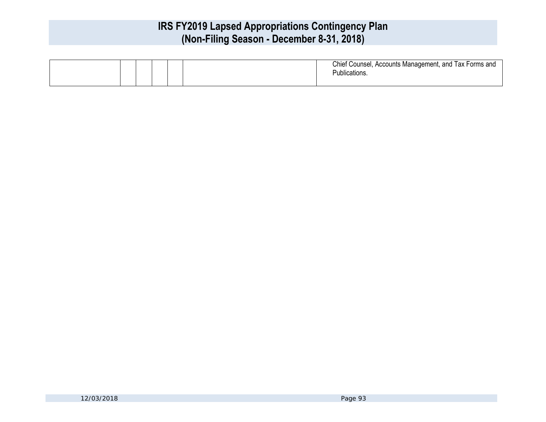|  |  |  | Chief Counsel, Accounts Management, and Tax Forms and<br>Publications. |
|--|--|--|------------------------------------------------------------------------|
|  |  |  |                                                                        |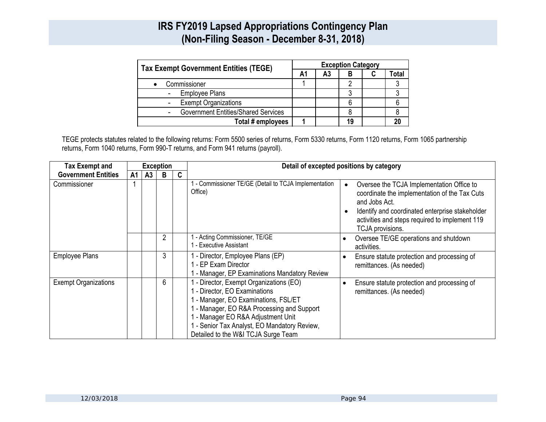| <b>Tax Exempt Government Entities (TEGE)</b> | <b>Exception Category</b> |    |    |  |       |  |  |  |
|----------------------------------------------|---------------------------|----|----|--|-------|--|--|--|
|                                              | A1                        | А3 | В  |  | Total |  |  |  |
| Commissioner                                 |                           |    |    |  |       |  |  |  |
| <b>Employee Plans</b>                        |                           |    |    |  |       |  |  |  |
| <b>Exempt Organizations</b>                  |                           |    | 6  |  |       |  |  |  |
| <b>Government Entities/Shared Services</b>   |                           |    |    |  |       |  |  |  |
| Total # employees                            |                           |    | 19 |  |       |  |  |  |

TEGE protects statutes related to the following returns: Form 5500 series of returns, Form 5330 returns, Form 1120 returns, Form 1065 partnership returns, Form 1040 returns, Form 990-T returns, and Form 941 returns (payroll).

| <b>Tax Exempt and</b>       |                |    | <b>Exception</b> |   | Detail of excepted positions by category                                                                                                                                                                                                                                                    |           |                                                                                                                                                                                                                                      |  |  |  |  |
|-----------------------------|----------------|----|------------------|---|---------------------------------------------------------------------------------------------------------------------------------------------------------------------------------------------------------------------------------------------------------------------------------------------|-----------|--------------------------------------------------------------------------------------------------------------------------------------------------------------------------------------------------------------------------------------|--|--|--|--|
| <b>Government Entities</b>  | A <sub>1</sub> | A3 | B                | C |                                                                                                                                                                                                                                                                                             |           |                                                                                                                                                                                                                                      |  |  |  |  |
| Commissioner                |                |    |                  |   | 1 - Commissioner TE/GE (Detail to TCJA Implementation<br>Office)                                                                                                                                                                                                                            |           | Oversee the TCJA Implementation Office to<br>coordinate the implementation of the Tax Cuts<br>and Jobs Act.<br>Identify and coordinated enterprise stakeholder<br>activities and steps required to implement 119<br>TCJA provisions. |  |  |  |  |
|                             |                |    | $\overline{2}$   |   | 1 - Acting Commissioner, TE/GE<br>1 - Executive Assistant                                                                                                                                                                                                                                   | $\bullet$ | Oversee TE/GE operations and shutdown<br>activities.                                                                                                                                                                                 |  |  |  |  |
| <b>Employee Plans</b>       |                |    | 3                |   | 1 - Director, Employee Plans (EP)<br>1 - EP Exam Director<br>1 - Manager, EP Examinations Mandatory Review                                                                                                                                                                                  | $\bullet$ | Ensure statute protection and processing of<br>remittances. (As needed)                                                                                                                                                              |  |  |  |  |
| <b>Exempt Organizations</b> |                |    | 6                |   | 1 - Director, Exempt Organizations (EO)<br>1 - Director, EO Examinations<br>1 - Manager, EO Examinations, FSL/ET<br>1 - Manager, EO R&A Processing and Support<br>1 - Manager EO R&A Adjustment Unit<br>1 - Senior Tax Analyst, EO Mandatory Review,<br>Detailed to the W&I TCJA Surge Team |           | Ensure statute protection and processing of<br>remittances. (As needed)                                                                                                                                                              |  |  |  |  |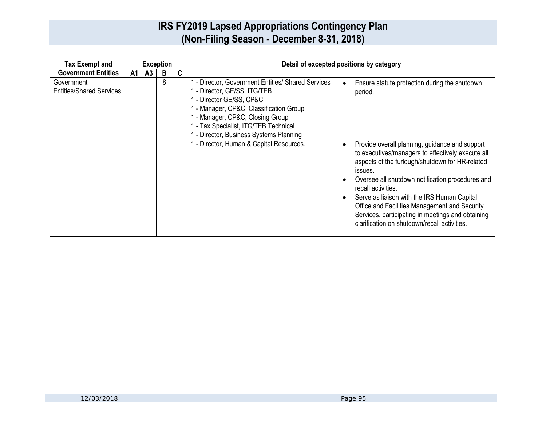| <b>Tax Exempt and</b>                         |    |                | <b>Exception</b> |              | Detail of excepted positions by category                                                                                                                                                                                                                            |                                                                                                                                                                                                                                                                                                                                                                                                                                                                            |  |  |  |  |  |  |  |
|-----------------------------------------------|----|----------------|------------------|--------------|---------------------------------------------------------------------------------------------------------------------------------------------------------------------------------------------------------------------------------------------------------------------|----------------------------------------------------------------------------------------------------------------------------------------------------------------------------------------------------------------------------------------------------------------------------------------------------------------------------------------------------------------------------------------------------------------------------------------------------------------------------|--|--|--|--|--|--|--|
| <b>Government Entities</b>                    | A1 | A <sub>3</sub> | B                | $\mathsf{C}$ |                                                                                                                                                                                                                                                                     |                                                                                                                                                                                                                                                                                                                                                                                                                                                                            |  |  |  |  |  |  |  |
| Government<br><b>Entities/Shared Services</b> |    |                | 8                |              | - Director, Government Entities/ Shared Services<br>- Director, GE/SS, ITG/TEB<br>- Director GE/SS, CP&C<br>- Manager, CP&C, Classification Group<br>- Manager, CP&C, Closing Group<br>- Tax Specialist, ITG/TEB Technical<br>- Director, Business Systems Planning | Ensure statute protection during the shutdown<br>$\bullet$<br>period.                                                                                                                                                                                                                                                                                                                                                                                                      |  |  |  |  |  |  |  |
|                                               |    |                |                  |              | I - Director, Human & Capital Resources.                                                                                                                                                                                                                            | Provide overall planning, guidance and support<br>$\bullet$<br>to executives/managers to effectively execute all<br>aspects of the furlough/shutdown for HR-related<br>issues.<br>Oversee all shutdown notification procedures and<br>recall activities.<br>Serve as liaison with the IRS Human Capital<br>$\bullet$<br>Office and Facilities Management and Security<br>Services, participating in meetings and obtaining<br>clarification on shutdown/recall activities. |  |  |  |  |  |  |  |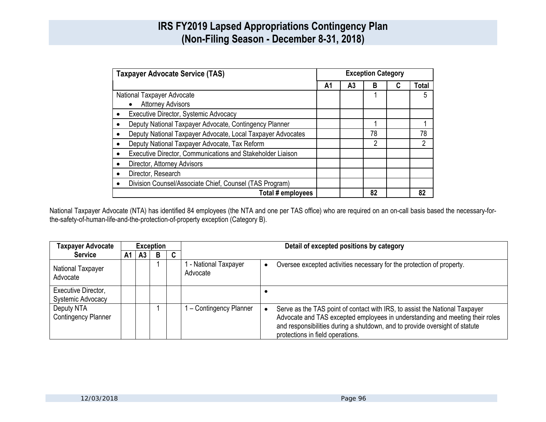| <b>Taxpayer Advocate Service (TAS)</b>                      |    |    | <b>Exception Category</b> |   |       |
|-------------------------------------------------------------|----|----|---------------------------|---|-------|
|                                                             | Α1 | A3 | В                         | C | Total |
| National Taxpayer Advocate                                  |    |    |                           |   | 5     |
| <b>Attorney Advisors</b>                                    |    |    |                           |   |       |
| Executive Director, Systemic Advocacy                       |    |    |                           |   |       |
| Deputy National Taxpayer Advocate, Contingency Planner      |    |    |                           |   |       |
| Deputy National Taxpayer Advocate, Local Taxpayer Advocates |    |    | 78                        |   | 78    |
| Deputy National Taxpayer Advocate, Tax Reform               |    |    | 2                         |   | 2     |
| Executive Director, Communications and Stakeholder Liaison  |    |    |                           |   |       |
| Director, Attorney Advisors                                 |    |    |                           |   |       |
| Director, Research                                          |    |    |                           |   |       |
| Division Counsel/Associate Chief, Counsel (TAS Program)     |    |    |                           |   |       |
| Total # employees                                           |    |    | 82                        |   | 82    |

National Taxpayer Advocate (NTA) has identified 84 employees (the NTA and one per TAS office) who are required on an on-call basis based the necessary-forthe-safety-of-human-life-and-the-protection-of-property exception (Category B).

| <b>Taxpayer Advocate</b>                        |    | <b>Exception</b> |   |              | Detail of excepted positions by category |  |                                                                                                                                                                                                                                                                                |  |  |
|-------------------------------------------------|----|------------------|---|--------------|------------------------------------------|--|--------------------------------------------------------------------------------------------------------------------------------------------------------------------------------------------------------------------------------------------------------------------------------|--|--|
| <b>Service</b>                                  | A1 | A <sub>3</sub>   | B | $\mathbf{C}$ |                                          |  |                                                                                                                                                                                                                                                                                |  |  |
| National Taxpayer<br>Advocate                   |    |                  |   |              | - National Taxpayer<br>Advocate          |  | Oversee excepted activities necessary for the protection of property.                                                                                                                                                                                                          |  |  |
| Executive Director,<br><b>Systemic Advocacy</b> |    |                  |   |              |                                          |  |                                                                                                                                                                                                                                                                                |  |  |
| Deputy NTA<br><b>Contingency Planner</b>        |    |                  |   |              | - Contingency Planner                    |  | Serve as the TAS point of contact with IRS, to assist the National Taxpayer<br>Advocate and TAS excepted employees in understanding and meeting their roles<br>and responsibilities during a shutdown, and to provide oversight of statute<br>protections in field operations. |  |  |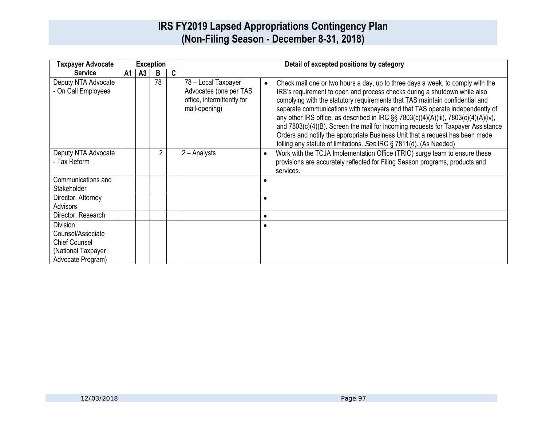| <b>Taxpayer Advocate</b>                                                                                |           |                | <b>Exception</b> |   | Detail of excepted positions by category                                                     |           |                                                                                                                                                                                                                                                                                                                                                                                                                                                                                                                                                                                                                                                              |  |  |  |
|---------------------------------------------------------------------------------------------------------|-----------|----------------|------------------|---|----------------------------------------------------------------------------------------------|-----------|--------------------------------------------------------------------------------------------------------------------------------------------------------------------------------------------------------------------------------------------------------------------------------------------------------------------------------------------------------------------------------------------------------------------------------------------------------------------------------------------------------------------------------------------------------------------------------------------------------------------------------------------------------------|--|--|--|
| <b>Service</b>                                                                                          | <b>A1</b> | A <sub>3</sub> | B                | C |                                                                                              |           |                                                                                                                                                                                                                                                                                                                                                                                                                                                                                                                                                                                                                                                              |  |  |  |
| Deputy NTA Advocate<br>- On Call Employees                                                              |           |                | 78               |   | 78 - Local Taxpayer<br>Advocates (one per TAS<br>office, intermittently for<br>mail-opening) | $\bullet$ | Check mail one or two hours a day, up to three days a week, to comply with the<br>IRS's requirement to open and process checks during a shutdown while also<br>complying with the statutory requirements that TAS maintain confidential and<br>separate communications with taxpayers and that TAS operate independently of<br>any other IRS office, as described in IRC §§ 7803(c)(4)(A)(iii), 7803(c)(4)(A)(iv),<br>and 7803(c)(4)(B). Screen the mail for incoming requests for Taxpayer Assistance<br>Orders and notify the appropriate Business Unit that a request has been made<br>tolling any statute of limitations. See IRC § 7811(d). (As Needed) |  |  |  |
| Deputy NTA Advocate<br>- Tax Reform                                                                     |           |                | $\overline{2}$   |   | $ 2 -$ Analysts                                                                              | $\bullet$ | Work with the TCJA Implementation Office (TRIO) surge team to ensure these<br>provisions are accurately reflected for Filing Season programs, products and<br>services.                                                                                                                                                                                                                                                                                                                                                                                                                                                                                      |  |  |  |
| Communications and<br>Stakeholder                                                                       |           |                |                  |   |                                                                                              |           |                                                                                                                                                                                                                                                                                                                                                                                                                                                                                                                                                                                                                                                              |  |  |  |
| Director, Attorney<br>Advisors                                                                          |           |                |                  |   |                                                                                              |           |                                                                                                                                                                                                                                                                                                                                                                                                                                                                                                                                                                                                                                                              |  |  |  |
| Director, Research                                                                                      |           |                |                  |   |                                                                                              |           |                                                                                                                                                                                                                                                                                                                                                                                                                                                                                                                                                                                                                                                              |  |  |  |
| <b>Division</b><br>Counsel/Associate<br><b>Chief Counsel</b><br>(National Taxpayer<br>Advocate Program) |           |                |                  |   |                                                                                              |           |                                                                                                                                                                                                                                                                                                                                                                                                                                                                                                                                                                                                                                                              |  |  |  |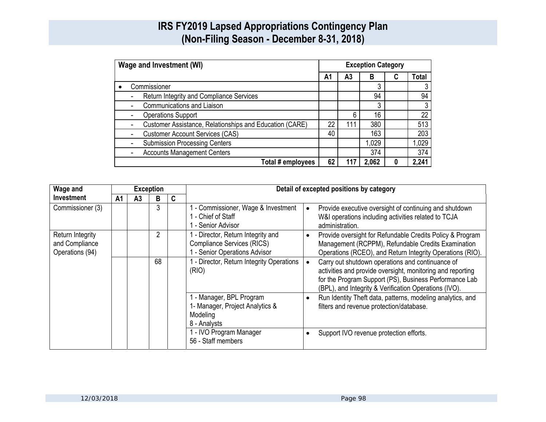| Wage and Investment (WI)                                | <b>Exception Category</b> |                |       |   |              |  |  |  |
|---------------------------------------------------------|---------------------------|----------------|-------|---|--------------|--|--|--|
|                                                         | A1                        | A <sub>3</sub> | В     | C | <b>Total</b> |  |  |  |
| Commissioner                                            |                           |                | 3     |   | 3            |  |  |  |
| Return Integrity and Compliance Services                |                           |                | 94    |   | 94           |  |  |  |
| Communications and Liaison                              |                           |                | 3     |   | 3            |  |  |  |
| <b>Operations Support</b><br>-                          |                           | 6              | 16    |   | 22           |  |  |  |
| Customer Assistance, Relationships and Education (CARE) | 22                        | 111            | 380   |   | 513          |  |  |  |
| <b>Customer Account Services (CAS)</b>                  | 40                        |                | 163   |   | 203          |  |  |  |
| <b>Submission Processing Centers</b>                    |                           |                | 1,029 |   | 1,029        |  |  |  |
| <b>Accounts Management Centers</b><br>-                 |                           |                | 374   |   | 374          |  |  |  |
| Total # employees                                       | 62                        | 117            | 2,062 | 0 | 2,241        |  |  |  |

| Wage and                                              |    |                | <b>Exception</b> |   | Detail of excepted positions by category                                                             |           |                                                                                                                                                                                                                                   |  |  |  |  |  |
|-------------------------------------------------------|----|----------------|------------------|---|------------------------------------------------------------------------------------------------------|-----------|-----------------------------------------------------------------------------------------------------------------------------------------------------------------------------------------------------------------------------------|--|--|--|--|--|
| Investment                                            | A1 | A <sub>3</sub> | B                | C |                                                                                                      |           |                                                                                                                                                                                                                                   |  |  |  |  |  |
| Commissioner (3)                                      |    |                | 3                |   | - Commissioner, Wage & Investment<br>- Chief of Staff<br>- Senior Advisor                            | $\bullet$ | Provide executive oversight of continuing and shutdown<br>W&I operations including activities related to TCJA<br>administration.                                                                                                  |  |  |  |  |  |
| Return Integrity<br>and Compliance<br>Operations (94) |    |                | 2                |   | - Director, Return Integrity and<br><b>Compliance Services (RICS)</b><br>- Senior Operations Advisor | $\bullet$ | Provide oversight for Refundable Credits Policy & Program<br>Management (RCPPM), Refundable Credits Examination<br>Operations (RCEO), and Return Integrity Operations (RIO).                                                      |  |  |  |  |  |
|                                                       |    |                | 68               |   | - Director, Return Integrity Operations<br>(RIO)                                                     |           | Carry out shutdown operations and continuance of<br>activities and provide oversight, monitoring and reporting<br>for the Program Support (PS), Business Performance Lab<br>(BPL), and Integrity & Verification Operations (IVO). |  |  |  |  |  |
|                                                       |    |                |                  |   | 1 - Manager, BPL Program<br>1- Manager, Project Analytics &<br>Modeling<br>8 - Analysts              | $\bullet$ | Run Identity Theft data, patterns, modeling analytics, and<br>filters and revenue protection/database.                                                                                                                            |  |  |  |  |  |
|                                                       |    |                |                  |   | 1 - IVO Program Manager<br>56 - Staff members                                                        |           | Support IVO revenue protection efforts.                                                                                                                                                                                           |  |  |  |  |  |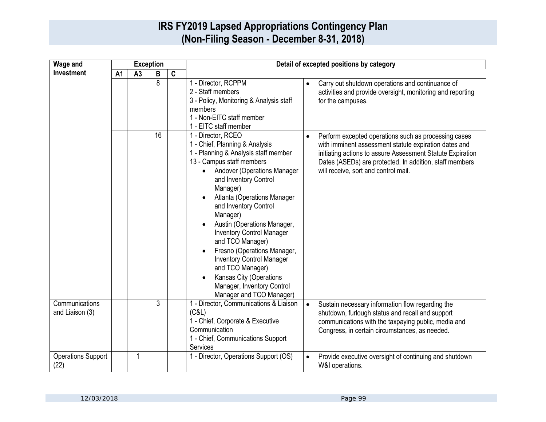| <b>Wage and</b>                   |           |                | <b>Exception</b> |   | Detail of excepted positions by category                                                                                                                                                                                                                                                                                                                                                                                                                                                                                                    |                                                                                                                                                                                                                                                                                             |  |  |  |
|-----------------------------------|-----------|----------------|------------------|---|---------------------------------------------------------------------------------------------------------------------------------------------------------------------------------------------------------------------------------------------------------------------------------------------------------------------------------------------------------------------------------------------------------------------------------------------------------------------------------------------------------------------------------------------|---------------------------------------------------------------------------------------------------------------------------------------------------------------------------------------------------------------------------------------------------------------------------------------------|--|--|--|
| Investment                        | <b>A1</b> | A <sub>3</sub> | B                | C |                                                                                                                                                                                                                                                                                                                                                                                                                                                                                                                                             |                                                                                                                                                                                                                                                                                             |  |  |  |
|                                   |           |                | 8                |   | 1 - Director, RCPPM<br>2 - Staff members<br>3 - Policy, Monitoring & Analysis staff<br>members<br>1 - Non-EITC staff member<br>1 - EITC staff member                                                                                                                                                                                                                                                                                                                                                                                        | Carry out shutdown operations and continuance of<br>$\bullet$<br>activities and provide oversight, monitoring and reporting<br>for the campuses.                                                                                                                                            |  |  |  |
|                                   |           |                | 16               |   | 1 - Director, RCEO<br>1 - Chief, Planning & Analysis<br>1 - Planning & Analysis staff member<br>13 - Campus staff members<br><b>Andover (Operations Manager</b><br>and Inventory Control<br>Manager)<br>Atlanta (Operations Manager<br>and Inventory Control<br>Manager)<br>Austin (Operations Manager,<br><b>Inventory Control Manager</b><br>and TCO Manager)<br>Fresno (Operations Manager,<br><b>Inventory Control Manager</b><br>and TCO Manager)<br>Kansas City (Operations<br>Manager, Inventory Control<br>Manager and TCO Manager) | Perform excepted operations such as processing cases<br>$\bullet$<br>with imminent assessment statute expiration dates and<br>initiating actions to assure Assessment Statute Expiration<br>Dates (ASEDs) are protected. In addition, staff members<br>will receive, sort and control mail. |  |  |  |
| Communications<br>and Liaison (3) |           |                | 3                |   | 1 - Director, Communications & Liaison<br>(C&L)<br>1 - Chief, Corporate & Executive<br>Communication<br>1 - Chief, Communications Support<br>Services                                                                                                                                                                                                                                                                                                                                                                                       | Sustain necessary information flow regarding the<br>$\bullet$<br>shutdown, furlough status and recall and support<br>communications with the taxpaying public, media and<br>Congress, in certain circumstances, as needed.                                                                  |  |  |  |
| <b>Operations Support</b><br>(22) |           | 1              |                  |   | 1 - Director, Operations Support (OS)                                                                                                                                                                                                                                                                                                                                                                                                                                                                                                       | Provide executive oversight of continuing and shutdown<br>$\bullet$<br>W&I operations.                                                                                                                                                                                                      |  |  |  |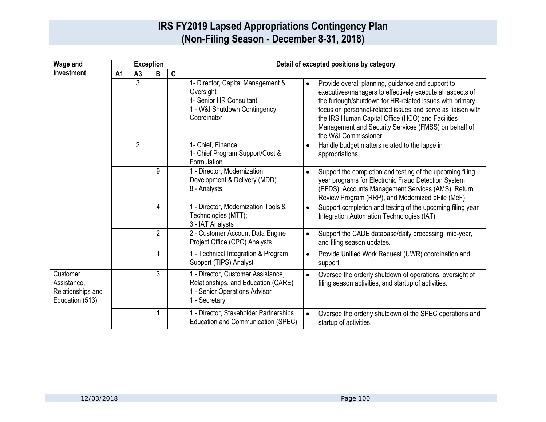| Wage and                                                        |                |                | <b>Exception</b> |             | Detail of excepted positions by category                                                                                    |                                                                                                                                                                                                                                                                                                                                                                                              |  |  |  |  |  |
|-----------------------------------------------------------------|----------------|----------------|------------------|-------------|-----------------------------------------------------------------------------------------------------------------------------|----------------------------------------------------------------------------------------------------------------------------------------------------------------------------------------------------------------------------------------------------------------------------------------------------------------------------------------------------------------------------------------------|--|--|--|--|--|
| <b>Investment</b>                                               | A <sub>1</sub> | A <sub>3</sub> | B                | $\mathbf c$ |                                                                                                                             |                                                                                                                                                                                                                                                                                                                                                                                              |  |  |  |  |  |
|                                                                 |                | 3              |                  |             | 1- Director, Capital Management &<br>Oversight<br>1- Senior HR Consultant<br>1 - W&I Shutdown Contingency<br>Coordinator    | Provide overall planning, guidance and support to<br>$\bullet$<br>executives/managers to effectively execute all aspects of<br>the furlough/shutdown for HR-related issues with primary<br>focus on personnel-related issues and serve as liaison with<br>the IRS Human Capital Office (HCO) and Facilities<br>Management and Security Services (FMSS) on behalf of<br>the W&I Commissioner. |  |  |  |  |  |
|                                                                 |                | $\overline{2}$ |                  |             | 1- Chief, Finance<br>1- Chief Program Support/Cost &<br>Formulation                                                         | Handle budget matters related to the lapse in<br>$\bullet$<br>appropriations.                                                                                                                                                                                                                                                                                                                |  |  |  |  |  |
|                                                                 |                |                | 9                |             | 1 - Director, Modernization<br>Development & Delivery (MDD)<br>8 - Analysts                                                 | Support the completion and testing of the upcoming filing<br>year programs for Electronic Fraud Detection System<br>(EFDS), Accounts Management Services (AMS), Return<br>Review Program (RRP), and Modernized eFile (MeF).                                                                                                                                                                  |  |  |  |  |  |
|                                                                 |                |                | 4                |             | 1 - Director, Modernization Tools &<br>Technologies (MTT);<br>3 - IAT Analysts                                              | Support completion and testing of the upcoming filing year<br>$\bullet$<br>Integration Automation Technologies (IAT).                                                                                                                                                                                                                                                                        |  |  |  |  |  |
|                                                                 |                |                | $\overline{2}$   |             | 2 - Customer Account Data Engine<br>Project Office (CPO) Analysts                                                           | Support the CADE database/daily processing, mid-year,<br>$\bullet$<br>and filing season updates.                                                                                                                                                                                                                                                                                             |  |  |  |  |  |
|                                                                 |                |                | 1                |             | 1 - Technical Integration & Program<br>Support (TIPS) Analyst                                                               | Provide Unified Work Request (UWR) coordination and<br>$\bullet$<br>support.                                                                                                                                                                                                                                                                                                                 |  |  |  |  |  |
| Customer<br>Assistance,<br>Relationships and<br>Education (513) |                |                | 3                |             | 1 - Director, Customer Assistance,<br>Relationships, and Education (CARE)<br>1 - Senior Operations Advisor<br>1 - Secretary | Oversee the orderly shutdown of operations, oversight of<br>filing season activities, and startup of activities.                                                                                                                                                                                                                                                                             |  |  |  |  |  |
|                                                                 |                |                | 1                |             | 1 - Director, Stakeholder Partnerships<br>Education and Communication (SPEC)                                                | Oversee the orderly shutdown of the SPEC operations and<br>$\bullet$<br>startup of activities.                                                                                                                                                                                                                                                                                               |  |  |  |  |  |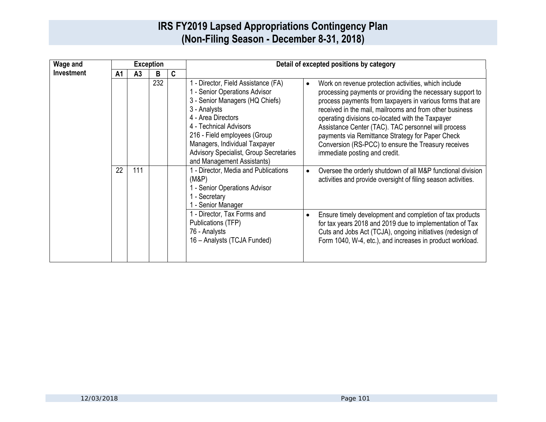| <b>Wage and</b>   |    |                | <b>Exception</b> |   |                                                                                                                                                                                                                                                                                                                         | Detail of excepted positions by category                                                                                                                                                                                                                                                                                                                                                                                                                                                                      |
|-------------------|----|----------------|------------------|---|-------------------------------------------------------------------------------------------------------------------------------------------------------------------------------------------------------------------------------------------------------------------------------------------------------------------------|---------------------------------------------------------------------------------------------------------------------------------------------------------------------------------------------------------------------------------------------------------------------------------------------------------------------------------------------------------------------------------------------------------------------------------------------------------------------------------------------------------------|
| <b>Investment</b> | A1 | A <sub>3</sub> | B                | C |                                                                                                                                                                                                                                                                                                                         |                                                                                                                                                                                                                                                                                                                                                                                                                                                                                                               |
|                   |    |                | 232              |   | 1 - Director, Field Assistance (FA)<br>1 - Senior Operations Advisor<br>3 - Senior Managers (HQ Chiefs)<br>3 - Analysts<br>4 - Area Directors<br>4 - Technical Advisors<br>216 - Field employees (Group<br>Managers, Individual Taxpayer<br><b>Advisory Specialist, Group Secretaries</b><br>and Management Assistants) | Work on revenue protection activities, which include<br>$\bullet$<br>processing payments or providing the necessary support to<br>process payments from taxpayers in various forms that are<br>received in the mail, mailrooms and from other business<br>operating divisions co-located with the Taxpayer<br>Assistance Center (TAC). TAC personnel will process<br>payments via Remittance Strategy for Paper Check<br>Conversion (RS-PCC) to ensure the Treasury receives<br>immediate posting and credit. |
|                   | 22 | 111            |                  |   | 1 - Director, Media and Publications<br>(M&P)<br>1 - Senior Operations Advisor<br>1 - Secretary<br>1 - Senior Manager<br>1 - Director, Tax Forms and<br>Publications (TFP)                                                                                                                                              | Oversee the orderly shutdown of all M&P functional division<br>$\bullet$<br>activities and provide oversight of filing season activities.<br>Ensure timely development and completion of tax products<br>for tax years 2018 and 2019 due to implementation of Tax                                                                                                                                                                                                                                             |
|                   |    |                |                  |   | 76 - Analysts<br>16 - Analysts (TCJA Funded)                                                                                                                                                                                                                                                                            | Cuts and Jobs Act (TCJA), ongoing initiatives (redesign of<br>Form 1040, W-4, etc.), and increases in product workload.                                                                                                                                                                                                                                                                                                                                                                                       |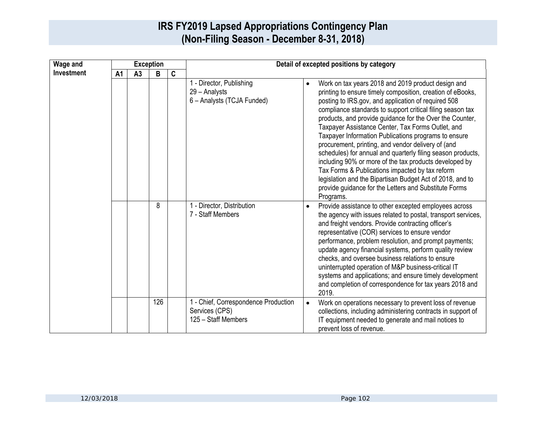| <b>Wage and</b>   |                |                | <b>Exception</b> |             |                                                                               |           | Detail of excepted positions by category                                                                                                                                                                                                                                                                                                                                                                                                                                                                                                                                                                                                                                                                                                                               |
|-------------------|----------------|----------------|------------------|-------------|-------------------------------------------------------------------------------|-----------|------------------------------------------------------------------------------------------------------------------------------------------------------------------------------------------------------------------------------------------------------------------------------------------------------------------------------------------------------------------------------------------------------------------------------------------------------------------------------------------------------------------------------------------------------------------------------------------------------------------------------------------------------------------------------------------------------------------------------------------------------------------------|
| <b>Investment</b> | A <sub>1</sub> | A <sub>3</sub> | B                | $\mathbf C$ |                                                                               |           |                                                                                                                                                                                                                                                                                                                                                                                                                                                                                                                                                                                                                                                                                                                                                                        |
|                   |                |                |                  |             | 1 - Director, Publishing<br>29 - Analysts<br>6 - Analysts (TCJA Funded)       | Programs. | Work on tax years 2018 and 2019 product design and<br>printing to ensure timely composition, creation of eBooks,<br>posting to IRS.gov, and application of required 508<br>compliance standards to support critical filing season tax<br>products, and provide guidance for the Over the Counter,<br>Taxpayer Assistance Center, Tax Forms Outlet, and<br>Taxpayer Information Publications programs to ensure<br>procurement, printing, and vendor delivery of (and<br>schedules) for annual and quarterly filing season products,<br>including 90% or more of the tax products developed by<br>Tax Forms & Publications impacted by tax reform<br>legislation and the Bipartisan Budget Act of 2018, and to<br>provide guidance for the Letters and Substitute Forms |
|                   |                |                | 8                |             | - Director, Distribution<br>7 - Staff Members                                 | 2019.     | Provide assistance to other excepted employees across<br>the agency with issues related to postal, transport services,<br>and freight vendors. Provide contracting officer's<br>representative (COR) services to ensure vendor<br>performance, problem resolution, and prompt payments;<br>update agency financial systems, perform quality review<br>checks, and oversee business relations to ensure<br>uninterrupted operation of M&P business-critical IT<br>systems and applications; and ensure timely development<br>and completion of correspondence for tax years 2018 and                                                                                                                                                                                    |
|                   |                |                | 126              |             | 1 - Chief, Correspondence Production<br>Services (CPS)<br>125 - Staff Members | $\bullet$ | Work on operations necessary to prevent loss of revenue<br>collections, including administering contracts in support of<br>IT equipment needed to generate and mail notices to<br>prevent loss of revenue.                                                                                                                                                                                                                                                                                                                                                                                                                                                                                                                                                             |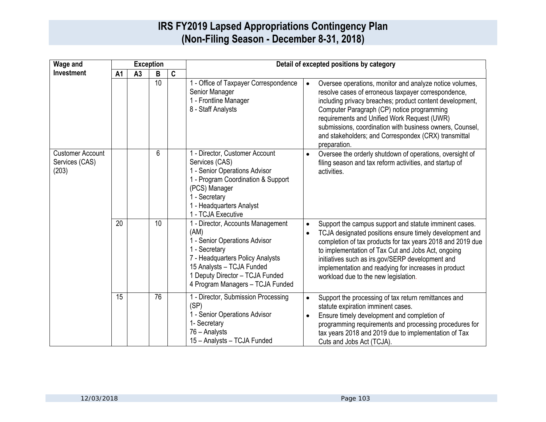| <b>Wage and</b>                                    |                |                | <b>Exception</b> |   | Detail of excepted positions by category                                                                                                                                                                                            |                        |                                                                                                                                                                                                                                                                                                                                                                                                             |  |  |  |  |
|----------------------------------------------------|----------------|----------------|------------------|---|-------------------------------------------------------------------------------------------------------------------------------------------------------------------------------------------------------------------------------------|------------------------|-------------------------------------------------------------------------------------------------------------------------------------------------------------------------------------------------------------------------------------------------------------------------------------------------------------------------------------------------------------------------------------------------------------|--|--|--|--|
| <b>Investment</b>                                  | A <sub>1</sub> | A <sub>3</sub> | B                | C |                                                                                                                                                                                                                                     |                        |                                                                                                                                                                                                                                                                                                                                                                                                             |  |  |  |  |
|                                                    |                |                | 10               |   | 1 - Office of Taxpayer Correspondence<br>Senior Manager<br>1 - Frontline Manager<br>8 - Staff Analysts                                                                                                                              | $\bullet$              | Oversee operations, monitor and analyze notice volumes,<br>resolve cases of erroneous taxpayer correspondence,<br>including privacy breaches; product content development,<br>Computer Paragraph (CP) notice programming<br>requirements and Unified Work Request (UWR)<br>submissions, coordination with business owners, Counsel,<br>and stakeholders; and Correspondex (CRX) transmittal<br>preparation. |  |  |  |  |
| <b>Customer Account</b><br>Services (CAS)<br>(203) |                |                | 6                |   | 1 - Director, Customer Account<br>Services (CAS)<br>1 - Senior Operations Advisor<br>1 - Program Coordination & Support<br>(PCS) Manager<br>1 - Secretary<br>1 - Headquarters Analyst<br>1 - TCJA Executive                         | $\bullet$              | Oversee the orderly shutdown of operations, oversight of<br>filing season and tax reform activities, and startup of<br>activities.                                                                                                                                                                                                                                                                          |  |  |  |  |
|                                                    | 20             |                | 10               |   | 1 - Director, Accounts Management<br>(AM)<br>1 - Senior Operations Advisor<br>1 - Secretary<br>7 - Headquarters Policy Analysts<br>15 Analysts - TCJA Funded<br>1 Deputy Director - TCJA Funded<br>4 Program Managers - TCJA Funded | $\bullet$<br>$\bullet$ | Support the campus support and statute imminent cases.<br>TCJA designated positions ensure timely development and<br>completion of tax products for tax years 2018 and 2019 due<br>to implementation of Tax Cut and Jobs Act, ongoing<br>initiatives such as irs.gov/SERP development and<br>implementation and readying for increases in product<br>workload due to the new legislation.                   |  |  |  |  |
|                                                    | 15             |                | 76               |   | 1 - Director, Submission Processing<br>(SP)<br>1 - Senior Operations Advisor<br>1- Secretary<br>76 - Analysts<br>15 - Analysts - TCJA Funded                                                                                        | $\bullet$<br>$\bullet$ | Support the processing of tax return remittances and<br>statute expiration imminent cases.<br>Ensure timely development and completion of<br>programming requirements and processing procedures for<br>tax years 2018 and 2019 due to implementation of Tax<br>Cuts and Jobs Act (TCJA).                                                                                                                    |  |  |  |  |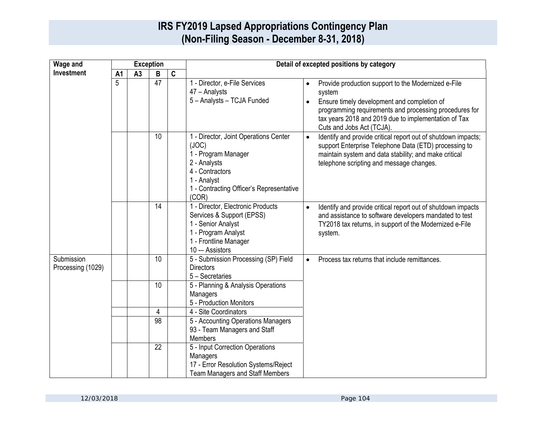| Wage and                        |    | <b>Exception</b> |    |             | Detail of excepted positions by category                                                                                                                                     |                                                                                                                                                                                                                                                                          |  |  |  |  |
|---------------------------------|----|------------------|----|-------------|------------------------------------------------------------------------------------------------------------------------------------------------------------------------------|--------------------------------------------------------------------------------------------------------------------------------------------------------------------------------------------------------------------------------------------------------------------------|--|--|--|--|
| <b>Investment</b>               | A1 | A3               | B  | $\mathbf c$ |                                                                                                                                                                              |                                                                                                                                                                                                                                                                          |  |  |  |  |
|                                 | 5  |                  | 47 |             | 1 - Director, e-File Services<br>47 - Analysts<br>5 - Analysts - TCJA Funded                                                                                                 | Provide production support to the Modernized e-File<br>$\bullet$<br>system<br>Ensure timely development and completion of<br>programming requirements and processing procedures for<br>tax years 2018 and 2019 due to implementation of Tax<br>Cuts and Jobs Act (TCJA). |  |  |  |  |
|                                 |    |                  | 10 |             | 1 - Director, Joint Operations Center<br>(JOC)<br>1 - Program Manager<br>2 - Analysts<br>4 - Contractors<br>1 - Analyst<br>1 - Contracting Officer's Representative<br>(COR) | Identify and provide critical report out of shutdown impacts;<br>$\bullet$<br>support Enterprise Telephone Data (ETD) processing to<br>maintain system and data stability; and make critical<br>telephone scripting and message changes.                                 |  |  |  |  |
|                                 |    |                  | 14 |             | 1 - Director, Electronic Products<br>Services & Support (EPSS)<br>1 - Senior Analyst<br>1 - Program Analyst<br>1 - Frontline Manager<br>10 -- Assistors                      | Identify and provide critical report out of shutdown impacts<br>$\bullet$<br>and assistance to software developers mandated to test<br>TY2018 tax returns, in support of the Modernized e-File<br>system.                                                                |  |  |  |  |
| Submission<br>Processing (1029) |    |                  | 10 |             | 5 - Submission Processing (SP) Field<br><b>Directors</b><br>5 - Secretaries                                                                                                  | Process tax returns that include remittances.<br>$\bullet$                                                                                                                                                                                                               |  |  |  |  |
|                                 |    |                  | 10 |             | 5 - Planning & Analysis Operations<br>Managers<br>5 - Production Monitors                                                                                                    |                                                                                                                                                                                                                                                                          |  |  |  |  |
|                                 |    |                  | 4  |             | 4 - Site Coordinators                                                                                                                                                        |                                                                                                                                                                                                                                                                          |  |  |  |  |
|                                 |    |                  | 98 |             | 5 - Accounting Operations Managers<br>93 - Team Managers and Staff<br><b>Members</b>                                                                                         |                                                                                                                                                                                                                                                                          |  |  |  |  |
|                                 |    |                  | 22 |             | 5 - Input Correction Operations<br>Managers<br>17 - Error Resolution Systems/Reject<br><b>Team Managers and Staff Members</b>                                                |                                                                                                                                                                                                                                                                          |  |  |  |  |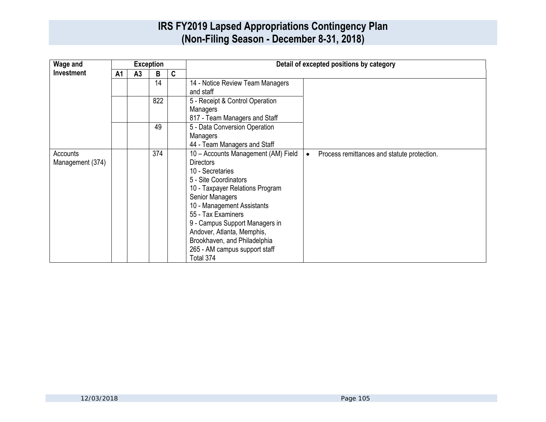| <b>Wage and</b>   |    |                | <b>Exception</b> |   | Detail of excepted positions by category |                                                          |  |  |  |  |
|-------------------|----|----------------|------------------|---|------------------------------------------|----------------------------------------------------------|--|--|--|--|
| <b>Investment</b> | A1 | A <sub>3</sub> | B                | C |                                          |                                                          |  |  |  |  |
|                   |    |                | 14               |   | 14 - Notice Review Team Managers         |                                                          |  |  |  |  |
|                   |    |                |                  |   | and staff                                |                                                          |  |  |  |  |
|                   |    |                | 822              |   | 5 - Receipt & Control Operation          |                                                          |  |  |  |  |
|                   |    |                |                  |   | Managers                                 |                                                          |  |  |  |  |
|                   |    |                |                  |   | 817 - Team Managers and Staff            |                                                          |  |  |  |  |
|                   |    |                | 49               |   | 5 - Data Conversion Operation            |                                                          |  |  |  |  |
|                   |    |                |                  |   | Managers                                 |                                                          |  |  |  |  |
|                   |    |                |                  |   | 44 - Team Managers and Staff             |                                                          |  |  |  |  |
| Accounts          |    |                | 374              |   | 10 - Accounts Management (AM) Field      | Process remittances and statute protection.<br>$\bullet$ |  |  |  |  |
| Management (374)  |    |                |                  |   | <b>Directors</b>                         |                                                          |  |  |  |  |
|                   |    |                |                  |   | 10 - Secretaries                         |                                                          |  |  |  |  |
|                   |    |                |                  |   | 5 - Site Coordinators                    |                                                          |  |  |  |  |
|                   |    |                |                  |   | 10 - Taxpayer Relations Program          |                                                          |  |  |  |  |
|                   |    |                |                  |   | Senior Managers                          |                                                          |  |  |  |  |
|                   |    |                |                  |   | 10 - Management Assistants               |                                                          |  |  |  |  |
|                   |    |                |                  |   | 55 - Tax Examiners                       |                                                          |  |  |  |  |
|                   |    |                |                  |   | 9 - Campus Support Managers in           |                                                          |  |  |  |  |
|                   |    |                |                  |   | Andover, Atlanta, Memphis,               |                                                          |  |  |  |  |
|                   |    |                |                  |   | Brookhaven, and Philadelphia             |                                                          |  |  |  |  |
|                   |    |                |                  |   | 265 - AM campus support staff            |                                                          |  |  |  |  |
|                   |    |                |                  |   | Total 374                                |                                                          |  |  |  |  |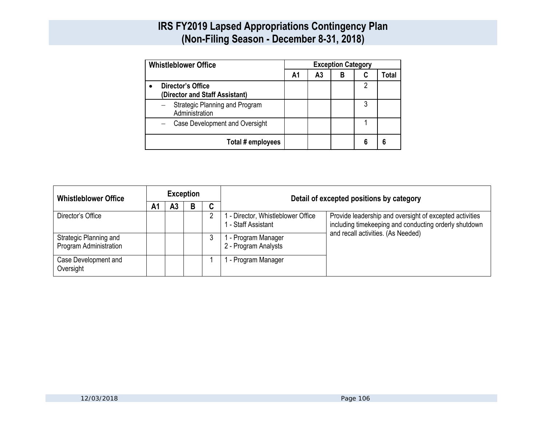| <b>Whistleblower Office</b>                                |    |    | <b>Exception Category</b> |   |       |
|------------------------------------------------------------|----|----|---------------------------|---|-------|
|                                                            | A1 | A3 | B                         | C | Total |
| <b>Director's Office</b><br>(Director and Staff Assistant) |    |    |                           |   |       |
| Strategic Planning and Program<br>Administration           |    |    |                           | 3 |       |
| Case Development and Oversight                             |    |    |                           |   |       |
| Total # employees                                          |    |    |                           | 6 | 6     |

| <b>Whistleblower Office</b>                      |    |                | <b>Exception</b> |   | Detail of excepted positions by category                |                                                                                                                  |  |  |  |  |
|--------------------------------------------------|----|----------------|------------------|---|---------------------------------------------------------|------------------------------------------------------------------------------------------------------------------|--|--|--|--|
|                                                  | A1 | A <sub>3</sub> | В                | u |                                                         |                                                                                                                  |  |  |  |  |
| Director's Office                                |    |                |                  | ŋ | - Director, Whistleblower Office<br>1 - Staff Assistant | Provide leadership and oversight of excepted activities<br>including timekeeping and conducting orderly shutdown |  |  |  |  |
| Strategic Planning and<br>Program Administration |    |                |                  | 3 | 1 - Program Manager<br>2 - Program Analysts             | and recall activities. (As Needed)                                                                               |  |  |  |  |
| Case Development and<br>Oversight                |    |                |                  |   | - Program Manager                                       |                                                                                                                  |  |  |  |  |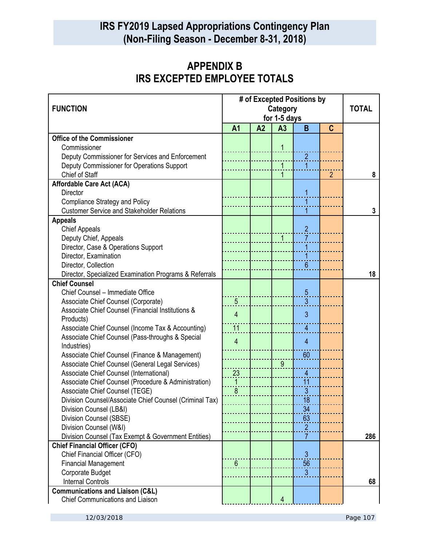#### **APPENDIX B IRS EXCEPTED EMPLOYEE TOTALS**

|                                                                                        |                         |    |                | # of Excepted Positions by |                |              |
|----------------------------------------------------------------------------------------|-------------------------|----|----------------|----------------------------|----------------|--------------|
| <b>FUNCTION</b>                                                                        |                         |    | Category       |                            |                | <b>TOTAL</b> |
|                                                                                        |                         |    | for 1-5 days   |                            |                |              |
|                                                                                        | A <sub>1</sub>          | A2 | A <sub>3</sub> | B                          | $\mathbf C$    |              |
| <b>Office of the Commissioner</b>                                                      |                         |    |                |                            |                |              |
| Commissioner                                                                           |                         |    | $\mathbf{1}$   |                            |                |              |
| Deputy Commissioner for Services and Enforcement                                       |                         |    |                | $\overline{c}$             |                |              |
| Deputy Commissioner for Operations Support                                             |                         |    | 1              | 1                          |                |              |
| Chief of Staff                                                                         |                         |    | $\mathbf 1$    |                            | $\overline{2}$ | 8            |
| <b>Affordable Care Act (ACA)</b>                                                       |                         |    |                |                            |                |              |
| <b>Director</b>                                                                        |                         |    |                |                            |                |              |
| <b>Compliance Strategy and Policy</b>                                                  |                         |    |                | 1                          |                |              |
| <b>Customer Service and Stakeholder Relations</b>                                      |                         |    |                | 1                          |                | 3            |
| <b>Appeals</b>                                                                         |                         |    |                |                            |                |              |
| <b>Chief Appeals</b>                                                                   |                         |    |                | $\overline{c}$             |                |              |
| Deputy Chief, Appeals                                                                  |                         |    | $\overline{1}$ | $\overline{7}$             |                |              |
| Director, Case & Operations Support                                                    |                         |    |                | 1                          |                |              |
| Director, Examination                                                                  |                         |    |                | 1                          |                |              |
| Director, Collection                                                                   |                         |    |                | $6\phantom{1}6$            |                |              |
| Director, Specialized Examination Programs & Referrals                                 |                         |    |                |                            |                | 18           |
| <b>Chief Counsel</b>                                                                   |                         |    |                |                            |                |              |
| Chief Counsel - Immediate Office                                                       |                         |    |                | $\overline{5}$             |                |              |
| Associate Chief Counsel (Corporate)                                                    | $\overline{5}$          |    |                | 3                          |                |              |
| Associate Chief Counsel (Financial Institutions &                                      | 4                       |    |                | 3                          |                |              |
| Products)                                                                              |                         |    |                |                            |                |              |
| Associate Chief Counsel (Income Tax & Accounting)                                      | 11                      |    |                | $\overline{4}$             |                |              |
| Associate Chief Counsel (Pass-throughs & Special                                       | $\overline{4}$          |    |                | $\overline{4}$             |                |              |
| Industries)                                                                            |                         |    |                |                            |                |              |
| Associate Chief Counsel (Finance & Management)                                         |                         |    |                | 60                         |                |              |
| Associate Chief Counsel (General Legal Services)                                       | 23                      |    | $9\,$          |                            |                |              |
| Associate Chief Counsel (International)                                                |                         |    |                | 4<br>11                    |                |              |
| Associate Chief Counsel (Procedure & Administration)<br>Associate Chief Counsel (TEGE) | $\overline{\mathbf{1}}$ |    |                | $\mathfrak{S}$             |                |              |
| Division Counsel/Associate Chief Counsel (Criminal Tax)                                | $\bf 8$                 |    |                | 18                         |                |              |
| Division Counsel (LB&I)                                                                |                         |    |                | 34                         |                |              |
| Division Counsel (SBSE)                                                                |                         |    |                | 63                         |                |              |
| Division Counsel (W&I)                                                                 |                         |    |                | $\overline{c}$             |                |              |
| Division Counsel (Tax Exempt & Government Entities)                                    |                         |    |                | 7                          |                | 286          |
| <b>Chief Financial Officer (CFO)</b>                                                   |                         |    |                |                            |                |              |
| Chief Financial Officer (CFO)                                                          |                         |    |                | $\mathbf{3}$               |                |              |
| <b>Financial Management</b>                                                            | $6\phantom{1}$          |    |                | 56                         |                |              |
| Corporate Budget                                                                       |                         |    |                | 3                          |                |              |
| <b>Internal Controls</b>                                                               |                         |    |                |                            |                | 68           |
| <b>Communications and Liaison (C&amp;L)</b>                                            |                         |    |                |                            |                |              |
| Chief Communications and Liaison                                                       |                         |    | 4              |                            |                |              |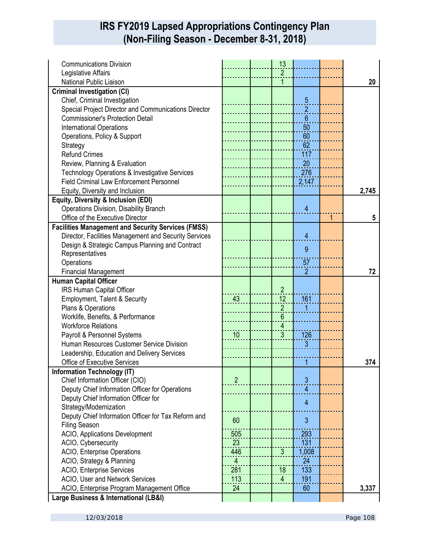| <b>Communications Division</b>                            |                | 13             |                 |                |       |
|-----------------------------------------------------------|----------------|----------------|-----------------|----------------|-------|
| Legislative Affairs                                       |                | $\overline{2}$ |                 |                |       |
| National Public Liaison                                   |                |                |                 |                | 20    |
| <b>Criminal Investigation (CI)</b>                        |                |                |                 |                |       |
| Chief, Criminal Investigation                             |                |                | $\overline{5}$  |                |       |
| Special Project Director and Communications Director      |                |                | $\overline{2}$  |                |       |
| <b>Commissioner's Protection Detail</b>                   |                |                | $6\phantom{1}6$ |                |       |
| <b>International Operations</b>                           |                |                | 50              |                |       |
| Operations, Policy & Support                              |                |                | 60              |                |       |
| Strategy                                                  |                |                | 62              |                |       |
| <b>Refund Crimes</b>                                      |                |                | 117             |                |       |
| Review, Planning & Evaluation                             |                |                | 20              |                |       |
| Technology Operations & Investigative Services            |                |                | 276             |                |       |
| <b>Field Criminal Law Enforcement Personnel</b>           |                |                | 2,147           |                |       |
| Equity, Diversity and Inclusion                           |                |                |                 |                | 2,745 |
| Equity, Diversity & Inclusion (EDI)                       |                |                |                 |                |       |
| Operations Division, Disability Branch                    |                |                | $\overline{4}$  |                |       |
| Office of the Executive Director                          |                |                |                 | $\overline{1}$ | 5     |
| <b>Facilities Management and Security Services (FMSS)</b> |                |                |                 |                |       |
| Director, Facilities Management and Security Services     |                |                | $\overline{4}$  |                |       |
| Design & Strategic Campus Planning and Contract           |                |                |                 |                |       |
| Representatives                                           |                |                | 9               |                |       |
|                                                           |                |                | 57              |                |       |
| Operations                                                |                |                |                 |                |       |
| <b>Financial Management</b>                               |                |                | $\overline{2}$  |                | 72    |
| <b>Human Capital Officer</b>                              |                |                |                 |                |       |
| <b>IRS Human Capital Officer</b>                          |                | $\overline{2}$ |                 |                |       |
| <b>Employment, Talent &amp; Security</b>                  | 43             | 12             | 161             |                |       |
| Plans & Operations                                        |                | $\overline{2}$ | $\mathbf{1}$    |                |       |
| Worklife, Benefits, & Performance                         |                | 6              |                 |                |       |
| <b>Workforce Relations</b>                                |                | 4              |                 |                |       |
| Payroll & Personnel Systems                               | 10             | 3              | 126             |                |       |
| Human Resources Customer Service Division                 |                |                | 3               |                |       |
| Leadership, Education and Delivery Services               |                |                |                 |                |       |
| <b>Office of Executive Services</b>                       |                |                | 1               |                | 374   |
| <b>Information Technology (IT)</b>                        |                |                |                 |                |       |
| Chief Information Officer (CIO)                           | $\overline{2}$ |                | $\sqrt{3}$      |                |       |
| Deputy Chief Information Officer for Operations           |                |                | $\overline{4}$  |                |       |
| Deputy Chief Information Officer for                      |                |                | $\overline{4}$  |                |       |
| Strategy/Modernization                                    |                |                |                 |                |       |
| Deputy Chief Information Officer for Tax Reform and       | 60             |                | 3               |                |       |
| <b>Filing Season</b>                                      |                |                |                 |                |       |
| ACIO, Applications Development                            | 505            |                | 293             |                |       |
| ACIO, Cybersecurity                                       | 23             |                | 131             |                |       |
| ACIO, Enterprise Operations                               | 446            | $\overline{3}$ | 1,008           |                |       |
| ACIO, Strategy & Planning                                 | 4              |                | 24              |                |       |
|                                                           |                |                |                 |                |       |
| ACIO, Enterprise Services                                 | 281            | 18             | 133             |                |       |
| ACIO, User and Network Services                           | 113            | $\overline{4}$ | 191             |                |       |
| ACIO, Enterprise Program Management Office                | 24             |                | 60              |                | 3,337 |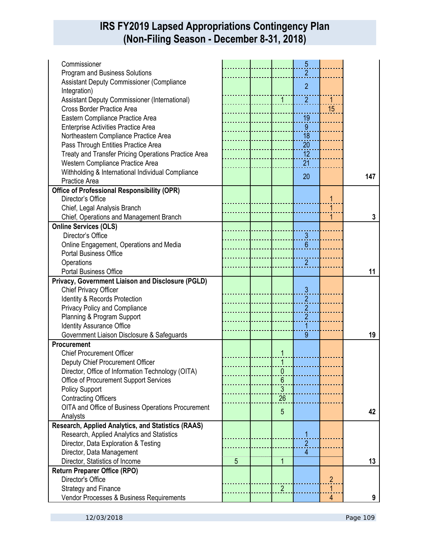## **IRS FY2019 Lapsed Appropriations Contingency Plan (Non-Filing Season - December 8-31, 2018)**

| Commissioner                                                       |   |                | 5              |                |     |
|--------------------------------------------------------------------|---|----------------|----------------|----------------|-----|
| Program and Business Solutions                                     |   |                | $\overline{2}$ |                |     |
| <b>Assistant Deputy Commissioner (Compliance</b><br>Integration)   |   |                | $\overline{2}$ |                |     |
| Assistant Deputy Commissioner (International)                      |   | 1              | $\overline{2}$ | 1              |     |
| Cross Border Practice Area                                         |   |                |                | 15             |     |
| Eastern Compliance Practice Area                                   |   |                | 19             |                |     |
| <b>Enterprise Activities Practice Area</b>                         |   |                | 9              |                |     |
| Northeastern Compliance Practice Area                              |   |                | 18             |                |     |
| Pass Through Entities Practice Area                                |   |                | 20             |                |     |
| Treaty and Transfer Pricing Operations Practice Area               |   |                | 12             |                |     |
| Western Compliance Practice Area                                   |   |                | 21             |                |     |
|                                                                    |   |                |                |                |     |
| Withholding & International Individual Compliance<br>Practice Area |   |                | 20             |                | 147 |
|                                                                    |   |                |                |                |     |
| <b>Office of Professional Responsibility (OPR)</b>                 |   |                |                |                |     |
| Director's Office                                                  |   |                |                |                |     |
| Chief, Legal Analysis Branch                                       |   |                |                | 1              |     |
| Chief, Operations and Management Branch                            |   |                |                |                | 3   |
| <b>Online Services (OLS)</b>                                       |   |                |                |                |     |
| Director's Office                                                  |   |                | 3              |                |     |
| Online Engagement, Operations and Media                            |   |                | 6              |                |     |
| <b>Portal Business Office</b>                                      |   |                |                |                |     |
| Operations                                                         |   |                | $\overline{2}$ |                |     |
| <b>Portal Business Office</b>                                      |   |                |                |                | 11  |
| Privacy, Government Liaison and Disclosure (PGLD)                  |   |                |                |                |     |
| <b>Chief Privacy Officer</b>                                       |   |                | $\overline{3}$ |                |     |
| Identity & Records Protection                                      |   |                | $\overline{2}$ |                |     |
| <b>Privacy Policy and Compliance</b>                               |   |                | $\overline{c}$ |                |     |
| Planning & Program Support                                         |   |                | $\overline{c}$ |                |     |
| <b>Identity Assurance Office</b>                                   |   |                | 1              |                |     |
| Government Liaison Disclosure & Safeguards                         |   |                | 9              |                | 19  |
| Procurement                                                        |   |                |                |                |     |
| <b>Chief Procurement Officer</b>                                   |   | 1              |                |                |     |
| Deputy Chief Procurement Officer                                   |   | 1              |                |                |     |
| Director, Office of Information Technology (OITA)                  |   | $\mathbf{0}$   |                |                |     |
| Office of Procurement Support Services                             |   | $\overline{6}$ |                |                |     |
| <b>Policy Support</b>                                              |   | $\overline{3}$ |                |                |     |
| <b>Contracting Officers</b>                                        |   | 26             |                |                |     |
| OITA and Office of Business Operations Procurement                 |   |                |                |                |     |
| Analysts                                                           |   | 5              |                |                | 42  |
| <b>Research, Applied Analytics, and Statistics (RAAS)</b>          |   |                |                |                |     |
| Research, Applied Analytics and Statistics                         |   |                | 1              |                |     |
| Director, Data Exploration & Testing                               |   |                | $\overline{c}$ |                |     |
| Director, Data Management                                          |   |                | 4              |                |     |
| Director, Statistics of Income                                     | 5 | 1              |                |                | 13  |
| <b>Return Preparer Office (RPO)</b>                                |   |                |                |                |     |
| Director's Office                                                  |   |                |                | $\overline{c}$ |     |
| <b>Strategy and Finance</b>                                        |   | $\overline{2}$ |                |                |     |
| Vendor Processes & Business Requirements                           |   |                |                | 4              | 9   |